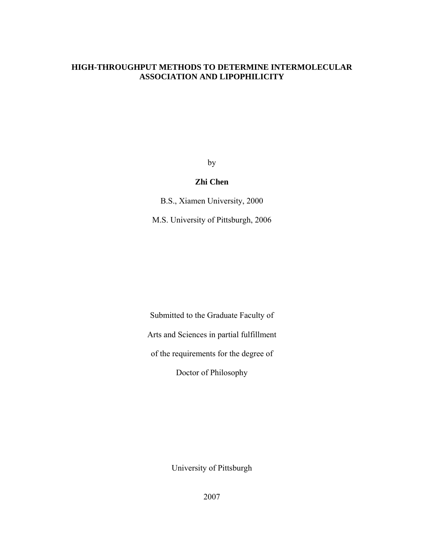# **HIGH-THROUGHPUT METHODS TO DETERMINE INTERMOLECULAR ASSOCIATION AND LIPOPHILICITY**

by

## **Zhi Chen**

B.S., Xiamen University, 2000

M.S. University of Pittsburgh, 2006

Submitted to the Graduate Faculty of

Arts and Sciences in partial fulfillment

of the requirements for the degree of

Doctor of Philosophy

University of Pittsburgh

2007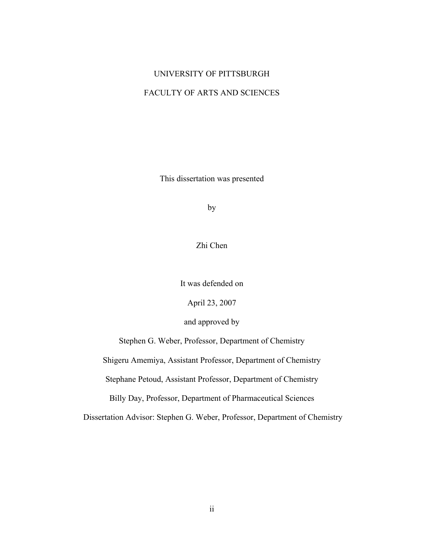# UNIVERSITY OF PITTSBURGH

# FACULTY OF ARTS AND SCIENCES

This dissertation was presented

by

Zhi Chen

It was defended on

April 23, 2007

and approved by

Stephen G. Weber, Professor, Department of Chemistry

Shigeru Amemiya, Assistant Professor, Department of Chemistry

Stephane Petoud, Assistant Professor, Department of Chemistry

Billy Day, Professor, Department of Pharmaceutical Sciences

Dissertation Advisor: Stephen G. Weber, Professor, Department of Chemistry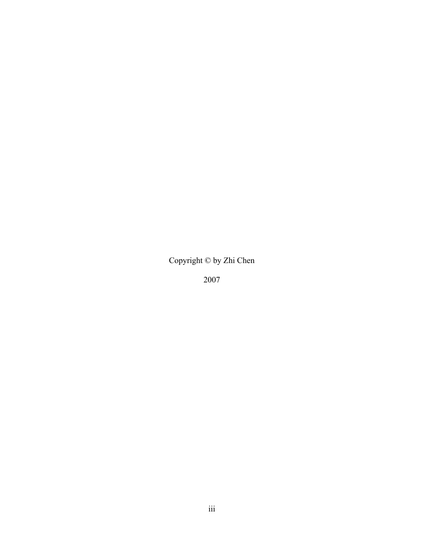Copyright © by Zhi Chen

2007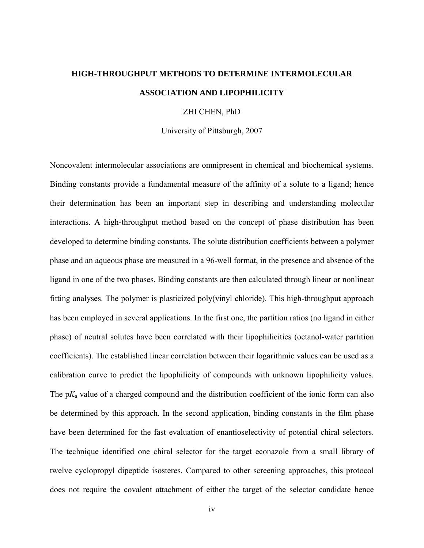# **HIGH-THROUGHPUT METHODS TO DETERMINE INTERMOLECULAR ASSOCIATION AND LIPOPHILICITY**

#### ZHI CHEN, PhD

University of Pittsburgh, 2007

Noncovalent intermolecular associations are omnipresent in chemical and biochemical systems. Binding constants provide a fundamental measure of the affinity of a solute to a ligand; hence their determination has been an important step in describing and understanding molecular interactions. A high-throughput method based on the concept of phase distribution has been developed to determine binding constants. The solute distribution coefficients between a polymer phase and an aqueous phase are measured in a 96-well format, in the presence and absence of the ligand in one of the two phases. Binding constants are then calculated through linear or nonlinear fitting analyses. The polymer is plasticized poly(vinyl chloride). This high-throughput approach has been employed in several applications. In the first one, the partition ratios (no ligand in either phase) of neutral solutes have been correlated with their lipophilicities (octanol-water partition coefficients). The established linear correlation between their logarithmic values can be used as a calibration curve to predict the lipophilicity of compounds with unknown lipophilicity values. The p*K*a value of a charged compound and the distribution coefficient of the ionic form can also be determined by this approach. In the second application, binding constants in the film phase have been determined for the fast evaluation of enantioselectivity of potential chiral selectors. The technique identified one chiral selector for the target econazole from a small library of twelve cyclopropyl dipeptide isosteres. Compared to other screening approaches, this protocol does not require the covalent attachment of either the target of the selector candidate hence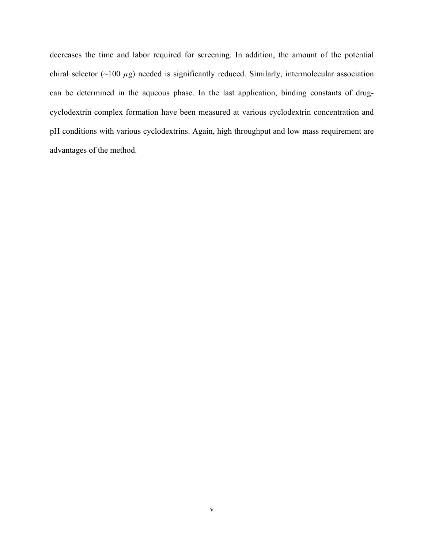decreases the time and labor required for screening. In addition, the amount of the potential chiral selector (~100 *µ*g) needed is significantly reduced. Similarly, intermolecular association can be determined in the aqueous phase. In the last application, binding constants of drugcyclodextrin complex formation have been measured at various cyclodextrin concentration and pH conditions with various cyclodextrins. Again, high throughput and low mass requirement are advantages of the method.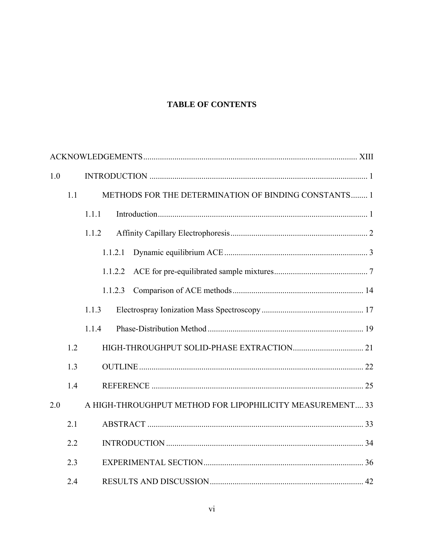# **TABLE OF CONTENTS**

| 1.0 |     |         |                                                             |  |
|-----|-----|---------|-------------------------------------------------------------|--|
|     | 1.1 |         | <b>METHODS FOR THE DETERMINATION OF BINDING CONSTANTS 1</b> |  |
|     |     | 1.1.1   |                                                             |  |
|     |     | 1.1.2   |                                                             |  |
|     |     | 1.1.2.1 |                                                             |  |
|     |     | 1.1.2.2 |                                                             |  |
|     |     | 1.1.2.3 |                                                             |  |
|     |     | 1.1.3   |                                                             |  |
|     |     | 1.1.4   |                                                             |  |
|     | 1.2 |         |                                                             |  |
|     | 1.3 |         |                                                             |  |
|     | 1.4 |         |                                                             |  |
| 2.0 |     |         | A HIGH-THROUGHPUT METHOD FOR LIPOPHILICITY MEASUREMENT 33   |  |
|     | 2.1 |         |                                                             |  |
|     | 2.2 |         |                                                             |  |
|     | 2.3 |         |                                                             |  |
|     | 2.4 |         |                                                             |  |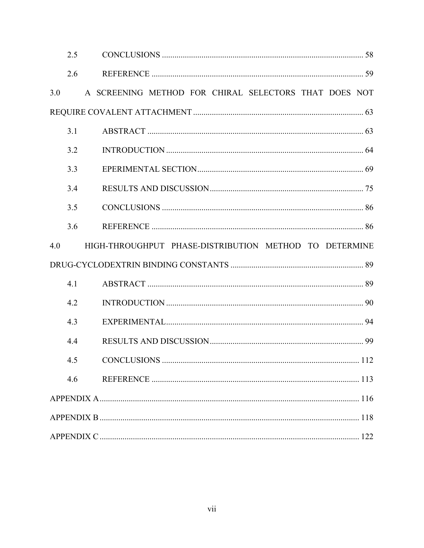|     | 2.5 |                                                        |  |
|-----|-----|--------------------------------------------------------|--|
|     | 2.6 |                                                        |  |
| 3.0 |     | A SCREENING METHOD FOR CHIRAL SELECTORS THAT DOES NOT  |  |
|     |     |                                                        |  |
|     | 3.1 |                                                        |  |
|     | 3.2 |                                                        |  |
|     | 3.3 |                                                        |  |
|     | 3.4 |                                                        |  |
|     | 3.5 |                                                        |  |
|     | 3.6 |                                                        |  |
| 4.0 |     | HIGH-THROUGHPUT PHASE-DISTRIBUTION METHOD TO DETERMINE |  |
|     |     |                                                        |  |
|     | 4.1 |                                                        |  |
|     | 4.2 |                                                        |  |
|     | 4.3 |                                                        |  |
|     | 4.4 |                                                        |  |
|     | 4.5 |                                                        |  |
|     | 4.6 |                                                        |  |
|     |     |                                                        |  |
|     |     |                                                        |  |
|     |     |                                                        |  |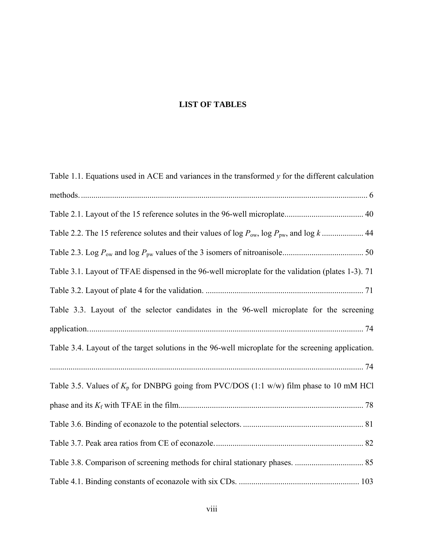# **LIST OF TABLES**

| Table 1.1. Equations used in ACE and variances in the transformed $y$ for the different calculation |
|-----------------------------------------------------------------------------------------------------|
|                                                                                                     |
|                                                                                                     |
|                                                                                                     |
|                                                                                                     |
| Table 3.1. Layout of TFAE dispensed in the 96-well microplate for the validation (plates 1-3). 71   |
|                                                                                                     |
| Table 3.3. Layout of the selector candidates in the 96-well microplate for the screening            |
|                                                                                                     |
| Table 3.4. Layout of the target solutions in the 96-well microplate for the screening application.  |
|                                                                                                     |
| Table 3.5. Values of $K_p$ for DNBPG going from PVC/DOS (1:1 w/w) film phase to 10 mM HCl           |
|                                                                                                     |
|                                                                                                     |
|                                                                                                     |
|                                                                                                     |
|                                                                                                     |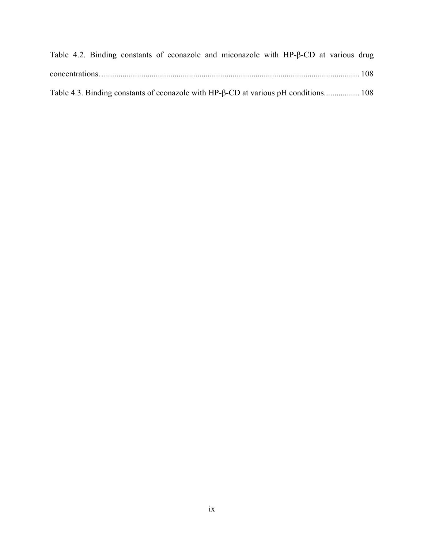| Table 4.2. Binding constants of econazole and miconazole with $HP$ - $\beta$ -CD at various drug |  |
|--------------------------------------------------------------------------------------------------|--|
|                                                                                                  |  |
| Table 4.3. Binding constants of econazole with HP-β-CD at various pH conditions 108              |  |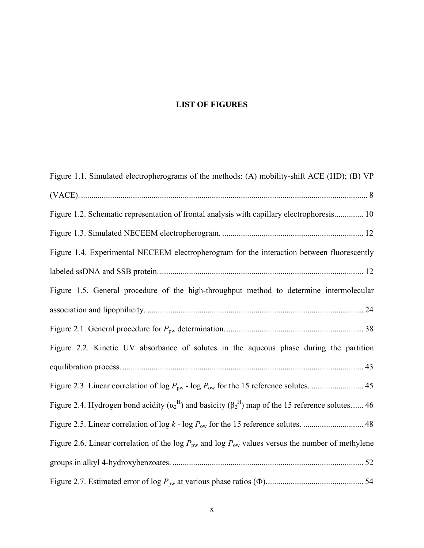# **LIST OF FIGURES**

| Figure 1.1. Simulated electropherograms of the methods: (A) mobility-shift ACE (HD); (B) VP                             |
|-------------------------------------------------------------------------------------------------------------------------|
|                                                                                                                         |
| Figure 1.2. Schematic representation of frontal analysis with capillary electrophoresis 10                              |
|                                                                                                                         |
| Figure 1.4. Experimental NECEEM electropherogram for the interaction between fluorescently                              |
|                                                                                                                         |
| Figure 1.5. General procedure of the high-throughput method to determine intermolecular                                 |
|                                                                                                                         |
|                                                                                                                         |
| Figure 2.2. Kinetic UV absorbance of solutes in the aqueous phase during the partition                                  |
|                                                                                                                         |
|                                                                                                                         |
| Figure 2.4. Hydrogen bond acidity $(\alpha_2^H)$ and basicity $(\beta_2^H)$ map of the 15 reference solutes 46          |
|                                                                                                                         |
| Figure 2.6. Linear correlation of the log $P_{\text{pw}}$ and log $P_{\text{ow}}$ values versus the number of methylene |
|                                                                                                                         |
|                                                                                                                         |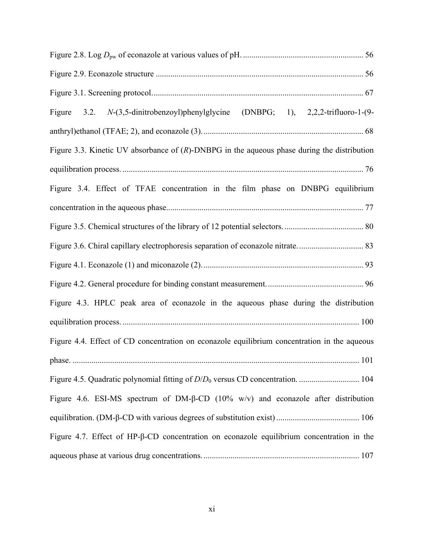| (DNBPG; 1), $2,2,2$ -trifluoro-1- $(9-$<br>3.2. $N-(3,5\text{-dinitrobenzoyl})$ phenylglycine<br>Figure |  |
|---------------------------------------------------------------------------------------------------------|--|
|                                                                                                         |  |
| Figure 3.3. Kinetic UV absorbance of $(R)$ -DNBPG in the aqueous phase during the distribution          |  |
|                                                                                                         |  |
| Figure 3.4. Effect of TFAE concentration in the film phase on DNBPG equilibrium                         |  |
|                                                                                                         |  |
|                                                                                                         |  |
|                                                                                                         |  |
|                                                                                                         |  |
|                                                                                                         |  |
| Figure 4.3. HPLC peak area of econazole in the aqueous phase during the distribution                    |  |
|                                                                                                         |  |
| Figure 4.4. Effect of CD concentration on econazole equilibrium concentration in the aqueous            |  |
|                                                                                                         |  |
|                                                                                                         |  |
| Figure 4.6. ESI-MS spectrum of DM- $\beta$ -CD (10% w/v) and econazole after distribution               |  |
|                                                                                                         |  |
| Figure 4.7. Effect of HP- $\beta$ -CD concentration on econazole equilibrium concentration in the       |  |
|                                                                                                         |  |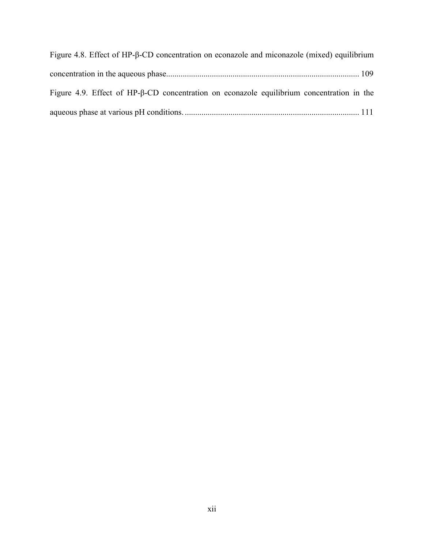| Figure 4.8. Effect of HP-β-CD concentration on econazole and miconazole (mixed) equilibrium       |  |
|---------------------------------------------------------------------------------------------------|--|
|                                                                                                   |  |
| Figure 4.9. Effect of HP- $\beta$ -CD concentration on econazole equilibrium concentration in the |  |
|                                                                                                   |  |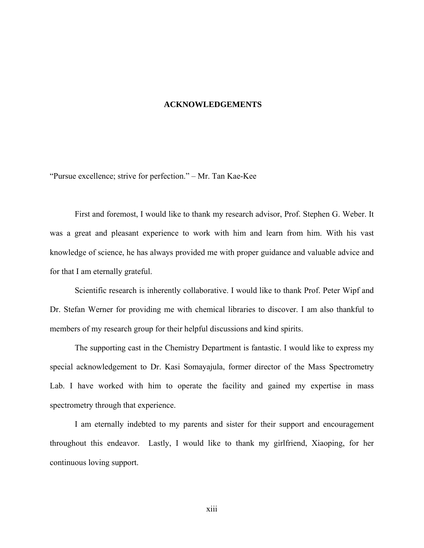#### **ACKNOWLEDGEMENTS**

<span id="page-12-0"></span>"Pursue excellence; strive for perfection." – Mr. Tan Kae-Kee

First and foremost, I would like to thank my research advisor, Prof. Stephen G. Weber. It was a great and pleasant experience to work with him and learn from him. With his vast knowledge of science, he has always provided me with proper guidance and valuable advice and for that I am eternally grateful.

Scientific research is inherently collaborative. I would like to thank Prof. Peter Wipf and Dr. Stefan Werner for providing me with chemical libraries to discover. I am also thankful to members of my research group for their helpful discussions and kind spirits.

The supporting cast in the Chemistry Department is fantastic. I would like to express my special acknowledgement to Dr. Kasi Somayajula, former director of the Mass Spectrometry Lab. I have worked with him to operate the facility and gained my expertise in mass spectrometry through that experience.

I am eternally indebted to my parents and sister for their support and encouragement throughout this endeavor. Lastly, I would like to thank my girlfriend, Xiaoping, for her continuous loving support.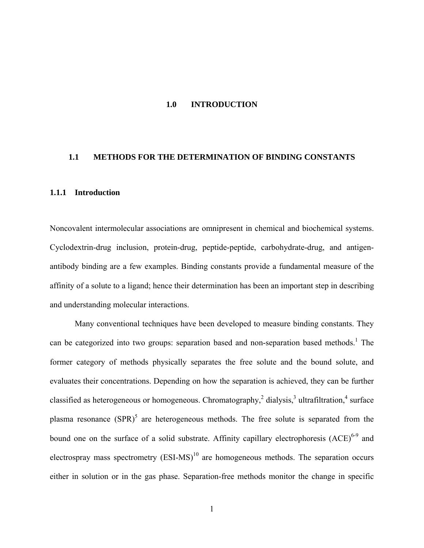#### **1.0 INTRODUCTION**

#### <span id="page-13-0"></span>**1.1 METHODS FOR THE DETERMINATION OF BINDING CONSTANTS**

#### **1.1.1 Introduction**

Noncovalent intermolecular associations are omnipresent in chemical and biochemical systems. Cyclodextrin-drug inclusion, protein-drug, peptide-peptide, carbohydrate-drug, and antigenantibody binding are a few examples. Binding constants provide a fundamental measure of the affinity of a solute to a ligand; hence their determination has been an important step in describing and understanding molecular interactions.

Many conventional techniques have been developed to measure binding constants. They can be categorized into two groups: separation based and non-separation based methods.<sup>1</sup> The former category of methods physically separates the free solute and the bound solute, and evaluates their concentrations. Depending on how the separation is achieved, they can be further classified as heterogeneous or homogeneous. Chromatography,  $2$  dialysis,  $3$  ultrafiltration,  $4$  surface plasma resonance  $(SPR)^5$  are heterogeneous methods. The free solute is separated from the bound one on the surface of a solid substrate. Affinity capillary electrophoresis (ACE)<sup>6-9</sup> and electrospray mass spectrometry  $(ESI-MS)^{10}$  are homogeneous methods. The separation occurs either in solution or in the gas phase. Separation-free methods monitor the change in specific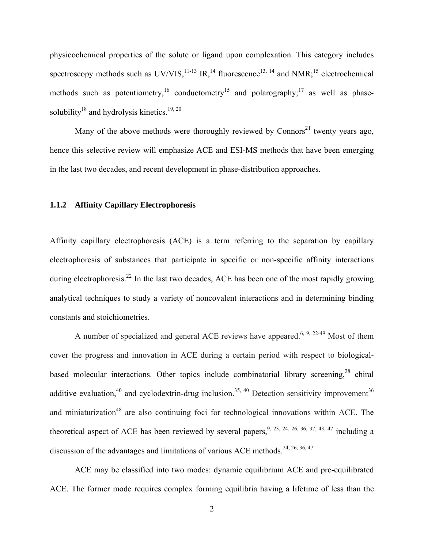<span id="page-14-0"></span>physicochemical properties of the solute or ligand upon complexation. This category includes spectroscopy methods such as  $UV/VIS$ , <sup>11-13</sup> IR, <sup>14</sup> fluorescence<sup>13, 14</sup> and NMR;<sup>15</sup> electrochemical methods such as potentiometry,<sup>16</sup> conductometry<sup>15</sup> and polarography;<sup>17</sup> as well as phasesolubility<sup>18</sup> and hydrolysis kinetics.<sup>19, 20</sup>

Many of the above methods were thoroughly reviewed by Connors<sup>21</sup> twenty years ago, hence this selective review will emphasize ACE and ESI-MS methods that have been emerging in the last two decades, and recent development in phase-distribution approaches.

#### **1.1.2 Affinity Capillary Electrophoresis**

Affinity capillary electrophoresis (ACE) is a term referring to the separation by capillary electrophoresis of substances that participate in specific or non-specific affinity interactions during electrophoresis.<sup>22</sup> In the last two decades, ACE has been one of the most rapidly growing analytical techniques to study a variety of noncovalent interactions and in determining binding constants and stoichiometries.

A number of specialized and general ACE reviews have appeared.<sup>6, 9, 22-49</sup> Most of them cover the progress and innovation in ACE during a certain period with respect to biologicalbased molecular interactions. Other topics include combinatorial library screening,<sup>28</sup> chiral additive evaluation,<sup>40</sup> and cyclodextrin-drug inclusion.<sup>35, 40</sup> Detection sensitivity improvement<sup>36</sup> and miniaturization<sup>48</sup> are also continuing foci for technological innovations within ACE. The theoretical aspect of ACE has been reviewed by several papers,  $9, 23, 24, 26, 36, 37, 43, 47$  including a discussion of the advantages and limitations of various ACE methods.<sup>24, 26, 36, 47</sup>

 ACE may be classified into two modes: dynamic equilibrium ACE and pre-equilibrated ACE. The former mode requires complex forming equilibria having a lifetime of less than the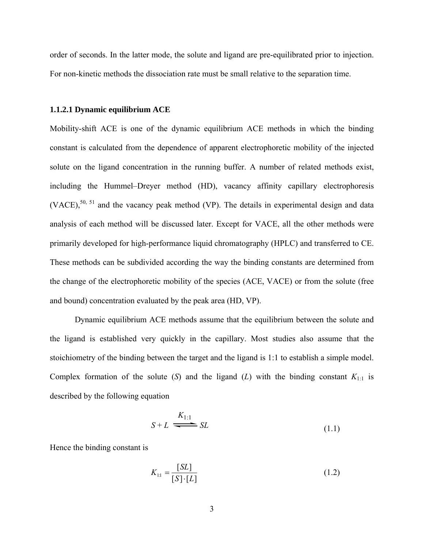<span id="page-15-0"></span>order of seconds. In the latter mode, the solute and ligand are pre-equilibrated prior to injection. For non-kinetic methods the dissociation rate must be small relative to the separation time.

#### **1.1.2.1 Dynamic equilibrium ACE**

Mobility-shift ACE is one of the dynamic equilibrium ACE methods in which the binding constant is calculated from the dependence of apparent electrophoretic mobility of the injected solute on the ligand concentration in the running buffer. A number of related methods exist, including the Hummel–Dreyer method (HD), vacancy affinity capillary electrophoresis  $(VACE)$ ,<sup>50, 51</sup> and the vacancy peak method (VP). The details in experimental design and data analysis of each method will be discussed later. Except for VACE, all the other methods were primarily developed for high-performance liquid chromatography (HPLC) and transferred to CE. These methods can be subdivided according the way the binding constants are determined from the change of the electrophoretic mobility of the species (ACE, VACE) or from the solute (free and bound) concentration evaluated by the peak area (HD, VP).

Dynamic equilibrium ACE methods assume that the equilibrium between the solute and the ligand is established very quickly in the capillary. Most studies also assume that the stoichiometry of the binding between the target and the ligand is 1:1 to establish a simple model. Complex formation of the solute  $(S)$  and the ligand  $(L)$  with the binding constant  $K_{1:1}$  is described by the following equation

$$
S + L \xrightarrow{K_{1:1}} SL \tag{1.1}
$$

Hence the binding constant is

$$
K_{11} = \frac{[SL]}{[S] \cdot [L]}
$$
 (1.2)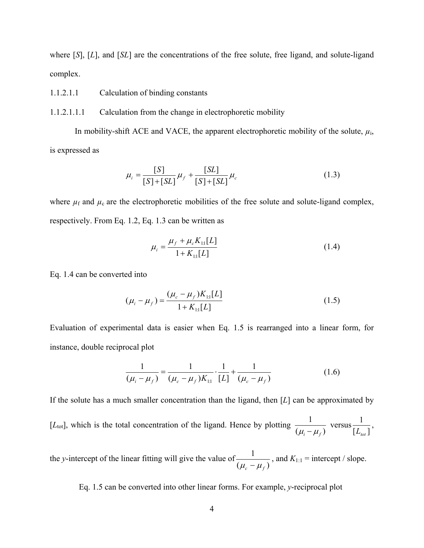where [*S*], [*L*], and [*SL*] are the concentrations of the free solute, free ligand, and solute-ligand complex.

- 1.1.2.1.1 Calculation of binding constants
- 1.1.2.1.1.1 Calculation from the change in electrophoretic mobility

In mobility-shift ACE and VACE, the apparent electrophoretic mobility of the solute,  $\mu_i$ , is expressed as

$$
\mu_{i} = \frac{[S]}{[S] + [SL]} \mu_{f} + \frac{[SL]}{[S] + [SL]} \mu_{c}
$$
\n(1.3)

where  $\mu_f$  and  $\mu_c$  are the electrophoretic mobilities of the free solute and solute-ligand complex, respectively. From Eq. 1.2, Eq. 1.3 can be written as

$$
\mu_i = \frac{\mu_f + \mu_c K_{11}[L]}{1 + K_{11}[L]}
$$
\n(1.4)

Eq. 1.4 can be converted into

$$
(\mu_i - \mu_f) = \frac{(\mu_c - \mu_f)K_{11}[L]}{1 + K_{11}[L]}
$$
\n(1.5)

Evaluation of experimental data is easier when Eq. 1.5 is rearranged into a linear form, for instance, double reciprocal plot

$$
\frac{1}{(\mu_i - \mu_f)} = \frac{1}{(\mu_c - \mu_f)K_{11}} \cdot \frac{1}{[L]} + \frac{1}{(\mu_c - \mu_f)}
$$
(1.6)

If the solute has a much smaller concentration than the ligand, then [*L*] can be approximated by [ $L_{\text{tot}}$ ], which is the total concentration of the ligand. Hence by plotting  $\frac{1}{(\mu_i - \mu_f)}$  $\mu_i - \mu_f$  versus  $[L_{\scriptscriptstyle tot}]$ 1  $L_{\text{tot}}$ ,

the *y*-intercept of the linear fitting will give the value of  $\frac{1}{(\mu_c - \mu_f)}$  $\mu_c - \mu_f$ , and  $K_{1:1}$  = intercept / slope.

Eq. 1.5 can be converted into other linear forms. For example, *y*-reciprocal plot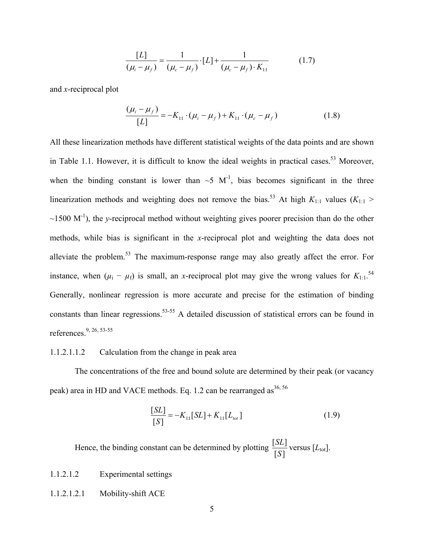$$
\frac{[L]}{(\mu_i - \mu_f)} = \frac{1}{(\mu_c - \mu_f)} \cdot [L] + \frac{1}{(\mu_c - \mu_f) \cdot K_{11}} \tag{1.7}
$$

and *x*-reciprocal plot

$$
\frac{(\mu_i - \mu_f)}{[L]} = -K_{1:1} \cdot (\mu_i - \mu_f) + K_{1:1} \cdot (\mu_c - \mu_f)
$$
 (1.8)

All these linearization methods have different statistical weights of the data points and are shown in Table 1.1. However, it is difficult to know the ideal weights in practical cases.<sup>53</sup> Moreover, when the binding constant is lower than  $\sim$ 5 M<sup>-1</sup>, bias becomes significant in the three linearization methods and weighting does not remove the bias.<sup>53</sup> At high  $K_{1:1}$  values ( $K_{1:1}$ )  $\sim$ 1500 M<sup>-1</sup>), the *y*-reciprocal method without weighting gives poorer precision than do the other methods, while bias is significant in the *x*-reciprocal plot and weighting the data does not alleviate the problem.53 The maximum-response range may also greatly affect the error. For instance, when  $(\mu_i - \mu_f)$  is small, an *x*-reciprocal plot may give the wrong values for  $K_{1:1}$ .<sup>54</sup> Generally, nonlinear regression is more accurate and precise for the estimation of binding constants than linear regressions.<sup>53-55</sup> A detailed discussion of statistical errors can be found in references.9, 26, 53-55

#### 1.1.2.1.1.2 Calculation from the change in peak area

The concentrations of the free and bound solute are determined by their peak (or vacancy peak) area in HD and VACE methods. Eq. 1.2 can be rearranged as<sup>36, 56</sup>

$$
\frac{[SL]}{[S]} = -K_{1:1}[SL] + K_{1:1}[L_{tot}] \tag{1.9}
$$

Hence, the binding constant can be determined by plotting  $\frac{[SL]}{[S]}$ *S*  $\frac{SL}{L}$  versus  $[L_{\text{tot}}]$ .

## 1.1.2.1.2 Experimental settings

#### 1.1.2.1.2.1 Mobility-shift ACE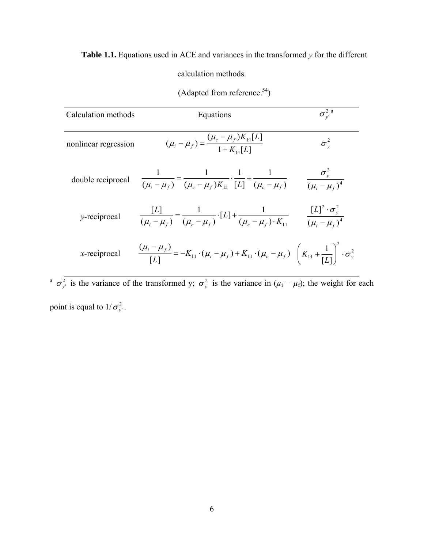<span id="page-18-0"></span>**Table 1.1.** Equations used in ACE and variances in the transformed *y* for the different

calculation methods.

| Calculation methods  | Equations                                                                                                                                                         | $\sigma_{v}^2$ <sup>a</sup>            |
|----------------------|-------------------------------------------------------------------------------------------------------------------------------------------------------------------|----------------------------------------|
| nonlinear regression | $(\mu_i - \mu_f) = \frac{(\mu_c - \mu_f)K_{11}[L]}{1 + K_{11}L}$                                                                                                  | $\sigma_v^2$                           |
|                      | double reciprocal $\frac{1}{(\mu_i - \mu_f)} = \frac{1}{(\mu_c - \mu_f)K_{11}} \cdot \frac{1}{[L]} + \frac{1}{(\mu_c - \mu_f)}$                                   | $\frac{\sigma_y^2}{(\mu_i - \mu_f)^4}$ |
| y-reciprocal         | $\frac{[L]}{(\mu_i - \mu_f)} = \frac{1}{(\mu_c - \mu_f)} \cdot [L] + \frac{1}{(\mu_c - \mu_f) \cdot K_H} \qquad \frac{[L]^2 \cdot \sigma_y^2}{(\mu_i - \mu_f)^4}$ |                                        |
| $x$ -reciprocal      | $\frac{(\mu_i - \mu_f)}{[L]} = -K_{11} \cdot (\mu_i - \mu_f) + K_{11} \cdot (\mu_c - \mu_f) \left(K_{11} + \frac{1}{[L]}\right) \cdot \sigma_y^2$                 |                                        |

(Adapted from reference. $54$ )

<sup>a</sup>  $\sigma_{y'}^2$  is the variance of the transformed y;  $\sigma_y^2$  is the variance in  $(\mu_i - \mu_f)$ ; the weight for each point is equal to  $1/\sigma_{y'}^2$ .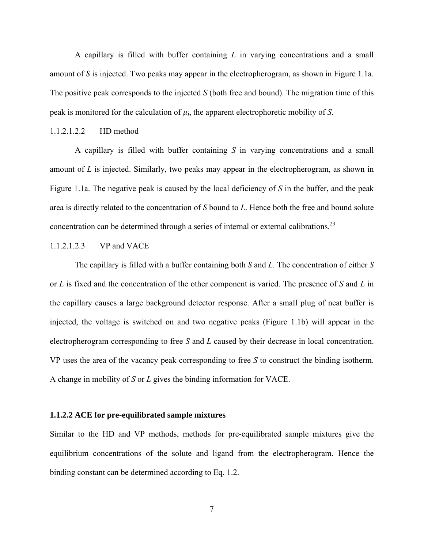<span id="page-19-0"></span> A capillary is filled with buffer containing *L* in varying concentrations and a small amount of *S* is injected. Two peaks may appear in the electropherogram, as shown in Figure 1.1a. The positive peak corresponds to the injected *S* (both free and bound). The migration time of this peak is monitored for the calculation of  $\mu_i$ , the apparent electrophoretic mobility of *S*.

### 1.1.2.1.2.2 HD method

A capillary is filled with buffer containing *S* in varying concentrations and a small amount of *L* is injected. Similarly, two peaks may appear in the electropherogram, as shown in Figure 1.1a. The negative peak is caused by the local deficiency of *S* in the buffer, and the peak area is directly related to the concentration of *S* bound to *L*. Hence both the free and bound solute concentration can be determined through a series of internal or external calibrations.<sup>23</sup>

### 1.1.2.1.2.3 VP and VACE

The capillary is filled with a buffer containing both *S* and *L*. The concentration of either *S* or *L* is fixed and the concentration of the other component is varied. The presence of *S* and *L* in the capillary causes a large background detector response. After a small plug of neat buffer is injected, the voltage is switched on and two negative peaks (Figure 1.1b) will appear in the electropherogram corresponding to free *S* and *L* caused by their decrease in local concentration. VP uses the area of the vacancy peak corresponding to free *S* to construct the binding isotherm. A change in mobility of *S* or *L* gives the binding information for VACE.

#### **1.1.2.2 ACE for pre-equilibrated sample mixtures**

Similar to the HD and VP methods, methods for pre-equilibrated sample mixtures give the equilibrium concentrations of the solute and ligand from the electropherogram. Hence the binding constant can be determined according to Eq. 1.2.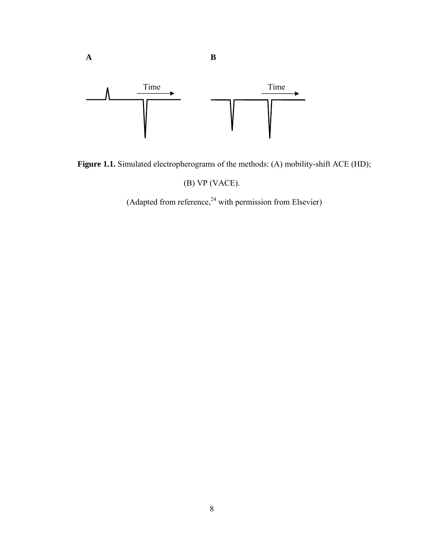<span id="page-20-0"></span>

**A B**

Figure 1.1. Simulated electropherograms of the methods: (A) mobility-shift ACE (HD);

(B) VP (VACE).

(Adapted from reference, $24$  with permission from Elsevier)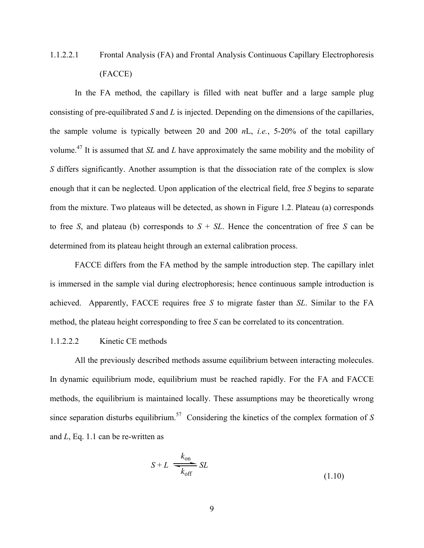# 1.1.2.2.1 Frontal Analysis (FA) and Frontal Analysis Continuous Capillary Electrophoresis (FACCE)

In the FA method, the capillary is filled with neat buffer and a large sample plug consisting of pre-equilibrated *S* and *L* is injected. Depending on the dimensions of the capillaries, the sample volume is typically between 20 and 200 *n*L, *i.e.*, 5-20% of the total capillary volume.47 It is assumed that *SL* and *L* have approximately the same mobility and the mobility of *S* differs significantly. Another assumption is that the dissociation rate of the complex is slow enough that it can be neglected. Upon application of the electrical field, free *S* begins to separate from the mixture. Two plateaus will be detected, as shown in Figure 1.2. Plateau (a) corresponds to free *S*, and plateau (b) corresponds to  $S + SL$ . Hence the concentration of free *S* can be determined from its plateau height through an external calibration process.

FACCE differs from the FA method by the sample introduction step. The capillary inlet is immersed in the sample vial during electrophoresis; hence continuous sample introduction is achieved. Apparently, FACCE requires free *S* to migrate faster than *SL*. Similar to the FA method, the plateau height corresponding to free *S* can be correlated to its concentration.

#### 1.1.2.2.2 Kinetic CE methods

All the previously described methods assume equilibrium between interacting molecules. In dynamic equilibrium mode, equilibrium must be reached rapidly. For the FA and FACCE methods, the equilibrium is maintained locally. These assumptions may be theoretically wrong since separation disturbs equilibrium.<sup>57</sup> Considering the kinetics of the complex formation of  $S$ and *L*, Eq. 1.1 can be re-written as

$$
S + L \xrightarrow[k_{off}]{k_{on}} SL
$$
\n(1.10)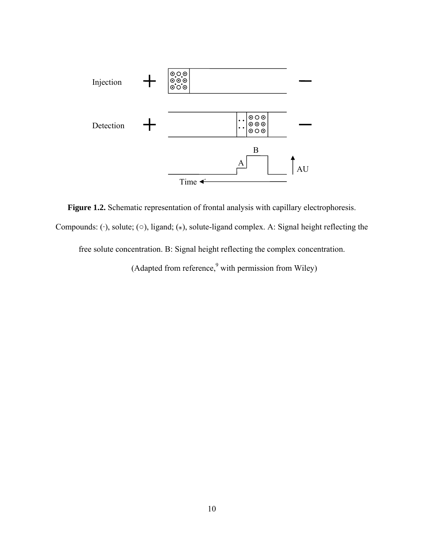<span id="page-22-0"></span>

**Figure 1.2.** Schematic representation of frontal analysis with capillary electrophoresis. Compounds: (·), solute; (○), ligand; (๏), solute-ligand complex. A: Signal height reflecting the free solute concentration. B: Signal height reflecting the complex concentration.

(Adapted from reference,  $9$  with permission from Wiley)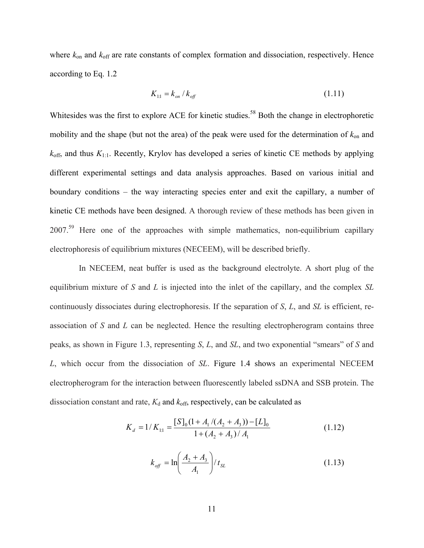where  $k_{on}$  and  $k_{off}$  are rate constants of complex formation and dissociation, respectively. Hence according to Eq. 1.2

$$
K_{11} = k_{on} / k_{off}
$$
 (1.11)

Whitesides was the first to explore ACE for kinetic studies.<sup>58</sup> Both the change in electrophoretic mobility and the shape (but not the area) of the peak were used for the determination of  $k_{on}$  and  $k_{\text{off}}$ , and thus  $K_{1:1}$ . Recently, Krylov has developed a series of kinetic CE methods by applying different experimental settings and data analysis approaches. Based on various initial and boundary conditions – the way interacting species enter and exit the capillary, a number of kinetic CE methods have been designed. A thorough review of these methods has been given in 2007.59 Here one of the approaches with simple mathematics, non-equilibrium capillary electrophoresis of equilibrium mixtures (NECEEM), will be described briefly.

 In NECEEM, neat buffer is used as the background electrolyte. A short plug of the equilibrium mixture of *S* and *L* is injected into the inlet of the capillary, and the complex *SL* continuously dissociates during electrophoresis. If the separation of *S*, *L*, and *SL* is efficient, reassociation of *S* and *L* can be neglected. Hence the resulting electropherogram contains three peaks, as shown in Figure 1.3, representing *S*, *L*, and *SL*, and two exponential "smears" of *S* and *L*, which occur from the dissociation of *SL*. Figure 1.4 shows an experimental NECEEM electropherogram for the interaction between fluorescently labeled ssDNA and SSB protein. The dissociation constant and rate,  $K_d$  and  $k_{\text{off}}$ , respectively, can be calculated as

$$
K_d = 1/K_{1:1} = \frac{[S]_0(1 + A_1/(A_2 + A_3)) - [L]_0}{1 + (A_2 + A_3)/A_1}
$$
(1.12)

$$
k_{\text{off}} = \ln\left(\frac{A_2 + A_3}{A_1}\right) / t_{\text{SL}}
$$
 (1.13)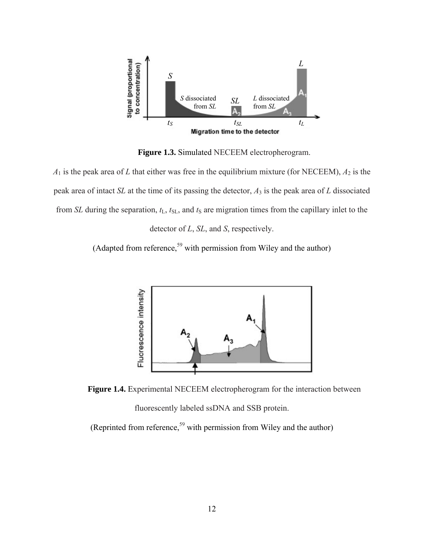<span id="page-24-0"></span>

**Figure 1.3.** Simulated NECEEM electropherogram.

 $A_1$  is the peak area of *L* that either was free in the equilibrium mixture (for NECEEM),  $A_2$  is the peak area of intact *SL* at the time of its passing the detector, *A*3 is the peak area of *L* dissociated from *SL* during the separation,  $t_L$ ,  $t_{SL}$ , and  $t_S$  are migration times from the capillary inlet to the

detector of *L*, *SL*, and *S*, respectively.

(Adapted from reference,  $59$  with permission from Wiley and the author)



**Figure 1.4.** Experimental NECEEM electropherogram for the interaction between

fluorescently labeled ssDNA and SSB protein.

(Reprinted from reference,<sup>59</sup> with permission from Wiley and the author)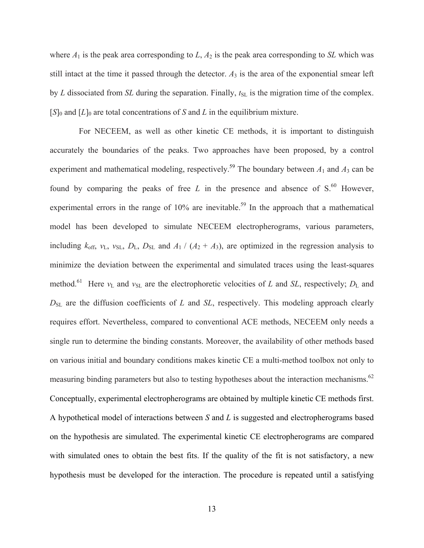where  $A_1$  is the peak area corresponding to  $L$ ,  $A_2$  is the peak area corresponding to  $SL$  which was still intact at the time it passed through the detector.  $A_3$  is the area of the exponential smear left by  $L$  dissociated from  $SL$  during the separation. Finally,  $t_{SL}$  is the migration time of the complex.  $[S]_0$  and  $[L]_0$  are total concentrations of *S* and *L* in the equilibrium mixture.

 For NECEEM, as well as other kinetic CE methods, it is important to distinguish accurately the boundaries of the peaks. Two approaches have been proposed, by a control experiment and mathematical modeling, respectively.<sup>59</sup> The boundary between  $A_1$  and  $A_3$  can be found by comparing the peaks of free  $L$  in the presence and absence of  $S<sup>60</sup>$  However, experimental errors in the range of  $10\%$  are inevitable.<sup>59</sup> In the approach that a mathematical model has been developed to simulate NECEEM electropherograms, various parameters, including  $k_{\text{off}}$ ,  $v_L$ ,  $v_{SL}$ ,  $D_L$ ,  $D_{SL}$  and  $A_1$  / ( $A_2 + A_3$ ), are optimized in the regression analysis to minimize the deviation between the experimental and simulated traces using the least-squares method.<sup>61</sup> Here  $v_L$  and  $v_{SL}$  are the electrophoretic velocities of *L* and *SL*, respectively;  $D_L$  and  $D_{SL}$  are the diffusion coefficients of *L* and *SL*, respectively. This modeling approach clearly requires effort. Nevertheless, compared to conventional ACE methods, NECEEM only needs a single run to determine the binding constants. Moreover, the availability of other methods based on various initial and boundary conditions makes kinetic CE a multi-method toolbox not only to measuring binding parameters but also to testing hypotheses about the interaction mechanisms.<sup>62</sup> Conceptually, experimental electropherograms are obtained by multiple kinetic CE methods first. A hypothetical model of interactions between *S* and *L* is suggested and electropherograms based on the hypothesis are simulated. The experimental kinetic CE electropherograms are compared with simulated ones to obtain the best fits. If the quality of the fit is not satisfactory, a new hypothesis must be developed for the interaction. The procedure is repeated until a satisfying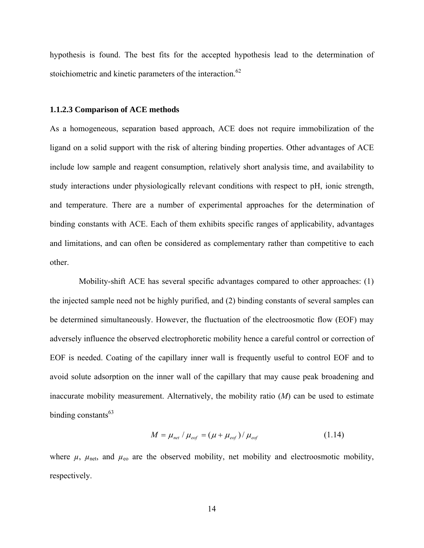<span id="page-26-0"></span>hypothesis is found. The best fits for the accepted hypothesis lead to the determination of stoichiometric and kinetic parameters of the interaction.<sup>62</sup>

#### **1.1.2.3 Comparison of ACE methods**

As a homogeneous, separation based approach, ACE does not require immobilization of the ligand on a solid support with the risk of altering binding properties. Other advantages of ACE include low sample and reagent consumption, relatively short analysis time, and availability to study interactions under physiologically relevant conditions with respect to pH, ionic strength, and temperature. There are a number of experimental approaches for the determination of binding constants with ACE. Each of them exhibits specific ranges of applicability, advantages and limitations, and can often be considered as complementary rather than competitive to each other.

 Mobility-shift ACE has several specific advantages compared to other approaches: (1) the injected sample need not be highly purified, and (2) binding constants of several samples can be determined simultaneously. However, the fluctuation of the electroosmotic flow (EOF) may adversely influence the observed electrophoretic mobility hence a careful control or correction of EOF is needed. Coating of the capillary inner wall is frequently useful to control EOF and to avoid solute adsorption on the inner wall of the capillary that may cause peak broadening and inaccurate mobility measurement. Alternatively, the mobility ratio (*M*) can be used to estimate binding constants $^{63}$ 

$$
M = \mu_{net} / \mu_{eqf} = (\mu + \mu_{eqf}) / \mu_{eqf}
$$
 (1.14)

where  $\mu$ ,  $\mu$ <sub>net</sub>, and  $\mu$ <sub>eo</sub> are the observed mobility, net mobility and electroosmotic mobility, respectively.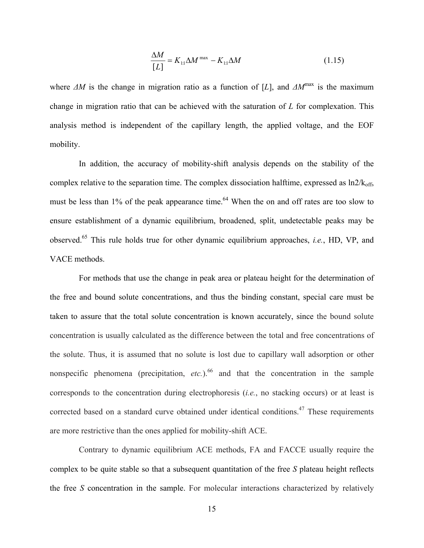$$
\frac{\Delta M}{[L]} = K_{1:1} \Delta M^{\text{max}} - K_{1:1} \Delta M \tag{1.15}
$$

where  $\Delta M$  is the change in migration ratio as a function of [*L*], and  $\Delta M^{max}$  is the maximum change in migration ratio that can be achieved with the saturation of *L* for complexation. This analysis method is independent of the capillary length, the applied voltage, and the EOF mobility.

 In addition, the accuracy of mobility-shift analysis depends on the stability of the complex relative to the separation time. The complex dissociation halftime, expressed as  $ln2/k<sub>off</sub>$ , must be less than  $1\%$  of the peak appearance time.<sup>64</sup> When the on and off rates are too slow to ensure establishment of a dynamic equilibrium, broadened, split, undetectable peaks may be observed.65 This rule holds true for other dynamic equilibrium approaches, *i.e.*, HD, VP, and VACE methods.

 For methods that use the change in peak area or plateau height for the determination of the free and bound solute concentrations, and thus the binding constant, special care must be taken to assure that the total solute concentration is known accurately, since the bound solute concentration is usually calculated as the difference between the total and free concentrations of the solute. Thus, it is assumed that no solute is lost due to capillary wall adsorption or other nonspecific phenomena (precipitation,  $etc.$ ).<sup>66</sup> and that the concentration in the sample corresponds to the concentration during electrophoresis (*i.e.*, no stacking occurs) or at least is corrected based on a standard curve obtained under identical conditions.<sup>47</sup> These requirements are more restrictive than the ones applied for mobility-shift ACE.

 Contrary to dynamic equilibrium ACE methods, FA and FACCE usually require the complex to be quite stable so that a subsequent quantitation of the free *S* plateau height reflects the free *S* concentration in the sample. For molecular interactions characterized by relatively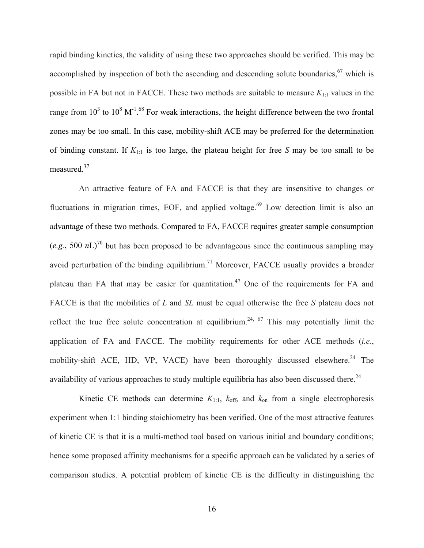rapid binding kinetics, the validity of using these two approaches should be verified. This may be accomplished by inspection of both the ascending and descending solute boundaries,  $67$  which is possible in FA but not in FACCE. These two methods are suitable to measure  $K_{1:1}$  values in the range from  $10^3$  to  $10^8$  M<sup>-1.68</sup> For weak interactions, the height difference between the two frontal zones may be too small. In this case, mobility-shift ACE may be preferred for the determination of binding constant. If *K*1:1 is too large, the plateau height for free *S* may be too small to be measured.37

 An attractive feature of FA and FACCE is that they are insensitive to changes or fluctuations in migration times, EOF, and applied voltage.<sup>69</sup> Low detection limit is also an advantage of these two methods. Compared to FA, FACCE requires greater sample consumption (*e.g.*, 500 *n*L)<sup>70</sup> but has been proposed to be advantageous since the continuous sampling may avoid perturbation of the binding equilibrium.<sup>71</sup> Moreover, FACCE usually provides a broader plateau than FA that may be easier for quantitation.<sup>47</sup> One of the requirements for FA and FACCE is that the mobilities of *L* and *SL* must be equal otherwise the free *S* plateau does not reflect the true free solute concentration at equilibrium.<sup>24, 67</sup> This may potentially limit the application of FA and FACCE. The mobility requirements for other ACE methods (*i.e.*, mobility-shift ACE, HD, VP, VACE) have been thoroughly discussed elsewhere.<sup>24</sup> The availability of various approaches to study multiple equilibria has also been discussed there.<sup>24</sup>

Kinetic CE methods can determine  $K_{1:1}$ ,  $k_{\text{off}}$ , and  $k_{\text{on}}$  from a single electrophoresis experiment when 1:1 binding stoichiometry has been verified. One of the most attractive features of kinetic CE is that it is a multi-method tool based on various initial and boundary conditions; hence some proposed affinity mechanisms for a specific approach can be validated by a series of comparison studies. A potential problem of kinetic CE is the difficulty in distinguishing the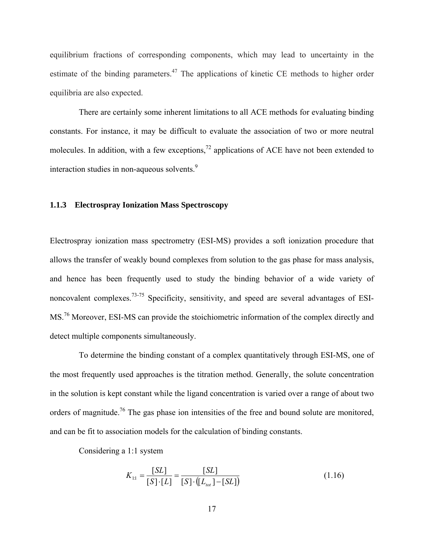<span id="page-29-0"></span>equilibrium fractions of corresponding components, which may lead to uncertainty in the estimate of the binding parameters.<sup>47</sup> The applications of kinetic CE methods to higher order equilibria are also expected.

 There are certainly some inherent limitations to all ACE methods for evaluating binding constants. For instance, it may be difficult to evaluate the association of two or more neutral molecules. In addition, with a few exceptions,<sup>72</sup> applications of ACE have not been extended to interaction studies in non-aqueous solvents.<sup>9</sup>

#### **1.1.3 Electrospray Ionization Mass Spectroscopy**

Electrospray ionization mass spectrometry (ESI-MS) provides a soft ionization procedure that allows the transfer of weakly bound complexes from solution to the gas phase for mass analysis, and hence has been frequently used to study the binding behavior of a wide variety of noncovalent complexes.<sup>73-75</sup> Specificity, sensitivity, and speed are several advantages of ESI-MS.76 Moreover, ESI-MS can provide the stoichiometric information of the complex directly and detect multiple components simultaneously.

 To determine the binding constant of a complex quantitatively through ESI-MS, one of the most frequently used approaches is the titration method. Generally, the solute concentration in the solution is kept constant while the ligand concentration is varied over a range of about two orders of magnitude.<sup>76</sup> The gas phase ion intensities of the free and bound solute are monitored, and can be fit to association models for the calculation of binding constants.

Considering a 1:1 system

$$
K_{1:1} = \frac{[SL]}{[S] \cdot [L]} = \frac{[SL]}{[S] \cdot ([L_{tot}] - [SL])}
$$
(1.16)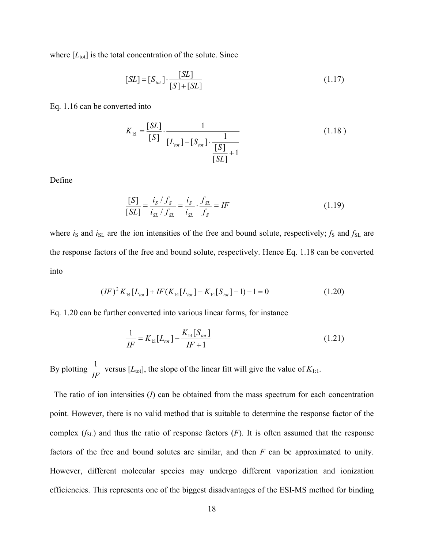where  $[L_{\text{tot}}]$  is the total concentration of the solute. Since

$$
[SL] = [S_{tot}] \cdot \frac{[SL]}{[S] + [SL]}
$$
 (1.17)

Eq. 1.16 can be converted into

$$
K_{1:1} = \frac{[SL]}{[S]} \cdot \frac{1}{[L_{tot}] - [S_{tot}] \cdot \frac{1}{[S]}} \tag{1.18}
$$

Define

$$
\frac{[S]}{[SL]} = \frac{i_S / f_S}{i_{SL} / f_{SL}} = \frac{i_S}{i_{SL}} \cdot \frac{f_{SL}}{f_S} = IF
$$
\n(1.19)

where  $i_S$  and  $i_{SL}$  are the ion intensities of the free and bound solute, respectively;  $f_S$  and  $f_{SL}$  are the response factors of the free and bound solute, respectively. Hence Eq. 1.18 can be converted into

$$
(IF)^{2} K_{11}[L_{tot}] + IF(K_{11}[L_{tot}] - K_{11}[S_{tot}] - 1) - 1 = 0
$$
\n(1.20)

Eq. 1.20 can be further converted into various linear forms, for instance

$$
\frac{1}{IF} = K_{1:1}[L_{tot}] - \frac{K_{1:1}[S_{tot}]}{IF + 1}
$$
\n(1.21)

By plotting  $\frac{1}{IF}$  versus [ $L_{\text{tot}}$ ], the slope of the linear fitt will give the value of  $K_{1:1}$ .

 The ratio of ion intensities (*I*) can be obtained from the mass spectrum for each concentration point. However, there is no valid method that is suitable to determine the response factor of the complex  $(f_{SL})$  and thus the ratio of response factors  $(F)$ . It is often assumed that the response factors of the free and bound solutes are similar, and then *F* can be approximated to unity. However, different molecular species may undergo different vaporization and ionization efficiencies. This represents one of the biggest disadvantages of the ESI-MS method for binding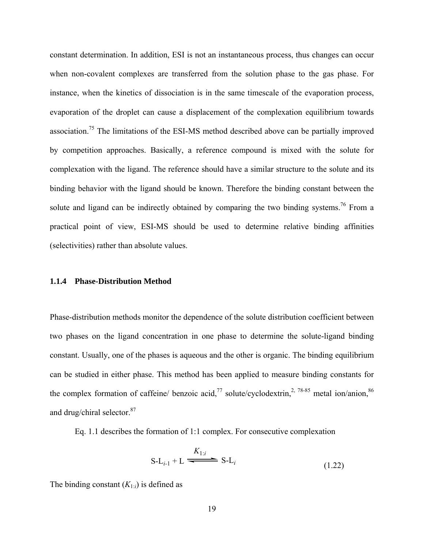<span id="page-31-0"></span>constant determination. In addition, ESI is not an instantaneous process, thus changes can occur when non-covalent complexes are transferred from the solution phase to the gas phase. For instance, when the kinetics of dissociation is in the same timescale of the evaporation process, evaporation of the droplet can cause a displacement of the complexation equilibrium towards association.75 The limitations of the ESI-MS method described above can be partially improved by competition approaches. Basically, a reference compound is mixed with the solute for complexation with the ligand. The reference should have a similar structure to the solute and its binding behavior with the ligand should be known. Therefore the binding constant between the solute and ligand can be indirectly obtained by comparing the two binding systems.<sup>76</sup> From a practical point of view, ESI-MS should be used to determine relative binding affinities (selectivities) rather than absolute values.

### **1.1.4 Phase-Distribution Method**

Phase-distribution methods monitor the dependence of the solute distribution coefficient between two phases on the ligand concentration in one phase to determine the solute-ligand binding constant. Usually, one of the phases is aqueous and the other is organic. The binding equilibrium can be studied in either phase. This method has been applied to measure binding constants for the complex formation of caffeine/ benzoic acid,<sup>77</sup> solute/cyclodextrin,<sup>2, 78-85</sup> metal ion/anion,<sup>86</sup> and drug/chiral selector.<sup>87</sup>

Eq. 1.1 describes the formation of 1:1 complex. For consecutive complexation

$$
S-L_{i-1}+L \xrightarrow{K_{1:i}} S-L_i
$$
\n(1.22)

The binding constant  $(K_{1:i})$  is defined as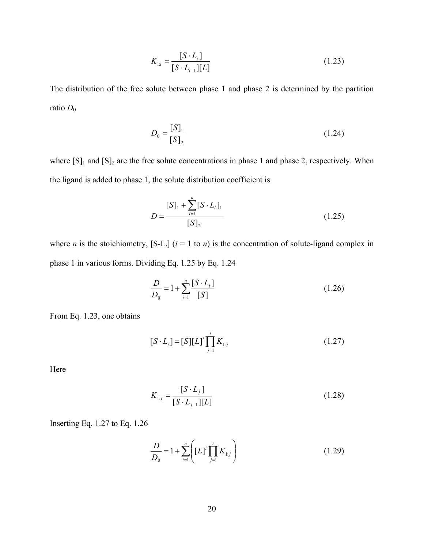$$
K_{1i} = \frac{[S \cdot L_i]}{[S \cdot L_{i-1}][L]}
$$
(1.23)

The distribution of the free solute between phase 1 and phase 2 is determined by the partition ratio  $D_0$ 

$$
D_0 = \frac{[S]_1}{[S]_2} \tag{1.24}
$$

where  $[S]_1$  and  $[S]_2$  are the free solute concentrations in phase 1 and phase 2, respectively. When the ligand is added to phase 1, the solute distribution coefficient is

$$
D = \frac{[S]_1 + \sum_{i=1}^{n} [S \cdot L_i]_1}{[S]_2}
$$
 (1.25)

where *n* is the stoichiometry,  $[S-L_i]$  ( $i = 1$  to *n*) is the concentration of solute-ligand complex in phase 1 in various forms. Dividing Eq. 1.25 by Eq. 1.24

$$
\frac{D}{D_0} = 1 + \sum_{i=1}^{n} \frac{[S \cdot L_i]}{[S]}
$$
(1.26)

From Eq. 1.23, one obtains

$$
[S \cdot L_i] = [S][L]^i \prod_{j=1}^i K_{1:j} \tag{1.27}
$$

Here

$$
K_{1:j} = \frac{[S \cdot L_j]}{[S \cdot L_{j-1}][L]}
$$
(1.28)

Inserting Eq. 1.27 to Eq. 1.26

$$
\frac{D}{D_0} = 1 + \sum_{i=1}^{n} \left( [L]^i \prod_{j=1}^{i} K_{1:j} \right)
$$
(1.29)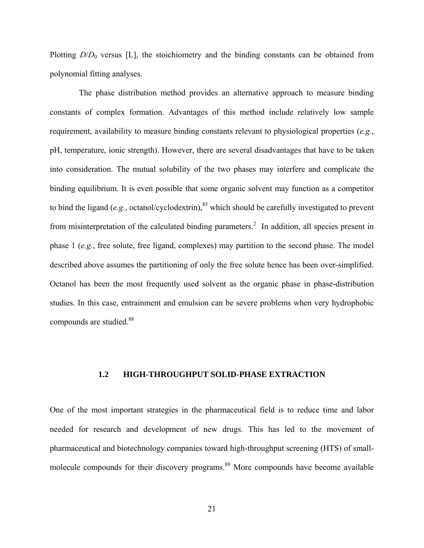<span id="page-33-0"></span>Plotting  $D/D_0$  versus [L], the stoichiometry and the binding constants can be obtained from polynomial fitting analyses.

 The phase distribution method provides an alternative approach to measure binding constants of complex formation. Advantages of this method include relatively low sample requirement, availability to measure binding constants relevant to physiological properties (*e.g.*, pH, temperature, ionic strength). However, there are several disadvantages that have to be taken into consideration. The mutual solubility of the two phases may interfere and complicate the binding equilibrium. It is even possible that some organic solvent may function as a competitor to bind the ligand (*e.g.*, octanol/cyclodextrin),<sup>85</sup> which should be carefully investigated to prevent from misinterpretation of the calculated binding parameters.<sup>2</sup> In addition, all species present in phase 1 (*e.g.*, free solute, free ligand, complexes) may partition to the second phase. The model described above assumes the partitioning of only the free solute hence has been over-simplified. Octanol has been the most frequently used solvent as the organic phase in phase-distribution studies. In this case, entrainment and emulsion can be severe problems when very hydrophobic compounds are studied.<sup>88</sup>

#### **1.2 HIGH-THROUGHPUT SOLID-PHASE EXTRACTION**

One of the most important strategies in the pharmaceutical field is to reduce time and labor needed for research and development of new drugs. This has led to the movement of pharmaceutical and biotechnology companies toward high-throughput screening (HTS) of smallmolecule compounds for their discovery programs.<sup>89</sup> More compounds have become available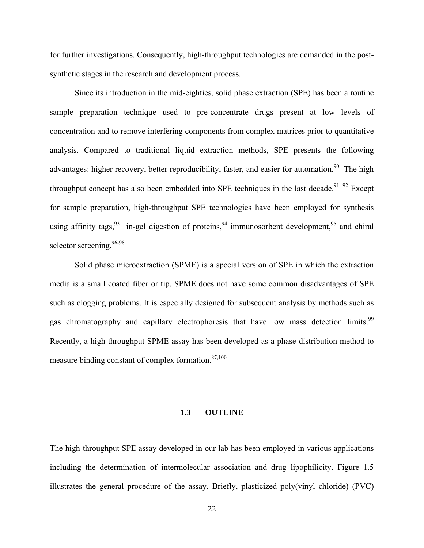<span id="page-34-0"></span>for further investigations. Consequently, high-throughput technologies are demanded in the postsynthetic stages in the research and development process.

 Since its introduction in the mid-eighties, solid phase extraction (SPE) has been a routine sample preparation technique used to pre-concentrate drugs present at low levels of concentration and to remove interfering components from complex matrices prior to quantitative analysis. Compared to traditional liquid extraction methods, SPE presents the following advantages: higher recovery, better reproducibility, faster, and easier for automation.<sup>90</sup> The high throughput concept has also been embedded into SPE techniques in the last decade.<sup>91, 92</sup> Except for sample preparation, high-throughput SPE technologies have been employed for synthesis using affinity tags,  $93$  in-gel digestion of proteins,  $94$  immunosorbent development,  $95$  and chiral selector screening.<sup>96-98</sup>

 Solid phase microextraction (SPME) is a special version of SPE in which the extraction media is a small coated fiber or tip. SPME does not have some common disadvantages of SPE such as clogging problems. It is especially designed for subsequent analysis by methods such as gas chromatography and capillary electrophoresis that have low mass detection limits.<sup>99</sup> Recently, a high-throughput SPME assay has been developed as a phase-distribution method to measure binding constant of complex formation. $87,100$ 

# **1.3 OUTLINE**

The high-throughput SPE assay developed in our lab has been employed in various applications including the determination of intermolecular association and drug lipophilicity. Figure 1.5 illustrates the general procedure of the assay. Briefly, plasticized poly(vinyl chloride) (PVC)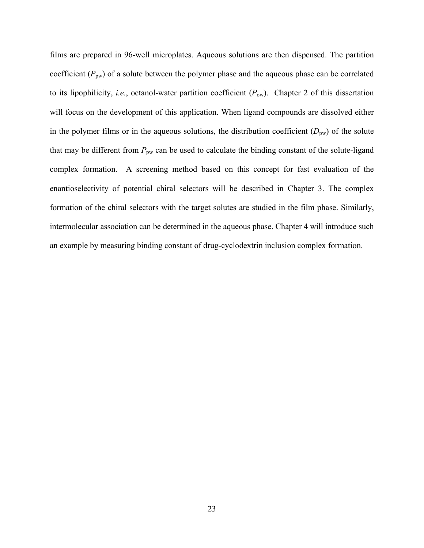films are prepared in 96-well microplates. Aqueous solutions are then dispensed. The partition coefficient  $(P_{pw})$  of a solute between the polymer phase and the aqueous phase can be correlated to its lipophilicity, *i.e.*, octanol-water partition coefficient (*P*ow). Chapter 2 of this dissertation will focus on the development of this application. When ligand compounds are dissolved either in the polymer films or in the aqueous solutions, the distribution coefficient ( $D<sub>pw</sub>$ ) of the solute that may be different from  $P_{\text{pw}}$  can be used to calculate the binding constant of the solute-ligand complex formation. A screening method based on this concept for fast evaluation of the enantioselectivity of potential chiral selectors will be described in Chapter 3. The complex formation of the chiral selectors with the target solutes are studied in the film phase. Similarly, intermolecular association can be determined in the aqueous phase. Chapter 4 will introduce such an example by measuring binding constant of drug-cyclodextrin inclusion complex formation.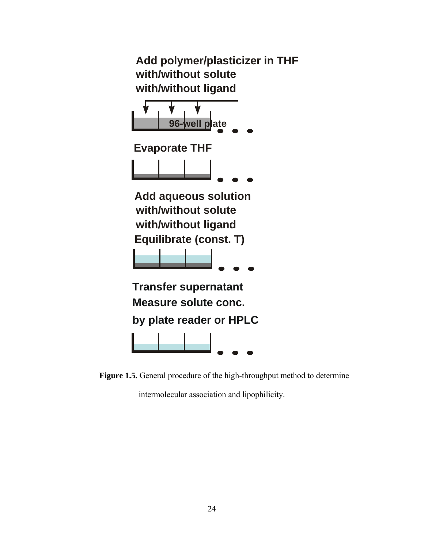

**Figure 1.5.** General procedure of the high-throughput method to determine

intermolecular association and lipophilicity.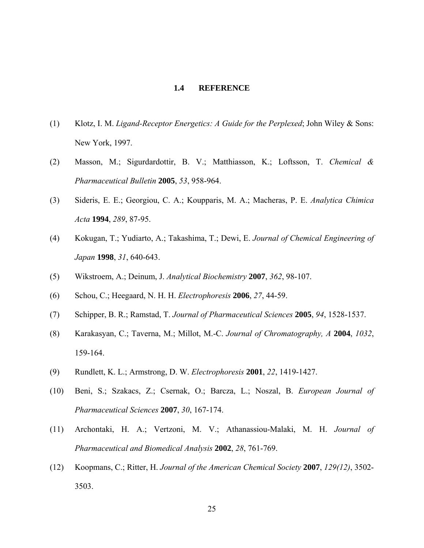# **1.4 REFERENCE**

- (1) Klotz, I. M. *Ligand-Receptor Energetics: A Guide for the Perplexed*; John Wiley & Sons: New York, 1997.
- (2) Masson, M.; Sigurdardottir, B. V.; Matthiasson, K.; Loftsson, T. *Chemical & Pharmaceutical Bulletin* **2005**, *53*, 958-964.
- (3) Sideris, E. E.; Georgiou, C. A.; Koupparis, M. A.; Macheras, P. E. *Analytica Chimica Acta* **1994**, *289*, 87-95.
- (4) Kokugan, T.; Yudiarto, A.; Takashima, T.; Dewi, E. *Journal of Chemical Engineering of Japan* **1998**, *31*, 640-643.
- (5) Wikstroem, A.; Deinum, J. *Analytical Biochemistry* **2007**, *362*, 98-107.
- (6) Schou, C.; Heegaard, N. H. H. *Electrophoresis* **2006**, *27*, 44-59.
- (7) Schipper, B. R.; Ramstad, T. *Journal of Pharmaceutical Sciences* **2005**, *94*, 1528-1537.
- (8) Karakasyan, C.; Taverna, M.; Millot, M.-C. *Journal of Chromatography, A* **2004**, *1032*, 159-164.
- (9) Rundlett, K. L.; Armstrong, D. W. *Electrophoresis* **2001**, *22*, 1419-1427.
- (10) Beni, S.; Szakacs, Z.; Csernak, O.; Barcza, L.; Noszal, B. *European Journal of Pharmaceutical Sciences* **2007**, *30*, 167-174.
- (11) Archontaki, H. A.; Vertzoni, M. V.; Athanassiou-Malaki, M. H. *Journal of Pharmaceutical and Biomedical Analysis* **2002**, *28*, 761-769.
- (12) Koopmans, C.; Ritter, H. *Journal of the American Chemical Society* **2007**, *129(12)*, 3502- 3503.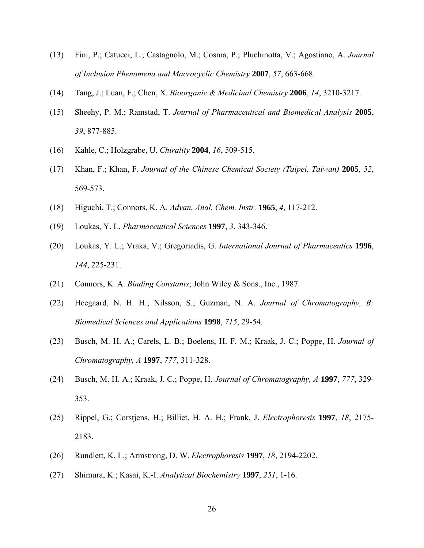- (13) Fini, P.; Catucci, L.; Castagnolo, M.; Cosma, P.; Pluchinotta, V.; Agostiano, A. *Journal of Inclusion Phenomena and Macrocyclic Chemistry* **2007**, *57*, 663-668.
- (14) Tang, J.; Luan, F.; Chen, X. *Bioorganic & Medicinal Chemistry* **2006**, *14*, 3210-3217.
- (15) Sheehy, P. M.; Ramstad, T. *Journal of Pharmaceutical and Biomedical Analysis* **2005**, *39*, 877-885.
- (16) Kahle, C.; Holzgrabe, U. *Chirality* **2004**, *16*, 509-515.
- (17) Khan, F.; Khan, F. *Journal of the Chinese Chemical Society (Taipei, Taiwan)* **2005**, *52*, 569-573.
- (18) Higuchi, T.; Connors, K. A. *Advan. Anal. Chem. Instr.* **1965**, *4*, 117-212.
- (19) Loukas, Y. L. *Pharmaceutical Sciences* **1997**, *3*, 343-346.
- (20) Loukas, Y. L.; Vraka, V.; Gregoriadis, G. *International Journal of Pharmaceutics* **1996**, *144*, 225-231.
- (21) Connors, K. A. *Binding Constants*; John Wiley & Sons., Inc., 1987.
- (22) Heegaard, N. H. H.; Nilsson, S.; Guzman, N. A. *Journal of Chromatography, B: Biomedical Sciences and Applications* **1998**, *715*, 29-54.
- (23) Busch, M. H. A.; Carels, L. B.; Boelens, H. F. M.; Kraak, J. C.; Poppe, H. *Journal of Chromatography, A* **1997**, *777*, 311-328.
- (24) Busch, M. H. A.; Kraak, J. C.; Poppe, H. *Journal of Chromatography, A* **1997**, *777*, 329- 353.
- (25) Rippel, G.; Corstjens, H.; Billiet, H. A. H.; Frank, J. *Electrophoresis* **1997**, *18*, 2175- 2183.
- (26) Rundlett, K. L.; Armstrong, D. W. *Electrophoresis* **1997**, *18*, 2194-2202.
- (27) Shimura, K.; Kasai, K.-I. *Analytical Biochemistry* **1997**, *251*, 1-16.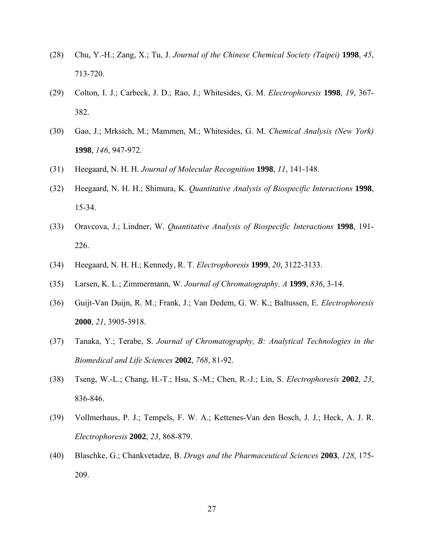- (28) Chu, Y.-H.; Zang, X.; Tu, J. *Journal of the Chinese Chemical Society (Taipei)* **1998**, *45*, 713-720.
- (29) Colton, I. J.; Carbeck, J. D.; Rao, J.; Whitesides, G. M. *Electrophoresis* **1998**, *19*, 367- 382.
- (30) Gao, J.; Mrksich, M.; Mammen, M.; Whitesides, G. M. *Chemical Analysis (New York)* **1998**, *146*, 947-972.
- (31) Heegaard, N. H. H. *Journal of Molecular Recognition* **1998**, *11*, 141-148.
- (32) Heegaard, N. H. H.; Shimura, K. *Quantitative Analysis of Biospecific Interactions* **1998**, 15-34.
- (33) Oravcova, J.; Lindner, W. *Quantitative Analysis of Biospecific Interactions* **1998**, 191- 226.
- (34) Heegaard, N. H. H.; Kennedy, R. T. *Electrophoresis* **1999**, *20*, 3122-3133.
- (35) Larsen, K. L.; Zimmermann, W. *Journal of Chromatography, A* **1999**, *836*, 3-14.
- (36) Guijt-Van Duijn, R. M.; Frank, J.; Van Dedem, G. W. K.; Baltussen, E. *Electrophoresis* **2000**, *21*, 3905-3918.
- (37) Tanaka, Y.; Terabe, S. *Journal of Chromatography, B: Analytical Technologies in the Biomedical and Life Sciences* **2002**, *768*, 81-92.
- (38) Tseng, W.-L.; Chang, H.-T.; Hsu, S.-M.; Chen, R.-J.; Lin, S. *Electrophoresis* **2002**, *23*, 836-846.
- (39) Vollmerhaus, P. J.; Tempels, F. W. A.; Kettenes-Van den Bosch, J. J.; Heck, A. J. R. *Electrophoresis* **2002**, *23*, 868-879.
- (40) Blaschke, G.; Chankvetadze, B. *Drugs and the Pharmaceutical Sciences* **2003**, *128*, 175- 209.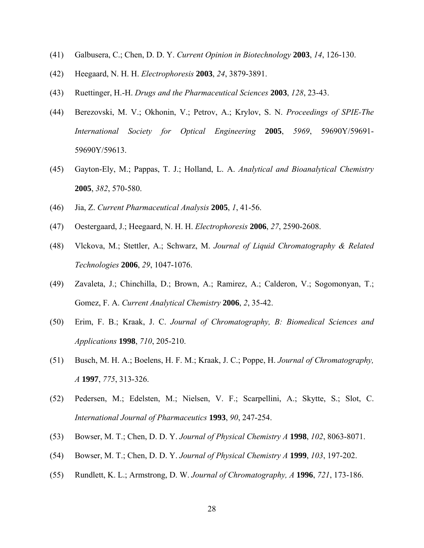- (41) Galbusera, C.; Chen, D. D. Y. *Current Opinion in Biotechnology* **2003**, *14*, 126-130.
- (42) Heegaard, N. H. H. *Electrophoresis* **2003**, *24*, 3879-3891.
- (43) Ruettinger, H.-H. *Drugs and the Pharmaceutical Sciences* **2003**, *128*, 23-43.
- (44) Berezovski, M. V.; Okhonin, V.; Petrov, A.; Krylov, S. N. *Proceedings of SPIE-The International Society for Optical Engineering* **2005**, *5969*, 59690Y/59691- 59690Y/59613.
- (45) Gayton-Ely, M.; Pappas, T. J.; Holland, L. A. *Analytical and Bioanalytical Chemistry* **2005**, *382*, 570-580.
- (46) Jia, Z. *Current Pharmaceutical Analysis* **2005**, *1*, 41-56.
- (47) Oestergaard, J.; Heegaard, N. H. H. *Electrophoresis* **2006**, *27*, 2590-2608.
- (48) Vlckova, M.; Stettler, A.; Schwarz, M. *Journal of Liquid Chromatography & Related Technologies* **2006**, *29*, 1047-1076.
- (49) Zavaleta, J.; Chinchilla, D.; Brown, A.; Ramirez, A.; Calderon, V.; Sogomonyan, T.; Gomez, F. A. *Current Analytical Chemistry* **2006**, *2*, 35-42.
- (50) Erim, F. B.; Kraak, J. C. *Journal of Chromatography, B: Biomedical Sciences and Applications* **1998**, *710*, 205-210.
- (51) Busch, M. H. A.; Boelens, H. F. M.; Kraak, J. C.; Poppe, H. *Journal of Chromatography, A* **1997**, *775*, 313-326.
- (52) Pedersen, M.; Edelsten, M.; Nielsen, V. F.; Scarpellini, A.; Skytte, S.; Slot, C. *International Journal of Pharmaceutics* **1993**, *90*, 247-254.
- (53) Bowser, M. T.; Chen, D. D. Y. *Journal of Physical Chemistry A* **1998**, *102*, 8063-8071.
- (54) Bowser, M. T.; Chen, D. D. Y. *Journal of Physical Chemistry A* **1999**, *103*, 197-202.
- (55) Rundlett, K. L.; Armstrong, D. W. *Journal of Chromatography, A* **1996**, *721*, 173-186.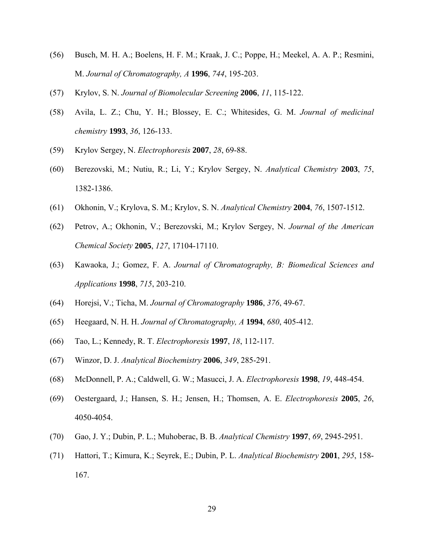- (56) Busch, M. H. A.; Boelens, H. F. M.; Kraak, J. C.; Poppe, H.; Meekel, A. A. P.; Resmini, M. *Journal of Chromatography, A* **1996**, *744*, 195-203.
- (57) Krylov, S. N. *Journal of Biomolecular Screening* **2006**, *11*, 115-122.
- (58) Avila, L. Z.; Chu, Y. H.; Blossey, E. C.; Whitesides, G. M. *Journal of medicinal chemistry* **1993**, *36*, 126-133.
- (59) Krylov Sergey, N. *Electrophoresis* **2007**, *28*, 69-88.
- (60) Berezovski, M.; Nutiu, R.; Li, Y.; Krylov Sergey, N. *Analytical Chemistry* **2003**, *75*, 1382-1386.
- (61) Okhonin, V.; Krylova, S. M.; Krylov, S. N. *Analytical Chemistry* **2004**, *76*, 1507-1512.
- (62) Petrov, A.; Okhonin, V.; Berezovski, M.; Krylov Sergey, N. *Journal of the American Chemical Society* **2005**, *127*, 17104-17110.
- (63) Kawaoka, J.; Gomez, F. A. *Journal of Chromatography, B: Biomedical Sciences and Applications* **1998**, *715*, 203-210.
- (64) Horejsi, V.; Ticha, M. *Journal of Chromatography* **1986**, *376*, 49-67.
- (65) Heegaard, N. H. H. *Journal of Chromatography, A* **1994**, *680*, 405-412.
- (66) Tao, L.; Kennedy, R. T. *Electrophoresis* **1997**, *18*, 112-117.
- (67) Winzor, D. J. *Analytical Biochemistry* **2006**, *349*, 285-291.
- (68) McDonnell, P. A.; Caldwell, G. W.; Masucci, J. A. *Electrophoresis* **1998**, *19*, 448-454.
- (69) Oestergaard, J.; Hansen, S. H.; Jensen, H.; Thomsen, A. E. *Electrophoresis* **2005**, *26*, 4050-4054.
- (70) Gao, J. Y.; Dubin, P. L.; Muhoberac, B. B. *Analytical Chemistry* **1997**, *69*, 2945-2951.
- (71) Hattori, T.; Kimura, K.; Seyrek, E.; Dubin, P. L. *Analytical Biochemistry* **2001**, *295*, 158- 167.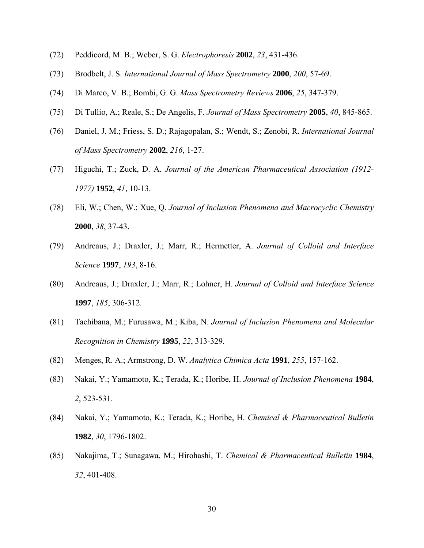- (72) Peddicord, M. B.; Weber, S. G. *Electrophoresis* **2002**, *23*, 431-436.
- (73) Brodbelt, J. S. *International Journal of Mass Spectrometry* **2000**, *200*, 57-69.
- (74) Di Marco, V. B.; Bombi, G. G. *Mass Spectrometry Reviews* **2006**, *25*, 347-379.
- (75) Di Tullio, A.; Reale, S.; De Angelis, F. *Journal of Mass Spectrometry* **2005**, *40*, 845-865.
- (76) Daniel, J. M.; Friess, S. D.; Rajagopalan, S.; Wendt, S.; Zenobi, R. *International Journal of Mass Spectrometry* **2002**, *216*, 1-27.
- (77) Higuchi, T.; Zuck, D. A. *Journal of the American Pharmaceutical Association (1912- 1977)* **1952**, *41*, 10-13.
- (78) Eli, W.; Chen, W.; Xue, Q. *Journal of Inclusion Phenomena and Macrocyclic Chemistry* **2000**, *38*, 37-43.
- (79) Andreaus, J.; Draxler, J.; Marr, R.; Hermetter, A. *Journal of Colloid and Interface Science* **1997**, *193*, 8-16.
- (80) Andreaus, J.; Draxler, J.; Marr, R.; Lohner, H. *Journal of Colloid and Interface Science* **1997**, *185*, 306-312.
- (81) Tachibana, M.; Furusawa, M.; Kiba, N. *Journal of Inclusion Phenomena and Molecular Recognition in Chemistry* **1995**, *22*, 313-329.
- (82) Menges, R. A.; Armstrong, D. W. *Analytica Chimica Acta* **1991**, *255*, 157-162.
- (83) Nakai, Y.; Yamamoto, K.; Terada, K.; Horibe, H. *Journal of Inclusion Phenomena* **1984**, *2*, 523-531.
- (84) Nakai, Y.; Yamamoto, K.; Terada, K.; Horibe, H. *Chemical & Pharmaceutical Bulletin* **1982**, *30*, 1796-1802.
- (85) Nakajima, T.; Sunagawa, M.; Hirohashi, T. *Chemical & Pharmaceutical Bulletin* **1984**, *32*, 401-408.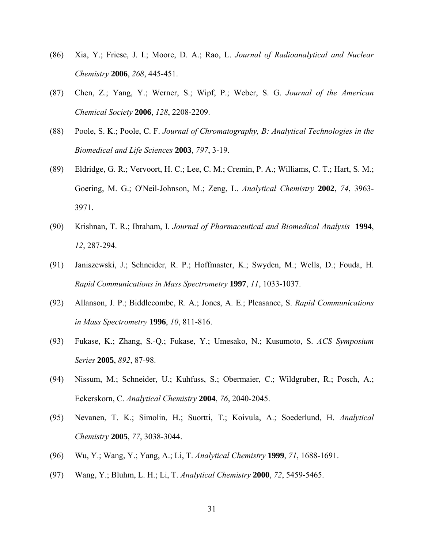- (86) Xia, Y.; Friese, J. I.; Moore, D. A.; Rao, L. *Journal of Radioanalytical and Nuclear Chemistry* **2006**, *268*, 445-451.
- (87) Chen, Z.; Yang, Y.; Werner, S.; Wipf, P.; Weber, S. G. *Journal of the American Chemical Society* **2006**, *128*, 2208-2209.
- (88) Poole, S. K.; Poole, C. F. *Journal of Chromatography, B: Analytical Technologies in the Biomedical and Life Sciences* **2003**, *797*, 3-19.
- (89) Eldridge, G. R.; Vervoort, H. C.; Lee, C. M.; Cremin, P. A.; Williams, C. T.; Hart, S. M.; Goering, M. G.; O'Neil-Johnson, M.; Zeng, L. *Analytical Chemistry* **2002**, *74*, 3963- 3971.
- (90) Krishnan, T. R.; Ibraham, I. *Journal of Pharmaceutical and Biomedical Analysis* **1994**, *12*, 287-294.
- (91) Janiszewski, J.; Schneider, R. P.; Hoffmaster, K.; Swyden, M.; Wells, D.; Fouda, H. *Rapid Communications in Mass Spectrometry* **1997**, *11*, 1033-1037.
- (92) Allanson, J. P.; Biddlecombe, R. A.; Jones, A. E.; Pleasance, S. *Rapid Communications in Mass Spectrometry* **1996**, *10*, 811-816.
- (93) Fukase, K.; Zhang, S.-Q.; Fukase, Y.; Umesako, N.; Kusumoto, S. *ACS Symposium Series* **2005**, *892*, 87-98.
- (94) Nissum, M.; Schneider, U.; Kuhfuss, S.; Obermaier, C.; Wildgruber, R.; Posch, A.; Eckerskorn, C. *Analytical Chemistry* **2004**, *76*, 2040-2045.
- (95) Nevanen, T. K.; Simolin, H.; Suortti, T.; Koivula, A.; Soederlund, H. *Analytical Chemistry* **2005**, *77*, 3038-3044.
- (96) Wu, Y.; Wang, Y.; Yang, A.; Li, T. *Analytical Chemistry* **1999**, *71*, 1688-1691.
- (97) Wang, Y.; Bluhm, L. H.; Li, T. *Analytical Chemistry* **2000**, *72*, 5459-5465.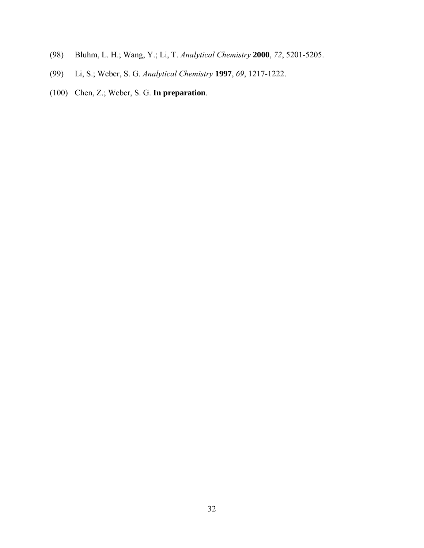- (98) Bluhm, L. H.; Wang, Y.; Li, T. *Analytical Chemistry* **2000**, *72*, 5201-5205.
- (99) Li, S.; Weber, S. G. *Analytical Chemistry* **1997**, *69*, 1217-1222.
- (100) Chen, Z.; Weber, S. G. **In preparation**.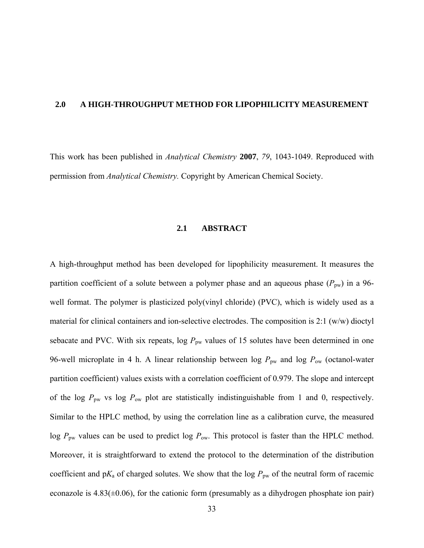## **2.0 A HIGH-THROUGHPUT METHOD FOR LIPOPHILICITY MEASUREMENT**

This work has been published in *Analytical Chemistry* **2007**, *79*, 1043-1049. Reproduced with permission from *Analytical Chemistry.* Copyright by American Chemical Society.

## **2.1 ABSTRACT**

A high-throughput method has been developed for lipophilicity measurement. It measures the partition coefficient of a solute between a polymer phase and an aqueous phase  $(P_{\text{pw}})$  in a 96well format. The polymer is plasticized poly(vinyl chloride) (PVC), which is widely used as a material for clinical containers and ion-selective electrodes. The composition is 2:1 (w/w) dioctyl sebacate and PVC. With six repeats,  $\log P_{\text{pw}}$  values of 15 solutes have been determined in one 96-well microplate in 4 h. A linear relationship between log  $P_{\text{pw}}$  and log  $P_{\text{ow}}$  (octanol-water partition coefficient) values exists with a correlation coefficient of 0.979. The slope and intercept of the log  $P_{\text{pw}}$  vs log  $P_{\text{ow}}$  plot are statistically indistinguishable from 1 and 0, respectively. Similar to the HPLC method, by using the correlation line as a calibration curve, the measured log  $P_{\text{pw}}$  values can be used to predict log  $P_{\text{ow}}$ . This protocol is faster than the HPLC method. Moreover, it is straightforward to extend the protocol to the determination of the distribution coefficient and  $pK_a$  of charged solutes. We show that the log  $P_{pw}$  of the neutral form of racemic econazole is  $4.83(\pm 0.06)$ , for the cationic form (presumably as a dihydrogen phosphate ion pair)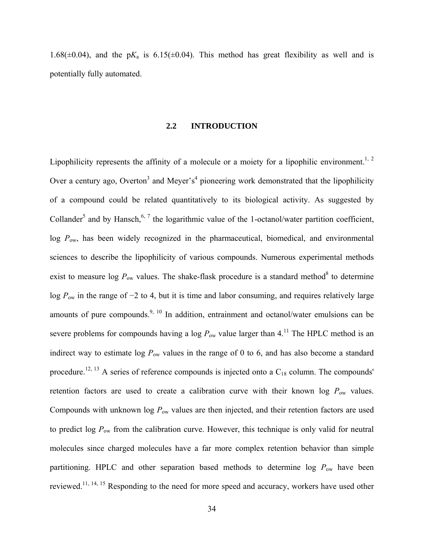1.68( $\pm$ 0.04), and the p $K_a$  is 6.15( $\pm$ 0.04). This method has great flexibility as well and is potentially fully automated.

### **2.2 INTRODUCTION**

Lipophilicity represents the affinity of a molecule or a moiety for a lipophilic environment.<sup>1, 2</sup> Over a century ago, Overton<sup>3</sup> and Meyer's<sup>4</sup> pioneering work demonstrated that the lipophilicity of a compound could be related quantitatively to its biological activity. As suggested by Collander<sup>5</sup> and by Hansch,<sup>6, 7</sup> the logarithmic value of the 1-octanol/water partition coefficient,  $\log P_{\text{ow}}$ , has been widely recognized in the pharmaceutical, biomedical, and environmental sciences to describe the lipophilicity of various compounds. Numerous experimental methods exist to measure  $\log P_{\text{ow}}$  values. The shake-flask procedure is a standard method<sup>8</sup> to determine log *P*ow in the range of −2 to 4, but it is time and labor consuming, and requires relatively large amounts of pure compounds.<sup>9, 10</sup> In addition, entrainment and octanol/water emulsions can be severe problems for compounds having a log  $P_{\text{ow}}$  value larger than 4.<sup>11</sup> The HPLC method is an indirect way to estimate  $log P_{ow}$  values in the range of 0 to 6, and has also become a standard procedure.<sup>12, 13</sup> A series of reference compounds is injected onto a  $C_{18}$  column. The compounds' retention factors are used to create a calibration curve with their known log  $P_{ow}$  values. Compounds with unknown log *P*ow values are then injected, and their retention factors are used to predict log  $P_{ow}$  from the calibration curve. However, this technique is only valid for neutral molecules since charged molecules have a far more complex retention behavior than simple partitioning. HPLC and other separation based methods to determine log  $P_{\text{ow}}$  have been reviewed.11, 14, 15 Responding to the need for more speed and accuracy, workers have used other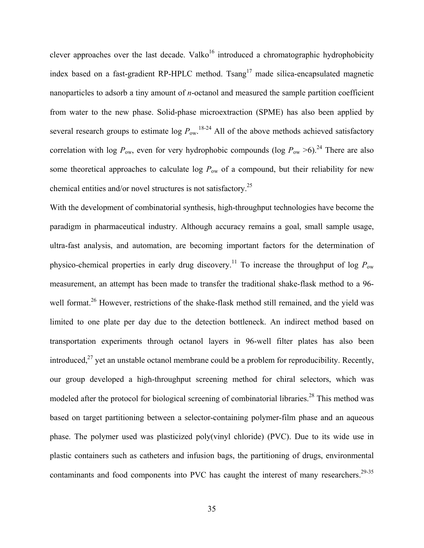clever approaches over the last decade. Valko<sup>16</sup> introduced a chromatographic hydrophobicity index based on a fast-gradient RP-HPLC method. Tsang<sup>17</sup> made silica-encapsulated magnetic nanoparticles to adsorb a tiny amount of *n*-octanol and measured the sample partition coefficient from water to the new phase. Solid-phase microextraction (SPME) has also been applied by several research groups to estimate  $\log P_{\text{ow}}$ .<sup>18-24</sup> All of the above methods achieved satisfactory correlation with log  $P_{\text{ow}}$ , even for very hydrophobic compounds (log  $P_{\text{ow}} > 6$ ).<sup>24</sup> There are also some theoretical approaches to calculate log  $P_{\text{ow}}$  of a compound, but their reliability for new chemical entities and/or novel structures is not satisfactory.25

With the development of combinatorial synthesis, high-throughput technologies have become the paradigm in pharmaceutical industry. Although accuracy remains a goal, small sample usage, ultra-fast analysis, and automation, are becoming important factors for the determination of physico-chemical properties in early drug discovery.<sup>11</sup> To increase the throughput of log  $P_{\text{ow}}$ measurement, an attempt has been made to transfer the traditional shake-flask method to a 96 well format.<sup>26</sup> However, restrictions of the shake-flask method still remained, and the yield was limited to one plate per day due to the detection bottleneck. An indirect method based on transportation experiments through octanol layers in 96-well filter plates has also been introduced, $^{27}$  yet an unstable octanol membrane could be a problem for reproducibility. Recently, our group developed a high-throughput screening method for chiral selectors, which was modeled after the protocol for biological screening of combinatorial libraries.<sup>28</sup> This method was based on target partitioning between a selector-containing polymer-film phase and an aqueous phase. The polymer used was plasticized poly(vinyl chloride) (PVC). Due to its wide use in plastic containers such as catheters and infusion bags, the partitioning of drugs, environmental contaminants and food components into PVC has caught the interest of many researchers.<sup>29-35</sup>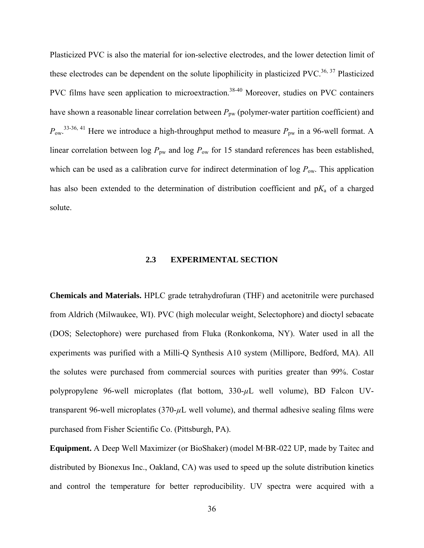Plasticized PVC is also the material for ion-selective electrodes, and the lower detection limit of these electrodes can be dependent on the solute lipophilicity in plasticized PVC.<sup>36, 37</sup> Plasticized PVC films have seen application to microextraction.<sup>38-40</sup> Moreover, studies on PVC containers have shown a reasonable linear correlation between  $P_{pw}$  (polymer-water partition coefficient) and  $P_{\text{ow}}$ .<sup>33-36, 41</sup> Here we introduce a high-throughput method to measure  $P_{\text{pw}}$  in a 96-well format. A linear correlation between log  $P_{\text{pw}}$  and log  $P_{\text{ow}}$  for 15 standard references has been established, which can be used as a calibration curve for indirect determination of  $\log P_{\text{ow}}$ . This application has also been extended to the determination of distribution coefficient and  $pK_a$  of a charged solute.

## **2.3 EXPERIMENTAL SECTION**

**Chemicals and Materials.** HPLC grade tetrahydrofuran (THF) and acetonitrile were purchased from Aldrich (Milwaukee, WI). PVC (high molecular weight, Selectophore) and dioctyl sebacate (DOS; Selectophore) were purchased from Fluka (Ronkonkoma, NY). Water used in all the experiments was purified with a Milli-Q Synthesis A10 system (Millipore, Bedford, MA). All the solutes were purchased from commercial sources with purities greater than 99%. Costar polypropylene 96-well microplates (flat bottom, 330-*µ*L well volume), BD Falcon UVtransparent 96-well microplates (370-*µ*L well volume), and thermal adhesive sealing films were purchased from Fisher Scientific Co. (Pittsburgh, PA).

**Equipment.** A Deep Well Maximizer (or BioShaker) (model M·BR-022 UP, made by Taitec and distributed by Bionexus Inc., Oakland, CA) was used to speed up the solute distribution kinetics and control the temperature for better reproducibility. UV spectra were acquired with a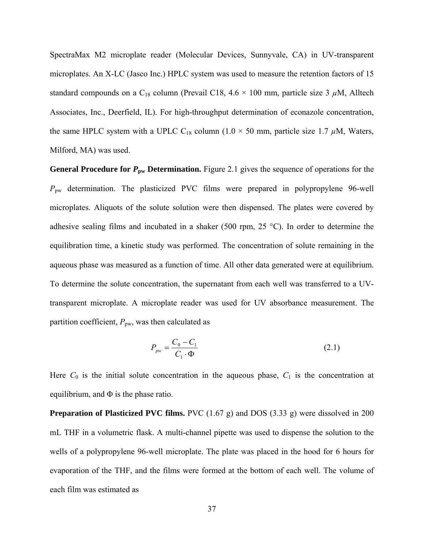SpectraMax M2 microplate reader (Molecular Devices, Sunnyvale, CA) in UV-transparent microplates. An X-LC (Jasco Inc.) HPLC system was used to measure the retention factors of 15 standard compounds on a  $C_{18}$  column (Prevail C18, 4.6  $\times$  100 mm, particle size 3  $\mu$ M, Alltech Associates, Inc., Deerfield, IL). For high-throughput determination of econazole concentration, the same HPLC system with a UPLC C<sub>18</sub> column (1.0  $\times$  50 mm, particle size 1.7  $\mu$ M, Waters, Milford, MA) was used.

General Procedure for  $P_{\text{pw}}$  Determination. Figure 2.1 gives the sequence of operations for the *P*pw determination. The plasticized PVC films were prepared in polypropylene 96-well microplates. Aliquots of the solute solution were then dispensed. The plates were covered by adhesive sealing films and incubated in a shaker (500 rpm, 25 °C). In order to determine the equilibration time, a kinetic study was performed. The concentration of solute remaining in the aqueous phase was measured as a function of time. All other data generated were at equilibrium. To determine the solute concentration, the supernatant from each well was transferred to a UVtransparent microplate. A microplate reader was used for UV absorbance measurement. The partition coefficient,  $P_{\text{pw}}$ , was then calculated as

$$
P_{\scriptscriptstyle{pw}} = \frac{C_0 - C_1}{C_1 \cdot \Phi} \tag{2.1}
$$

Here  $C_0$  is the initial solute concentration in the aqueous phase,  $C_1$  is the concentration at equilibrium, and  $\Phi$  is the phase ratio.

**Preparation of Plasticized PVC films.** PVC (1.67 g) and DOS (3.33 g) were dissolved in 200 mL THF in a volumetric flask. A multi-channel pipette was used to dispense the solution to the wells of a polypropylene 96-well microplate. The plate was placed in the hood for 6 hours for evaporation of the THF, and the films were formed at the bottom of each well. The volume of each film was estimated as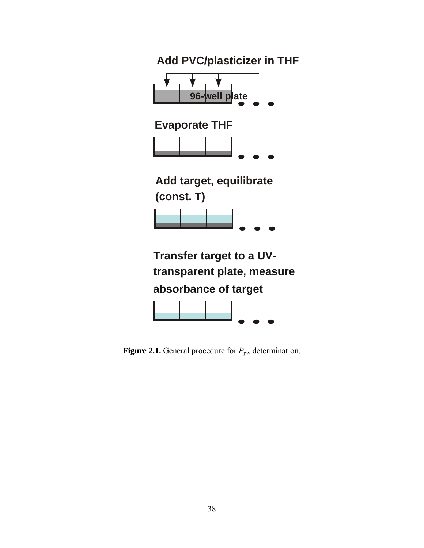

**Figure 2.1.** General procedure for  $P_{\text{pw}}$  determination.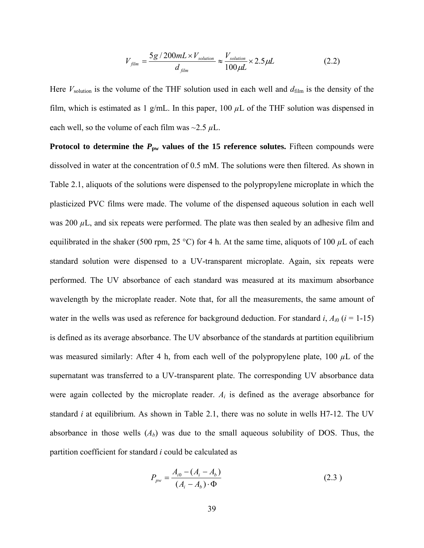$$
V_{film} = \frac{5g/200mL \times V_{solution}}{d_{film}} \approx \frac{V_{solution}}{100 \mu L} \times 2.5 \mu L
$$
 (2.2)

Here  $V_{\text{solution}}$  is the volume of the THF solution used in each well and  $d_{\text{film}}$  is the density of the film, which is estimated as 1 g/mL. In this paper,  $100 \mu L$  of the THF solution was dispensed in each well, so the volume of each film was  $\sim$ 2.5  $\mu$ L.

**Protocol to determine the**  $P_{\text{pw}}$  **values of the 15 reference solutes.** Fifteen compounds were dissolved in water at the concentration of 0.5 mM. The solutions were then filtered. As shown in Table 2.1, aliquots of the solutions were dispensed to the polypropylene microplate in which the plasticized PVC films were made. The volume of the dispensed aqueous solution in each well was 200  $\mu$ L, and six repeats were performed. The plate was then sealed by an adhesive film and equilibrated in the shaker (500 rpm, 25 °C) for 4 h. At the same time, aliquots of 100  $\mu$ L of each standard solution were dispensed to a UV-transparent microplate. Again, six repeats were performed. The UV absorbance of each standard was measured at its maximum absorbance wavelength by the microplate reader. Note that, for all the measurements, the same amount of water in the wells was used as reference for background deduction. For standard  $i$ ,  $A_{i0}$  ( $i = 1-15$ ) is defined as its average absorbance. The UV absorbance of the standards at partition equilibrium was measured similarly: After 4 h, from each well of the polypropylene plate,  $100 \mu L$  of the supernatant was transferred to a UV-transparent plate. The corresponding UV absorbance data were again collected by the microplate reader. *Ai* is defined as the average absorbance for standard *i* at equilibrium. As shown in Table 2.1, there was no solute in wells H7-12. The UV absorbance in those wells  $(A<sub>b</sub>)$  was due to the small aqueous solubility of DOS. Thus, the partition coefficient for standard *i* could be calculated as

$$
P_{\text{pw}} = \frac{A_{i0} - (A_i - A_b)}{(A_i - A_b) \cdot \Phi} \tag{2.3}
$$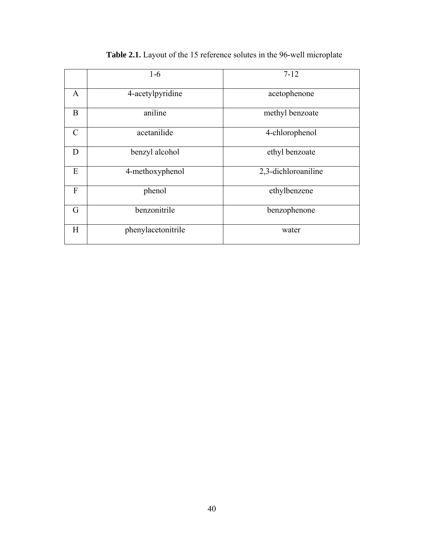|                | $1-6$              | $7 - 12$            |
|----------------|--------------------|---------------------|
| A              | 4-acetylpyridine   | acetophenone        |
| B              | aniline            | methyl benzoate     |
| $\mathcal{C}$  | acetanilide        | 4-chlorophenol      |
| D              | benzyl alcohol     | ethyl benzoate      |
| E              | 4-methoxyphenol    | 2,3-dichloroaniline |
| $\overline{F}$ | phenol             | ethylbenzene        |
| G              | benzonitrile       | benzophenone        |
| H              | phenylacetonitrile | water               |

# **Table 2.1.** Layout of the 15 reference solutes in the 96-well microplate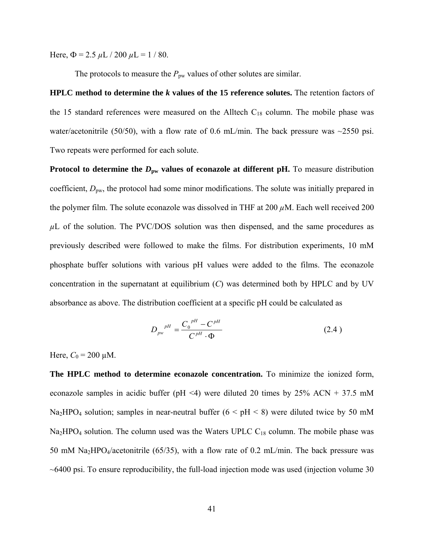Here,  $\Phi = 2.5 \mu L / 200 \mu L = 1 / 80$ .

The protocols to measure the  $P_{\text{pw}}$  values of other solutes are similar.

**HPLC method to determine the** *k* **values of the 15 reference solutes.** The retention factors of the 15 standard references were measured on the Alltech  $C_{18}$  column. The mobile phase was water/acetonitrile (50/50), with a flow rate of 0.6 mL/min. The back pressure was  $\sim$ 2550 psi. Two repeats were performed for each solute.

**Protocol to determine the**  $D_{\text{pw}}$  **values of econazole at different pH. To measure distribution** coefficient,  $D_{\text{pw}}$ , the protocol had some minor modifications. The solute was initially prepared in the polymer film. The solute econazole was dissolved in THF at 200 *µ*M. Each well received 200  $\mu$ L of the solution. The PVC/DOS solution was then dispensed, and the same procedures as previously described were followed to make the films. For distribution experiments, 10 mM phosphate buffer solutions with various pH values were added to the films. The econazole concentration in the supernatant at equilibrium (*C*) was determined both by HPLC and by UV absorbance as above. The distribution coefficient at a specific pH could be calculated as

$$
D_{\scriptscriptstyle{pw}}^{\ \ \ \rho H} = \frac{C_0^{\ \ \rho H} - C^{\ \rho H}}{C^{\ \rho H} \cdot \Phi} \tag{2.4}
$$

Here,  $C_0 = 200 \mu M$ .

**The HPLC method to determine econazole concentration.** To minimize the ionized form, econazole samples in acidic buffer (pH <4) were diluted 20 times by  $25\%$  ACN + 37.5 mM Na<sub>2</sub>HPO<sub>4</sub> solution; samples in near-neutral buffer ( $6 < pH < 8$ ) were diluted twice by 50 mM  $Na<sub>2</sub>HPO<sub>4</sub>$  solution. The column used was the Waters UPLC  $C<sub>18</sub>$  column. The mobile phase was 50 mM Na<sub>2</sub>HPO<sub>4</sub>/acetonitrile (65/35), with a flow rate of 0.2 mL/min. The back pressure was  $\sim$  6400 psi. To ensure reproducibility, the full-load injection mode was used (injection volume 30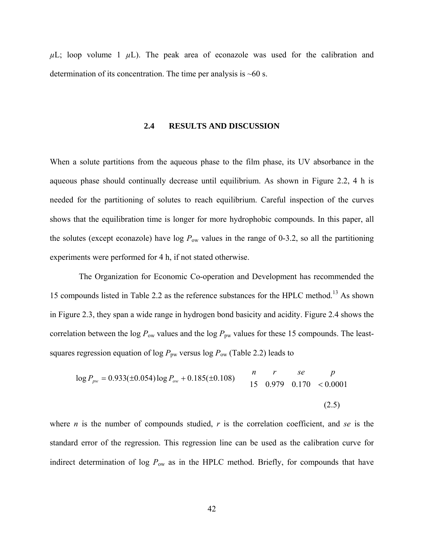$\mu$ L; loop volume 1  $\mu$ L). The peak area of econazole was used for the calibration and determination of its concentration. The time per analysis is  $~60$  s.

#### **2.4 RESULTS AND DISCUSSION**

When a solute partitions from the aqueous phase to the film phase, its UV absorbance in the aqueous phase should continually decrease until equilibrium. As shown in Figure 2.2, 4 h is needed for the partitioning of solutes to reach equilibrium. Careful inspection of the curves shows that the equilibration time is longer for more hydrophobic compounds. In this paper, all the solutes (except econazole) have log  $P_{ow}$  values in the range of 0-3.2, so all the partitioning experiments were performed for 4 h, if not stated otherwise.

 The Organization for Economic Co-operation and Development has recommended the 15 compounds listed in Table 2.2 as the reference substances for the HPLC method.<sup>13</sup> As shown in Figure 2.3, they span a wide range in hydrogen bond basicity and acidity. Figure 2.4 shows the correlation between the log  $P_{\text{ow}}$  values and the log  $P_{\text{pw}}$  values for these 15 compounds. The leastsquares regression equation of  $\log P_{\text{pw}}$  versus  $\log P_{\text{ow}}$  (Table 2.2) leads to

$$
\log P_{\text{pw}} = 0.933(\pm 0.054) \log P_{\text{ow}} + 0.185(\pm 0.108) \qquad \begin{array}{ccc} n & r & s e & p \\ 15 & 0.979 & 0.170 & < 0.0001 \end{array}
$$
\n(2.5)

where *n* is the number of compounds studied, *r* is the correlation coefficient, and *se* is the standard error of the regression. This regression line can be used as the calibration curve for indirect determination of log  $P_{\text{ow}}$  as in the HPLC method. Briefly, for compounds that have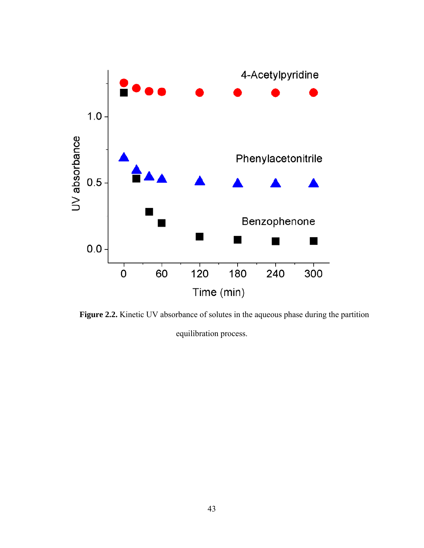

Figure 2.2. Kinetic UV absorbance of solutes in the aqueous phase during the partition equilibration process.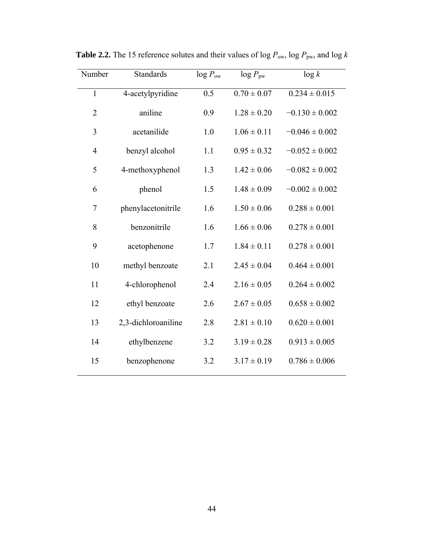| Number         | <b>Standards</b>    |                  | $log P_{\text{pw}}$ | $\log k$           |
|----------------|---------------------|------------------|---------------------|--------------------|
| $\mathbf{1}$   | 4-acetylpyridine    | $\overline{0.5}$ | $0.70 \pm 0.07$     | $0.234 \pm 0.015$  |
| $\overline{2}$ | aniline             | 0.9              | $1.28 \pm 0.20$     | $-0.130 \pm 0.002$ |
| 3              | acetanilide         | 1.0              | $1.06 \pm 0.11$     | $-0.046 \pm 0.002$ |
| $\overline{4}$ | benzyl alcohol      | 1.1              | $0.95 \pm 0.32$     | $-0.052 \pm 0.002$ |
| 5              | 4-methoxyphenol     | 1.3              | $1.42 \pm 0.06$     | $-0.082 \pm 0.002$ |
| 6              | phenol              | 1.5              | $1.48 \pm 0.09$     | $-0.002 \pm 0.002$ |
| $\overline{7}$ | phenylacetonitrile  | 1.6              | $1.50 \pm 0.06$     | $0.288 \pm 0.001$  |
| 8              | benzonitrile        | 1.6              | $1.66 \pm 0.06$     | $0.278 \pm 0.001$  |
| 9              | acetophenone        | 1.7              | $1.84 \pm 0.11$     | $0.278 \pm 0.001$  |
| 10             | methyl benzoate     | 2.1              | $2.45 \pm 0.04$     | $0.464 \pm 0.001$  |
| 11             | 4-chlorophenol      | 2.4              | $2.16 \pm 0.05$     | $0.264 \pm 0.002$  |
| 12             | ethyl benzoate      | 2.6              | $2.67 \pm 0.05$     | $0.658 \pm 0.002$  |
| 13             | 2,3-dichloroaniline | 2.8              | $2.81 \pm 0.10$     | $0.620 \pm 0.001$  |
| 14             | ethylbenzene        | 3.2              | $3.19 \pm 0.28$     | $0.913 \pm 0.005$  |
| 15             | benzophenone        | 3.2              | $3.17 \pm 0.19$     | $0.786 \pm 0.006$  |

**Table 2.2.** The 15 reference solutes and their values of log  $P_{\text{ow}}$ , log  $P_{\text{pw}}$ , and log *k*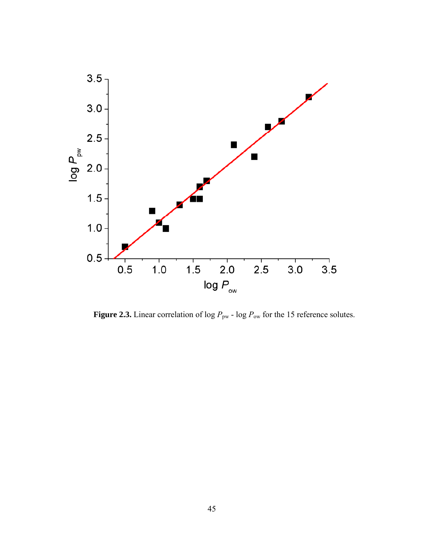

**Figure 2.3.** Linear correlation of  $\log P_{\text{pw}}$  -  $\log P_{\text{ow}}$  for the 15 reference solutes.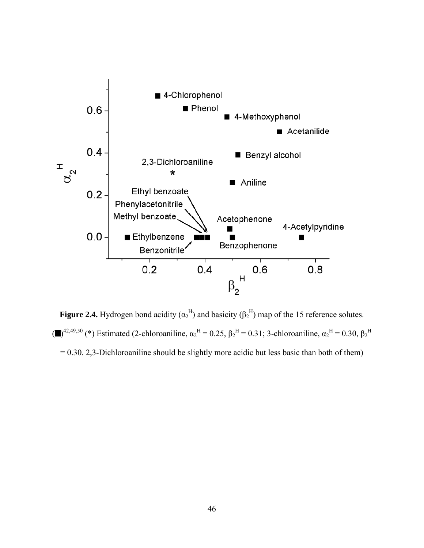

**Figure 2.4.** Hydrogen bond acidity  $(\alpha_2^H)$  and basicity  $(\beta_2^H)$  map of the 15 reference solutes. (■)<sup>42,49,50</sup> (\*) Estimated (2-chloroaniline,  $\alpha_2^H = 0.25$ ,  $\beta_2^H = 0.31$ ; 3-chloroaniline,  $\alpha_2^H = 0.30$ ,  $\beta_2^H$  $= 0.30$ . 2,3-Dichloroaniline should be slightly more acidic but less basic than both of them)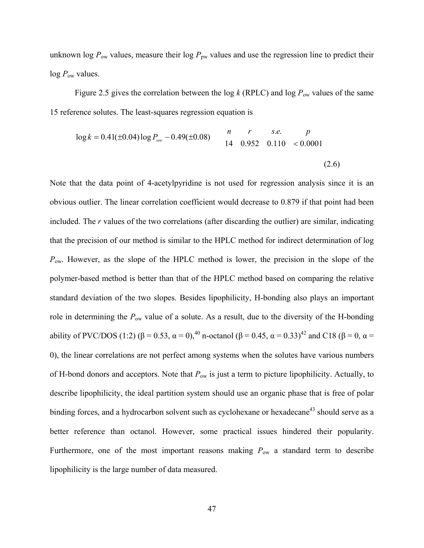unknown log  $P_{\text{ow}}$  values, measure their log  $P_{\text{pw}}$  values and use the regression line to predict their log  $P_{\text{ow}}$  values.

Figure 2.5 gives the correlation between the log  $k$  (RPLC) and log  $P_{\text{ow}}$  values of the same 15 reference solutes. The least-squares regression equation is

$$
\log k = 0.41(\pm 0.04) \log P_{ow} - 0.49(\pm 0.08) \qquad \begin{array}{ccc} n & r & s.e. & p \\ 14 & 0.952 & 0.110 & < 0.0001 \end{array} \tag{2.6}
$$

Note that the data point of 4-acetylpyridine is not used for regression analysis since it is an obvious outlier. The linear correlation coefficient would decrease to 0.879 if that point had been included. The *r* values of the two correlations (after discarding the outlier) are similar, indicating that the precision of our method is similar to the HPLC method for indirect determination of log  $P_{\text{ow}}$ . However, as the slope of the HPLC method is lower, the precision in the slope of the polymer-based method is better than that of the HPLC method based on comparing the relative standard deviation of the two slopes. Besides lipophilicity, H-bonding also plays an important role in determining the *P*ow value of a solute. As a result, due to the diversity of the H-bonding ability of PVC/DOS (1:2) (β = 0.53,  $\alpha$  = 0),<sup>40</sup> n-octanol (β = 0.45,  $\alpha$  = 0.33)<sup>42</sup> and C18 (β = 0,  $\alpha$  = 0), the linear correlations are not perfect among systems when the solutes have various numbers of H-bond donors and acceptors. Note that *P*ow is just a term to picture lipophilicity. Actually, to describe lipophilicity, the ideal partition system should use an organic phase that is free of polar binding forces, and a hydrocarbon solvent such as cyclohexane or hexadecane<sup>43</sup> should serve as a better reference than octanol. However, some practical issues hindered their popularity. Furthermore, one of the most important reasons making  $P_{ow}$  a standard term to describe lipophilicity is the large number of data measured.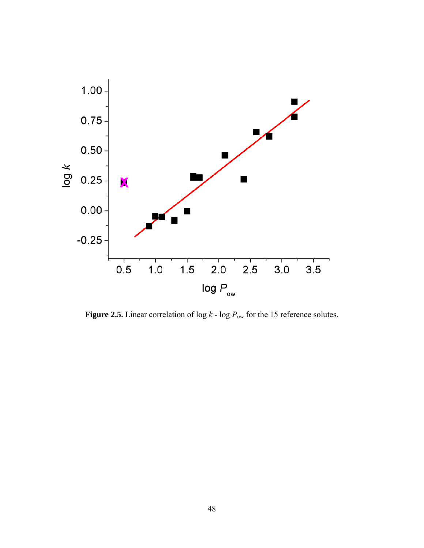

**Figure 2.5.** Linear correlation of  $\log k$  -  $\log P_{\text{ow}}$  for the 15 reference solutes.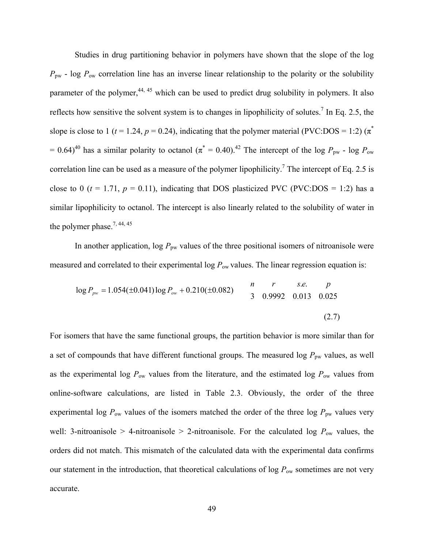Studies in drug partitioning behavior in polymers have shown that the slope of the log  $P_{\text{pw}}$  - log  $P_{\text{ow}}$  correlation line has an inverse linear relationship to the polarity or the solubility parameter of the polymer, $44, 45$  which can be used to predict drug solubility in polymers. It also reflects how sensitive the solvent system is to changes in lipophilicity of solutes.<sup>7</sup> In Eq. 2.5, the slope is close to 1 ( $t = 1.24$ ,  $p = 0.24$ ), indicating that the polymer material (PVC:DOS = 1:2) ( $\pi^*$ )  $= 0.64$ <sup>40</sup> has a similar polarity to octanol ( $\pi^* = 0.40$ ).<sup>42</sup> The intercept of the log  $P_{\text{pw}}$  - log  $P_{\text{ow}}$ correlation line can be used as a measure of the polymer lipophilicity.<sup>7</sup> The intercept of Eq. 2.5 is close to 0 ( $t = 1.71$ ,  $p = 0.11$ ), indicating that DOS plasticized PVC (PVC:DOS = 1:2) has a similar lipophilicity to octanol. The intercept is also linearly related to the solubility of water in the polymer phase.<sup>7, 44, 45</sup>

In another application,  $\log P_{\text{pw}}$  values of the three positional isomers of nitroanisole were measured and correlated to their experimental log  $P_{\text{ow}}$  values. The linear regression equation is:

$$
\log P_{\text{pw}} = 1.054(\pm 0.041) \log P_{\text{ow}} + 0.210(\pm 0.082) \qquad \begin{array}{ccc} n & r & s.e. & p \\ 3 & 0.9992 & 0.013 & 0.025 \end{array}
$$
 (2.7)

For isomers that have the same functional groups, the partition behavior is more similar than for a set of compounds that have different functional groups. The measured log  $P_{\text{pw}}$  values, as well as the experimental log  $P_{\text{ow}}$  values from the literature, and the estimated log  $P_{\text{ow}}$  values from online-software calculations, are listed in Table 2.3. Obviously, the order of the three experimental log  $P_{\text{ow}}$  values of the isomers matched the order of the three log  $P_{\text{pw}}$  values very well: 3-nitroanisole > 4-nitroanisole > 2-nitroanisole. For the calculated log  $P_{\text{ow}}$  values, the orders did not match. This mismatch of the calculated data with the experimental data confirms our statement in the introduction, that theoretical calculations of  $\log P_{\text{ow}}$  sometimes are not very accurate.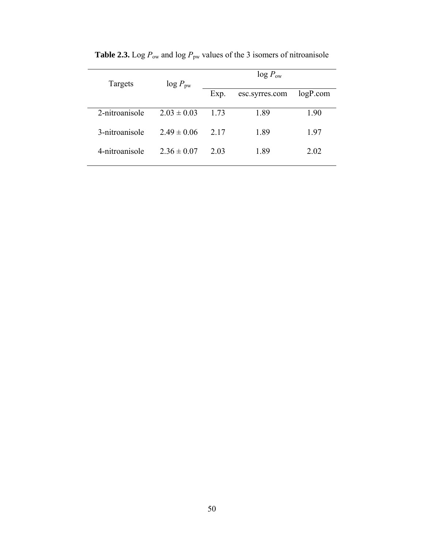| Targets        | $log P_{\text{pw}}$ | $log P_{ow}$ |                |          |
|----------------|---------------------|--------------|----------------|----------|
|                |                     | Exp.         | esc.syrres.com | logP.com |
| 2-nitroanisole | $2.03 \pm 0.03$     | 1 73         | 1.89           | 1.90     |
| 3-nitroanisole | $2.49 \pm 0.06$     | 2.17         | 1.89           | 197      |
| 4-nitroanisole | $2.36 \pm 0.07$     | 2.03         | 1.89           | 2.02     |
|                |                     |              |                |          |

**Table 2.3.** Log  $P_{\text{ow}}$  and log  $P_{\text{pw}}$  values of the 3 isomers of nitroanisole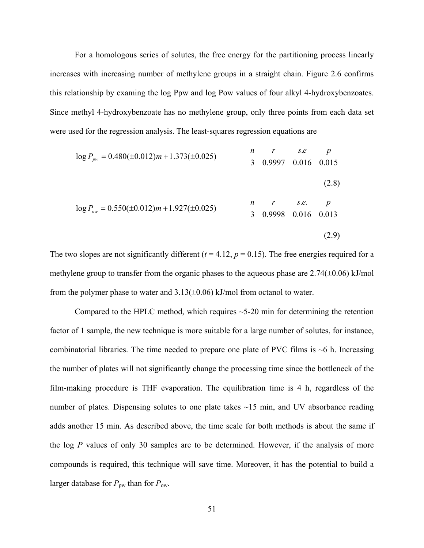For a homologous series of solutes, the free energy for the partitioning process linearly increases with increasing number of methylene groups in a straight chain. Figure 2.6 confirms this relationship by examing the log Ppw and log Pow values of four alkyl 4-hydroxybenzoates. Since methyl 4-hydroxybenzoate has no methylene group, only three points from each data set were used for the regression analysis. The least-squares regression equations are

$$
\log P_{\text{pw}} = 0.480(\pm 0.012)m + 1.373(\pm 0.025)
$$
\n
$$
n \quad r \quad s.e. \quad p
$$
\n
$$
3 \quad 0.9997 \quad 0.016 \quad 0.015
$$
\n
$$
\log P_{\text{ow}} = 0.550(\pm 0.012)m + 1.927(\pm 0.025)
$$
\n
$$
n \quad r \quad s.e. \quad p
$$
\n
$$
3 \quad 0.9998 \quad 0.016 \quad 0.013
$$
\n
$$
(2.9)
$$

The two slopes are not significantly different  $(t = 4.12, p = 0.15)$ . The free energies required for a methylene group to transfer from the organic phases to the aqueous phase are  $2.74(\pm 0.06)$  kJ/mol from the polymer phase to water and  $3.13(\pm 0.06)$  kJ/mol from octanol to water.

Compared to the HPLC method, which requires  $\sim$  5-20 min for determining the retention factor of 1 sample, the new technique is more suitable for a large number of solutes, for instance, combinatorial libraries. The time needed to prepare one plate of PVC films is  $\sim$ 6 h. Increasing the number of plates will not significantly change the processing time since the bottleneck of the film-making procedure is THF evaporation. The equilibration time is 4 h, regardless of the number of plates. Dispensing solutes to one plate takes ~15 min, and UV absorbance reading adds another 15 min. As described above, the time scale for both methods is about the same if the log *P* values of only 30 samples are to be determined. However, if the analysis of more compounds is required, this technique will save time. Moreover, it has the potential to build a larger database for  $P_{\text{pw}}$  than for  $P_{\text{ow}}$ .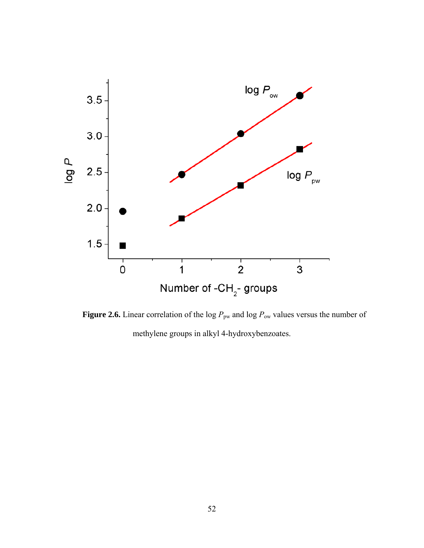

**Figure 2.6.** Linear correlation of the log  $P_{\text{pw}}$  and log  $P_{\text{ow}}$  values versus the number of methylene groups in alkyl 4-hydroxybenzoates.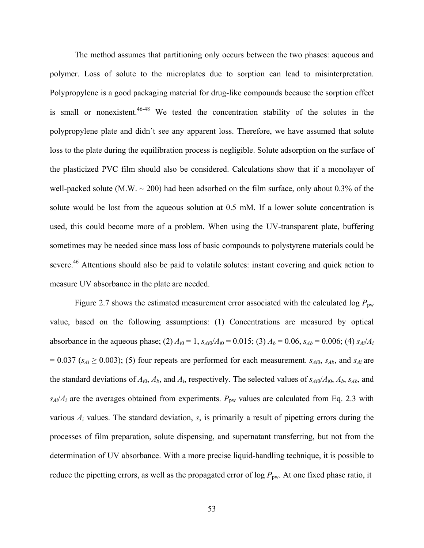The method assumes that partitioning only occurs between the two phases: aqueous and polymer. Loss of solute to the microplates due to sorption can lead to misinterpretation. Polypropylene is a good packaging material for drug-like compounds because the sorption effect is small or nonexistent.<sup>46-48</sup> We tested the concentration stability of the solutes in the polypropylene plate and didn't see any apparent loss. Therefore, we have assumed that solute loss to the plate during the equilibration process is negligible. Solute adsorption on the surface of the plasticized PVC film should also be considered. Calculations show that if a monolayer of well-packed solute (M.W.  $\sim$  200) had been adsorbed on the film surface, only about 0.3% of the solute would be lost from the aqueous solution at 0.5 mM. If a lower solute concentration is used, this could become more of a problem. When using the UV-transparent plate, buffering sometimes may be needed since mass loss of basic compounds to polystyrene materials could be severe.<sup>46</sup> Attentions should also be paid to volatile solutes: instant covering and quick action to measure UV absorbance in the plate are needed.

Figure 2.7 shows the estimated measurement error associated with the calculated log  $P_{\text{pw}}$ value, based on the following assumptions: (1) Concentrations are measured by optical absorbance in the aqueous phase; (2)  $A_{i0} = 1$ ,  $s_{Ai0}/A_{i0} = 0.015$ ; (3)  $A_b = 0.06$ ,  $s_{Ab} = 0.006$ ; (4)  $s_{Ai}/A_i$  $= 0.037$  ( $s_{Ai} \ge 0.003$ ); (5) four repeats are performed for each measurement. *s<sub>Ai</sub>*0, *s<sub>Ab</sub>*, and *s<sub>Ai</sub>* are the standard deviations of  $A_{i0}$ ,  $A_b$ , and  $A_i$ , respectively. The selected values of  $s_{Ai0}/A_{i0}$ ,  $A_b$ ,  $s_{Ab}$ , and  $s_{Ai}/A_i$  are the averages obtained from experiments.  $P_{\text{pw}}$  values are calculated from Eq. 2.3 with various *Ai* values. The standard deviation, *s*, is primarily a result of pipetting errors during the processes of film preparation, solute dispensing, and supernatant transferring, but not from the determination of UV absorbance. With a more precise liquid-handling technique, it is possible to reduce the pipetting errors, as well as the propagated error of log  $P_{\text{pw}}$ . At one fixed phase ratio, it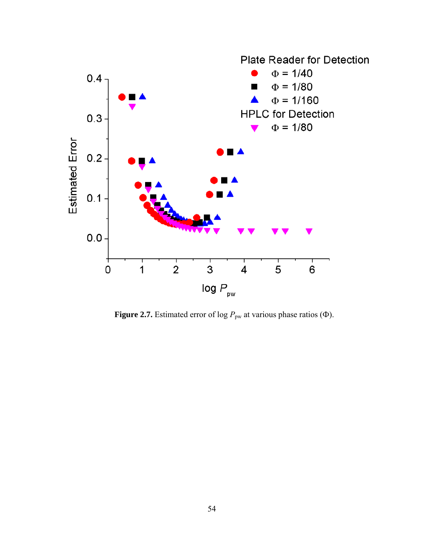

**Figure 2.7.** Estimated error of log  $P_{\text{pw}}$  at various phase ratios ( $\Phi$ ).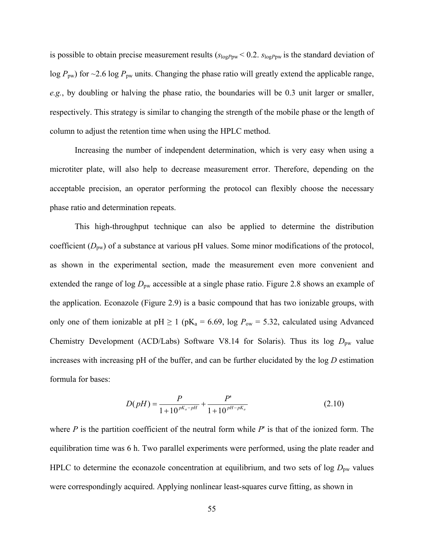is possible to obtain precise measurement results (*s*log*P*pw < 0.2. *s*log*P*pw is the standard deviation of log  $P_{\text{pw}}$ ) for ~2.6 log  $P_{\text{pw}}$  units. Changing the phase ratio will greatly extend the applicable range, *e.g.*, by doubling or halving the phase ratio, the boundaries will be 0.3 unit larger or smaller, respectively. This strategy is similar to changing the strength of the mobile phase or the length of column to adjust the retention time when using the HPLC method.

Increasing the number of independent determination, which is very easy when using a microtiter plate, will also help to decrease measurement error. Therefore, depending on the acceptable precision, an operator performing the protocol can flexibly choose the necessary phase ratio and determination repeats.

This high-throughput technique can also be applied to determine the distribution coefficient  $(D_{\text{pw}})$  of a substance at various pH values. Some minor modifications of the protocol, as shown in the experimental section, made the measurement even more convenient and extended the range of log  $D_{\text{pw}}$  accessible at a single phase ratio. Figure 2.8 shows an example of the application. Econazole (Figure 2.9) is a basic compound that has two ionizable groups, with only one of them ionizable at  $pH \ge 1$  ( $pK_a = 6.69$ , log  $P_{ow} = 5.32$ , calculated using Advanced Chemistry Development (ACD/Labs) Software V8.14 for Solaris). Thus its log  $D_{\text{pw}}$  value increases with increasing pH of the buffer, and can be further elucidated by the log *D* estimation formula for bases:

$$
D(pH) = \frac{P}{1 + 10^{pK_a - pH}} + \frac{P'}{1 + 10^{pH - pK_a}}
$$
(2.10)

where  $P$  is the partition coefficient of the neutral form while  $P'$  is that of the ionized form. The equilibration time was 6 h. Two parallel experiments were performed, using the plate reader and HPLC to determine the econazole concentration at equilibrium, and two sets of log  $D_{\text{pw}}$  values were correspondingly acquired. Applying nonlinear least-squares curve fitting, as shown in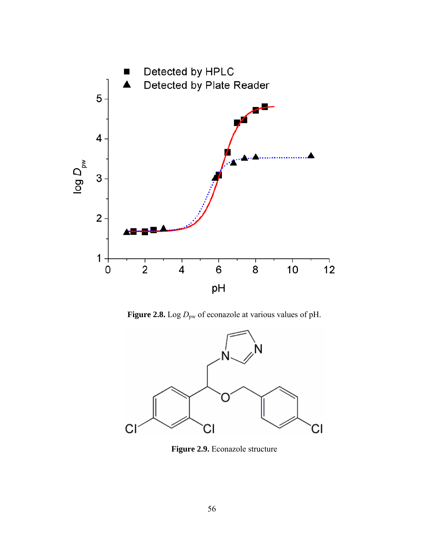

Figure 2.8. Log  $D_{\text{pw}}$  of econazole at various values of pH.



**Figure 2.9.** Econazole structure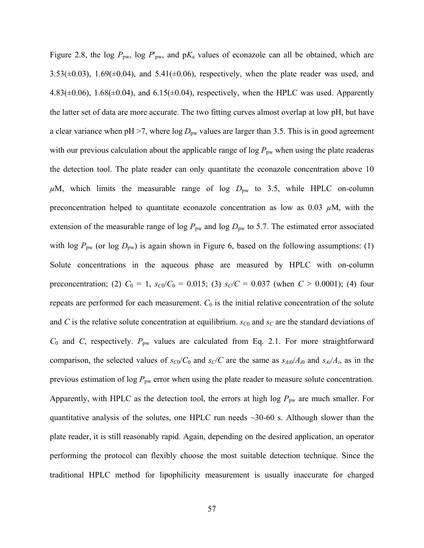Figure 2.8, the log  $P_{\text{pw}}$ , log  $P'_{\text{pw}}$ , and  $pK_a$  values of econazole can all be obtained, which are  $3.53(\pm 0.03)$ ,  $1.69(\pm 0.04)$ , and  $5.41(\pm 0.06)$ , respectively, when the plate reader was used, and  $4.83(\pm 0.06)$ ,  $1.68(\pm 0.04)$ , and  $6.15(\pm 0.04)$ , respectively, when the HPLC was used. Apparently the latter set of data are more accurate. The two fitting curves almost overlap at low pH, but have a clear variance when pH  $>7$ , where log  $D_{\text{pw}}$  values are larger than 3.5. This is in good agreement with our previous calculation about the applicable range of  $\log P_{\text{pw}}$  when using the plate readeras the detection tool. The plate reader can only quantitate the econazole concentration above 10  $\mu$ M, which limits the measurable range of log  $D_{\text{pw}}$  to 3.5, while HPLC on-column preconcentration helped to quantitate econazole concentration as low as  $0.03 \mu M$ , with the extension of the measurable range of log  $P_{\text{pw}}$  and log  $D_{\text{pw}}$  to 5.7. The estimated error associated with log  $P_{\text{pw}}$  (or log  $D_{\text{pw}}$ ) is again shown in Figure 6, based on the following assumptions: (1) Solute concentrations in the aqueous phase are measured by HPLC with on-column preconcentration; (2)  $C_0 = 1$ ,  $s_{C0}/C_0 = 0.015$ ; (3)  $s_C/C = 0.037$  (when  $C > 0.0001$ ); (4) four repeats are performed for each measurement.  $C_0$  is the initial relative concentration of the solute and *C* is the relative solute concentration at equilibrium.  $s_{C0}$  and  $s_C$  are the standard deviations of *C*<sub>0</sub> and *C*, respectively.  $P_{\text{pw}}$  values are calculated from Eq. 2.1. For more straightforward comparison, the selected values of  $s_{C0}/C_0$  and  $s_C/C$  are the same as  $s_{Ai0}/A_{i0}$  and  $s_{Ai}/A_i$ , as in the previous estimation of  $\log P_{\text{pw}}$  error when using the plate reader to measure solute concentration. Apparently, with HPLC as the detection tool, the errors at high log  $P_{\text{pw}}$  are much smaller. For quantitative analysis of the solutes, one HPLC run needs  $\sim$ 30-60 s. Although slower than the plate reader, it is still reasonably rapid. Again, depending on the desired application, an operator performing the protocol can flexibly choose the most suitable detection technique. Since the traditional HPLC method for lipophilicity measurement is usually inaccurate for charged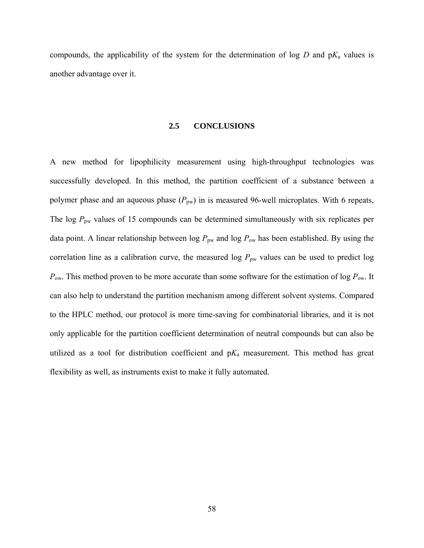compounds, the applicability of the system for the determination of log  $D$  and  $pK_a$  values is another advantage over it.

#### **2.5 CONCLUSIONS**

A new method for lipophilicity measurement using high-throughput technologies was successfully developed. In this method, the partition coefficient of a substance between a polymer phase and an aqueous phase  $(P_{pw})$  in is measured 96-well microplates. With 6 repeats, The log  $P_{\text{pw}}$  values of 15 compounds can be determined simultaneously with six replicates per data point. A linear relationship between  $\log P_{\text{pw}}$  and  $\log P_{\text{ow}}$  has been established. By using the correlation line as a calibration curve, the measured log  $P_{\text{pw}}$  values can be used to predict log *P*<sub>ow</sub>. This method proven to be more accurate than some software for the estimation of log *P*<sub>ow</sub>. It can also help to understand the partition mechanism among different solvent systems. Compared to the HPLC method, our protocol is more time-saving for combinatorial libraries, and it is not only applicable for the partition coefficient determination of neutral compounds but can also be utilized as a tool for distribution coefficient and  $pK_a$  measurement. This method has great flexibility as well, as instruments exist to make it fully automated.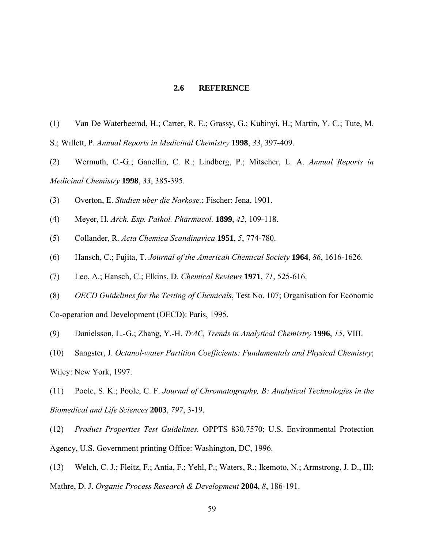# **2.6 REFERENCE**

- (1) Van De Waterbeemd, H.; Carter, R. E.; Grassy, G.; Kubinyi, H.; Martin, Y. C.; Tute, M. S.; Willett, P. *Annual Reports in Medicinal Chemistry* **1998**, *33*, 397-409.
- (2) Wermuth, C.-G.; Ganellin, C. R.; Lindberg, P.; Mitscher, L. A. *Annual Reports in Medicinal Chemistry* **1998**, *33*, 385-395.
- (3) Overton, E. *Studien uber die Narkose.*; Fischer: Jena, 1901.
- (4) Meyer, H. *Arch. Exp. Pathol. Pharmacol.* **1899**, *42*, 109-118.
- (5) Collander, R. *Acta Chemica Scandinavica* **1951**, *5*, 774-780.
- (6) Hansch, C.; Fujita, T. *Journal of the American Chemical Society* **1964**, *86*, 1616-1626.
- (7) Leo, A.; Hansch, C.; Elkins, D. *Chemical Reviews* **1971**, *71*, 525-616.
- (8) *OECD Guidelines for the Testing of Chemicals*, Test No. 107; Organisation for Economic

Co-operation and Development (OECD): Paris, 1995.

- (9) Danielsson, L.-G.; Zhang, Y.-H. *TrAC, Trends in Analytical Chemistry* **1996**, *15*, VIII.
- (10) Sangster, J. *Octanol-water Partition Coefficients: Fundamentals and Physical Chemistry*; Wiley: New York, 1997.

(11) Poole, S. K.; Poole, C. F. *Journal of Chromatography, B: Analytical Technologies in the Biomedical and Life Sciences* **2003**, *797*, 3-19.

(12) *Product Properties Test Guidelines.* OPPTS 830.7570; U.S. Environmental Protection Agency, U.S. Government printing Office: Washington, DC, 1996.

(13) Welch, C. J.; Fleitz, F.; Antia, F.; Yehl, P.; Waters, R.; Ikemoto, N.; Armstrong, J. D., III; Mathre, D. J. *Organic Process Research & Development* **2004**, *8*, 186-191.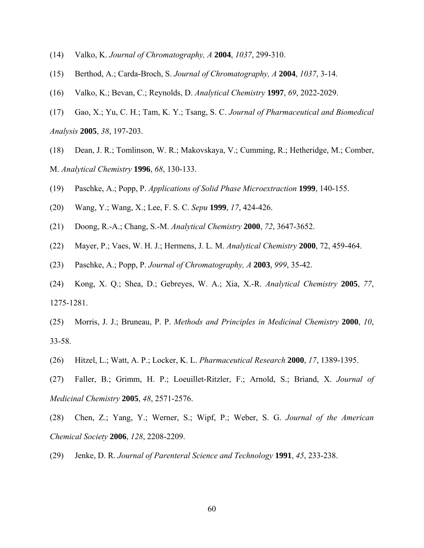- (14) Valko, K. *Journal of Chromatography, A* **2004**, *1037*, 299-310.
- (15) Berthod, A.; Carda-Broch, S. *Journal of Chromatography, A* **2004**, *1037*, 3-14.
- (16) Valko, K.; Bevan, C.; Reynolds, D. *Analytical Chemistry* **1997**, *69*, 2022-2029.
- (17) Gao, X.; Yu, C. H.; Tam, K. Y.; Tsang, S. C. *Journal of Pharmaceutical and Biomedical Analysis* **2005**, *38*, 197-203.
- (18) Dean, J. R.; Tomlinson, W. R.; Makovskaya, V.; Cumming, R.; Hetheridge, M.; Comber, M. *Analytical Chemistry* **1996**, *68*, 130-133.
- (19) Paschke, A.; Popp, P. *Applications of Solid Phase Microextraction* **1999**, 140-155.
- (20) Wang, Y.; Wang, X.; Lee, F. S. C. *Sepu* **1999**, *17*, 424-426.
- (21) Doong, R.-A.; Chang, S.-M. *Analytical Chemistry* **2000**, *72*, 3647-3652.
- (22) Mayer, P.; Vaes, W. H. J.; Hermens, J. L. M. *Analytical Chemistry* **2000**, 72, 459-464.
- (23) Paschke, A.; Popp, P. *Journal of Chromatography, A* **2003**, *999*, 35-42.
- (24) Kong, X. Q.; Shea, D.; Gebreyes, W. A.; Xia, X.-R. *Analytical Chemistry* **2005**, *77*, 1275-1281.
- (25) Morris, J. J.; Bruneau, P. P. *Methods and Principles in Medicinal Chemistry* **2000**, *10*, 33-58.
- (26) Hitzel, L.; Watt, A. P.; Locker, K. L. *Pharmaceutical Research* **2000**, *17*, 1389-1395.
- (27) Faller, B.; Grimm, H. P.; Loeuillet-Ritzler, F.; Arnold, S.; Briand, X. *Journal of Medicinal Chemistry* **2005**, *48*, 2571-2576.
- (28) Chen, Z.; Yang, Y.; Werner, S.; Wipf, P.; Weber, S. G. *Journal of the American Chemical Society* **2006**, *128*, 2208-2209.
- (29) Jenke, D. R. *Journal of Parenteral Science and Technology* **1991**, *45*, 233-238.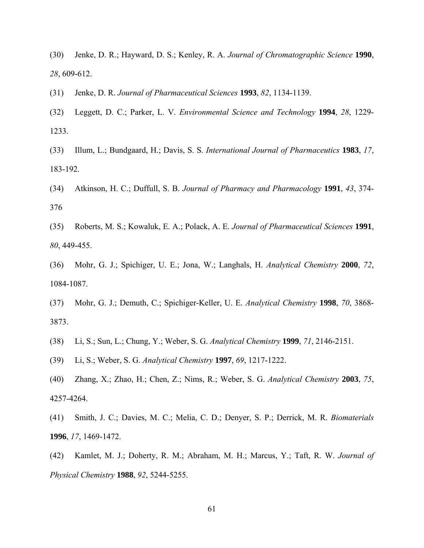(30) Jenke, D. R.; Hayward, D. S.; Kenley, R. A. *Journal of Chromatographic Science* **1990**, *28*, 609-612.

(31) Jenke, D. R. *Journal of Pharmaceutical Sciences* **1993**, *82*, 1134-1139.

- (32) Leggett, D. C.; Parker, L. V. *Environmental Science and Technology* **1994**, *28*, 1229- 1233.
- (33) Illum, L.; Bundgaard, H.; Davis, S. S. *International Journal of Pharmaceutics* **1983**, *17*, 183-192.
- (34) Atkinson, H. C.; Duffull, S. B. *Journal of Pharmacy and Pharmacology* **1991**, *43*, 374- 376
- (35) Roberts, M. S.; Kowaluk, E. A.; Polack, A. E. *Journal of Pharmaceutical Sciences* **1991**, *80*, 449-455.
- (36) Mohr, G. J.; Spichiger, U. E.; Jona, W.; Langhals, H. *Analytical Chemistry* **2000**, *72*, 1084-1087.
- (37) Mohr, G. J.; Demuth, C.; Spichiger-Keller, U. E. *Analytical Chemistry* **1998**, *70*, 3868- 3873.
- (38) Li, S.; Sun, L.; Chung, Y.; Weber, S. G. *Analytical Chemistry* **1999**, *71*, 2146-2151.
- (39) Li, S.; Weber, S. G. *Analytical Chemistry* **1997**, *69*, 1217-1222.
- (40) Zhang, X.; Zhao, H.; Chen, Z.; Nims, R.; Weber, S. G. *Analytical Chemistry* **2003**, *75*, 4257-4264.
- (41) Smith, J. C.; Davies, M. C.; Melia, C. D.; Denyer, S. P.; Derrick, M. R. *Biomaterials* **1996**, *17*, 1469-1472.
- (42) Kamlet, M. J.; Doherty, R. M.; Abraham, M. H.; Marcus, Y.; Taft, R. W. *Journal of Physical Chemistry* **1988**, *92*, 5244-5255.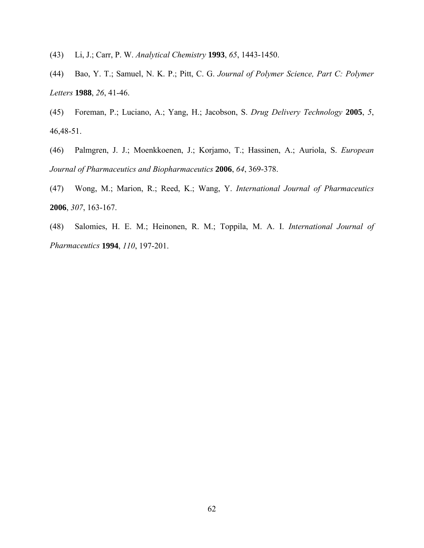(43) Li, J.; Carr, P. W. *Analytical Chemistry* **1993**, *65*, 1443-1450.

(44) Bao, Y. T.; Samuel, N. K. P.; Pitt, C. G. *Journal of Polymer Science, Part C: Polymer Letters* **1988**, *26*, 41-46.

(45) Foreman, P.; Luciano, A.; Yang, H.; Jacobson, S. *Drug Delivery Technology* **2005**, *5*, 46,48-51.

(46) Palmgren, J. J.; Moenkkoenen, J.; Korjamo, T.; Hassinen, A.; Auriola, S. *European Journal of Pharmaceutics and Biopharmaceutics* **2006**, *64*, 369-378.

(47) Wong, M.; Marion, R.; Reed, K.; Wang, Y. *International Journal of Pharmaceutics* **2006**, *307*, 163-167.

(48) Salomies, H. E. M.; Heinonen, R. M.; Toppila, M. A. I. *International Journal of Pharmaceutics* **1994**, *110*, 197-201.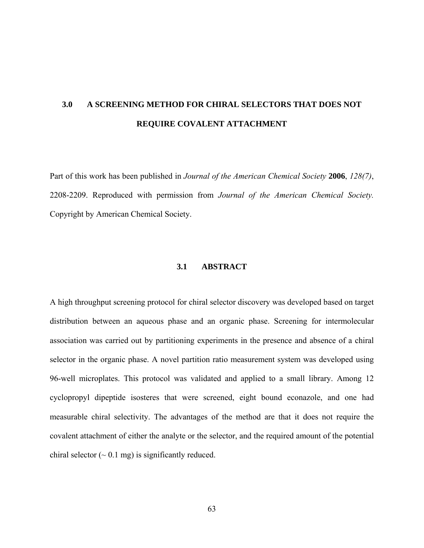# **3.0 A SCREENING METHOD FOR CHIRAL SELECTORS THAT DOES NOT REQUIRE COVALENT ATTACHMENT**

Part of this work has been published in *Journal of the American Chemical Society* **2006**, *128(7)*, 2208-2209. Reproduced with permission from *Journal of the American Chemical Society.*  Copyright by American Chemical Society.

## **3.1 ABSTRACT**

A high throughput screening protocol for chiral selector discovery was developed based on target distribution between an aqueous phase and an organic phase. Screening for intermolecular association was carried out by partitioning experiments in the presence and absence of a chiral selector in the organic phase. A novel partition ratio measurement system was developed using 96-well microplates. This protocol was validated and applied to a small library. Among 12 cyclopropyl dipeptide isosteres that were screened, eight bound econazole, and one had measurable chiral selectivity. The advantages of the method are that it does not require the covalent attachment of either the analyte or the selector, and the required amount of the potential chiral selector  $({\sim} 0.1 \text{ mg})$  is significantly reduced.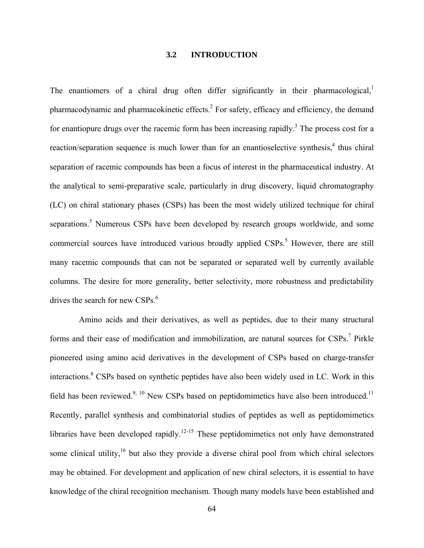## **3.2 INTRODUCTION**

The enantiomers of a chiral drug often differ significantly in their pharmacological, $\frac{1}{1}$ pharmacodynamic and pharmacokinetic effects. $^{2}$  For safety, efficacy and efficiency, the demand for enantiopure drugs over the racemic form has been increasing rapidly.<sup>3</sup> The process cost for a reaction/separation sequence is much lower than for an enantioselective synthesis,<sup>4</sup> thus chiral separation of racemic compounds has been a focus of interest in the pharmaceutical industry. At the analytical to semi-preparative scale, particularly in drug discovery, liquid chromatography (LC) on chiral stationary phases (CSPs) has been the most widely utilized technique for chiral separations.<sup>5</sup> Numerous CSPs have been developed by research groups worldwide, and some commercial sources have introduced various broadly applied CSPs.<sup>5</sup> However, there are still many racemic compounds that can not be separated or separated well by currently available columns. The desire for more generality, better selectivity, more robustness and predictability drives the search for new CSPs. $<sup>6</sup>$ </sup>

 Amino acids and their derivatives, as well as peptides, due to their many structural forms and their ease of modification and immobilization, are natural sources for  $CSPs$ .<sup>7</sup> Pirkle pioneered using amino acid derivatives in the development of CSPs based on charge-transfer interactions.<sup>8</sup> CSPs based on synthetic peptides have also been widely used in LC. Work in this field has been reviewed.<sup>9, 10</sup> New CSPs based on peptidomimetics have also been introduced.<sup>11</sup> Recently, parallel synthesis and combinatorial studies of peptides as well as peptidomimetics libraries have been developed rapidly.<sup>12-15</sup> These peptidomimetics not only have demonstrated some clinical utility, $16$  but also they provide a diverse chiral pool from which chiral selectors may be obtained. For development and application of new chiral selectors, it is essential to have knowledge of the chiral recognition mechanism. Though many models have been established and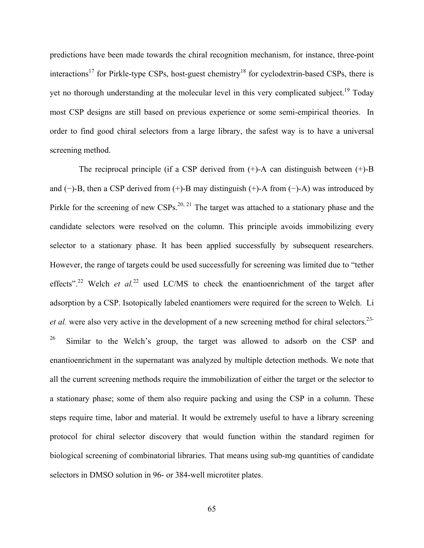predictions have been made towards the chiral recognition mechanism, for instance, three-point interactions<sup>17</sup> for Pirkle-type CSPs, host-guest chemistry<sup>18</sup> for cyclodextrin-based CSPs, there is yet no thorough understanding at the molecular level in this very complicated subject.<sup>19</sup> Today most CSP designs are still based on previous experience or some semi-empirical theories. In order to find good chiral selectors from a large library, the safest way is to have a universal screening method.

 The reciprocal principle (if a CSP derived from (+)-A can distinguish between (+)-B and (−)-B, then a CSP derived from (+)-B may distinguish (+)-A from (−)-A) was introduced by Pirkle for the screening of new CSPs.<sup>20, 21</sup> The target was attached to a stationary phase and the candidate selectors were resolved on the column. This principle avoids immobilizing every selector to a stationary phase. It has been applied successfully by subsequent researchers. However, the range of targets could be used successfully for screening was limited due to "tether effects".<sup>22</sup> Welch *et al.*<sup>22</sup> used LC/MS to check the enantioenrichment of the target after adsorption by a CSP. Isotopically labeled enantiomers were required for the screen to Welch. Li *et al.* were also very active in the development of a new screening method for chiral selectors.<sup>23-</sup>

 $26$  Similar to the Welch's group, the target was allowed to adsorb on the CSP and enantioenrichment in the supernatant was analyzed by multiple detection methods. We note that all the current screening methods require the immobilization of either the target or the selector to a stationary phase; some of them also require packing and using the CSP in a column. These steps require time, labor and material. It would be extremely useful to have a library screening protocol for chiral selector discovery that would function within the standard regimen for biological screening of combinatorial libraries. That means using sub-mg quantities of candidate selectors in DMSO solution in 96- or 384-well microtiter plates.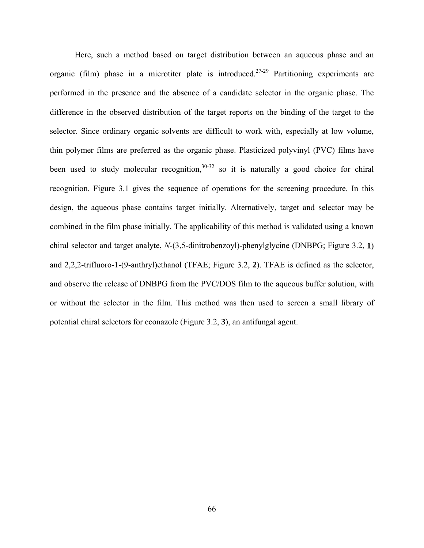Here, such a method based on target distribution between an aqueous phase and an organic (film) phase in a microtiter plate is introduced.<sup>27-29</sup> Partitioning experiments are performed in the presence and the absence of a candidate selector in the organic phase. The difference in the observed distribution of the target reports on the binding of the target to the selector. Since ordinary organic solvents are difficult to work with, especially at low volume, thin polymer films are preferred as the organic phase. Plasticized polyvinyl (PVC) films have been used to study molecular recognition,  $30-32$  so it is naturally a good choice for chiral recognition. Figure 3.1 gives the sequence of operations for the screening procedure. In this design, the aqueous phase contains target initially. Alternatively, target and selector may be combined in the film phase initially. The applicability of this method is validated using a known chiral selector and target analyte, *N*-(3,5-dinitrobenzoyl)-phenylglycine (DNBPG; Figure 3.2, **1**) and 2,2,2-trifluoro-1-(9-anthryl)ethanol (TFAE; Figure 3.2, **2**). TFAE is defined as the selector, and observe the release of DNBPG from the PVC/DOS film to the aqueous buffer solution, with or without the selector in the film. This method was then used to screen a small library of potential chiral selectors for econazole (Figure 3.2, **3**), an antifungal agent.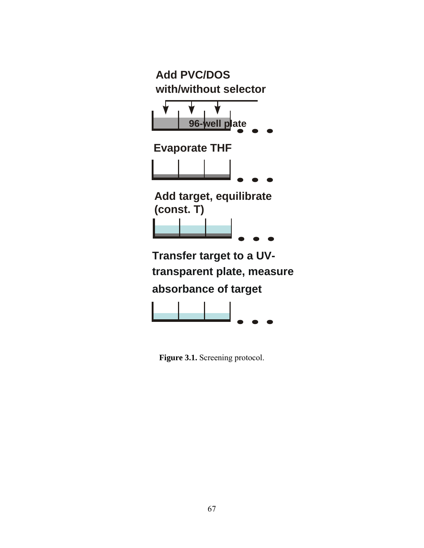

**Figure 3.1.** Screening protocol.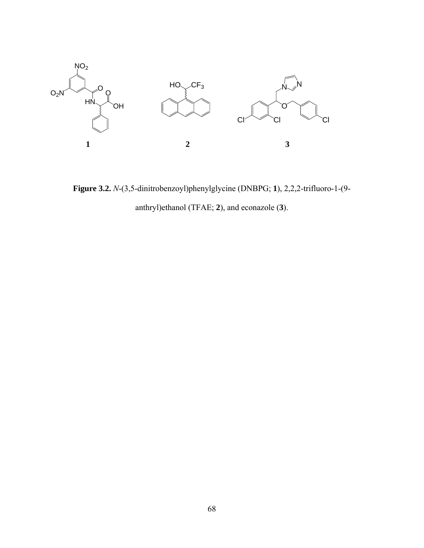

**Figure 3.2.** *N*-(3,5-dinitrobenzoyl)phenylglycine (DNBPG; **1**), 2,2,2-trifluoro-1-(9 anthryl)ethanol (TFAE; **2**), and econazole (**3**).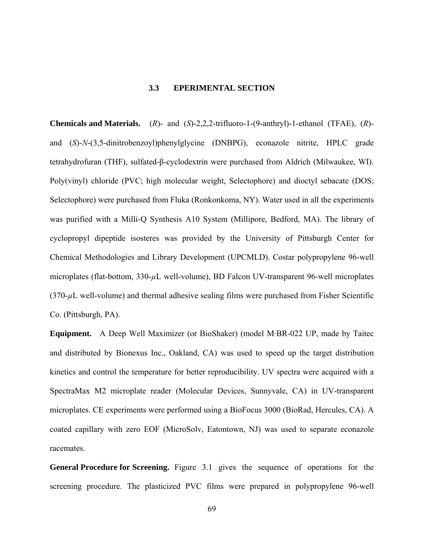#### **3.3 EPERIMENTAL SECTION**

**Chemicals and Materials.** (*R*)- and (*S*)-2,2,2-trifluoro-1-(9-anthryl)-1-ethanol (TFAE), (*R*) and (*S*)-*N*-(3,5-dinitrobenzoyl)phenylglycine (DNBPG), econazole nitrite, HPLC grade tetrahydrofuran (THF), sulfated-β-cyclodextrin were purchased from Aldrich (Milwaukee, WI). Poly(vinyl) chloride (PVC; high molecular weight, Selectophore) and dioctyl sebacate (DOS; Selectophore) were purchased from Fluka (Ronkonkoma, NY). Water used in all the experiments was purified with a Milli-Q Synthesis A10 System (Millipore, Bedford, MA). The library of cyclopropyl dipeptide isosteres was provided by the University of Pittsburgh Center for Chemical Methodologies and Library Development (UPCMLD). Costar polypropylene 96-well microplates (flat-bottom, 330-*µ*L well-volume), BD Falcon UV-transparent 96-well microplates (370-*µ*L well-volume) and thermal adhesive sealing films were purchased from Fisher Scientific Co. (Pittsburgh, PA).

**Equipment.** A Deep Well Maximizer (or BioShaker) (model M·BR-022 UP, made by Taitec and distributed by Bionexus Inc., Oakland, CA) was used to speed up the target distribution kinetics and control the temperature for better reproducibility. UV spectra were acquired with a SpectraMax M2 microplate reader (Molecular Devices, Sunnyvale, CA) in UV-transparent microplates. CE experiments were performed using a BioFocus 3000 (BioRad, Hercules, CA). A coated capillary with zero EOF (MicroSolv, Eatontown, NJ) was used to separate econazole racemates.

**General Procedure for Screening.** Figure 3.1 gives the sequence of operations for the screening procedure. The plasticized PVC films were prepared in polypropylene 96-well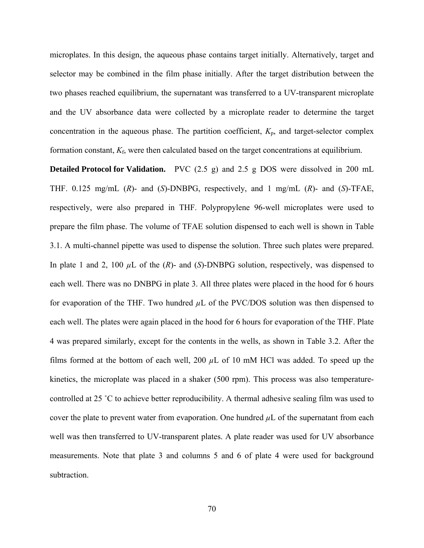microplates. In this design, the aqueous phase contains target initially. Alternatively, target and selector may be combined in the film phase initially. After the target distribution between the two phases reached equilibrium, the supernatant was transferred to a UV-transparent microplate and the UV absorbance data were collected by a microplate reader to determine the target concentration in the aqueous phase. The partition coefficient,  $K_p$ , and target-selector complex formation constant, *K*f, were then calculated based on the target concentrations at equilibrium.

**Detailed Protocol for Validation.** PVC (2.5 g) and 2.5 g DOS were dissolved in 200 mL THF. 0.125 mg/mL (*R*)- and (*S*)-DNBPG, respectively, and 1 mg/mL (*R*)- and (*S*)-TFAE, respectively, were also prepared in THF. Polypropylene 96-well microplates were used to prepare the film phase. The volume of TFAE solution dispensed to each well is shown in Table 3.1. A multi-channel pipette was used to dispense the solution. Three such plates were prepared. In plate 1 and 2, 100 *µ*L of the (*R*)- and (*S*)-DNBPG solution, respectively, was dispensed to each well. There was no DNBPG in plate 3. All three plates were placed in the hood for 6 hours for evaporation of the THF. Two hundred  $\mu$ L of the PVC/DOS solution was then dispensed to each well. The plates were again placed in the hood for 6 hours for evaporation of the THF. Plate 4 was prepared similarly, except for the contents in the wells, as shown in Table 3.2. After the films formed at the bottom of each well, 200  $\mu$ L of 10 mM HCl was added. To speed up the kinetics, the microplate was placed in a shaker (500 rpm). This process was also temperaturecontrolled at 25 ˚C to achieve better reproducibility. A thermal adhesive sealing film was used to cover the plate to prevent water from evaporation. One hundred  $\mu$ L of the supernatant from each well was then transferred to UV-transparent plates. A plate reader was used for UV absorbance measurements. Note that plate 3 and columns 5 and 6 of plate 4 were used for background subtraction.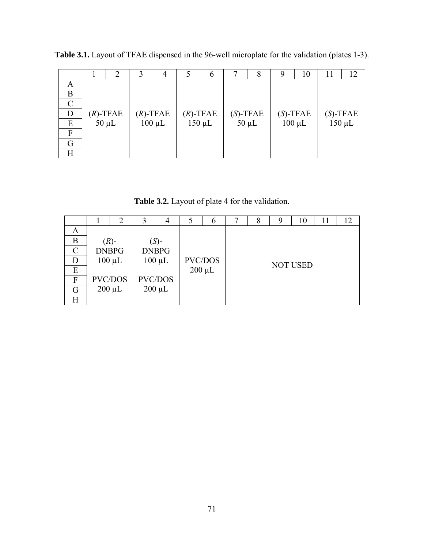|   |             | 2          | 3           | 4           |             | 6           | 8           | 9 | 10          | 11 | 12          |
|---|-------------|------------|-------------|-------------|-------------|-------------|-------------|---|-------------|----|-------------|
| A |             |            |             |             |             |             |             |   |             |    |             |
| B |             |            |             |             |             |             |             |   |             |    |             |
| C |             |            |             |             |             |             |             |   |             |    |             |
| D | $(R)$ -TFAE |            | $(R)$ -TFAE |             | $(R)$ -TFAE |             | $(S)$ -TFAE |   | $(S)$ -TFAE |    | $(S)$ -TFAE |
| E |             | $50 \mu L$ |             | $100 \mu L$ |             | $150 \mu L$ | $50 \mu L$  |   | $100 \mu L$ |    | $150 \mu L$ |
| F |             |            |             |             |             |             |             |   |             |    |             |
| G |             |            |             |             |             |             |             |   |             |    |             |
| Η |             |            |             |             |             |             |             |   |             |    |             |

**Table 3.1.** Layout of TFAE dispensed in the 96-well microplate for the validation (plates 1-3).

**Table 3.2.** Layout of plate 4 for the validation.

|   |              | 2              | 3       | 4              | 5       | 6           |                 | 8 |  | 10 | 11 | 12 |
|---|--------------|----------------|---------|----------------|---------|-------------|-----------------|---|--|----|----|----|
| A |              |                |         |                |         |             |                 |   |  |    |    |    |
| B | $(R)$ -      |                | $(S)$ - |                |         |             |                 |   |  |    |    |    |
| C | <b>DNBPG</b> |                |         | <b>DNBPG</b>   |         |             |                 |   |  |    |    |    |
|   | $100 \mu L$  |                |         | $100 \mu L$    | PVC/DOS |             | <b>NOT USED</b> |   |  |    |    |    |
| E |              |                |         |                |         | $200 \mu L$ |                 |   |  |    |    |    |
| F |              | <b>PVC/DOS</b> |         | <b>PVC/DOS</b> |         |             |                 |   |  |    |    |    |
| G |              | $200 \mu L$    |         | $200 \mu L$    |         |             |                 |   |  |    |    |    |
|   |              |                |         |                |         |             |                 |   |  |    |    |    |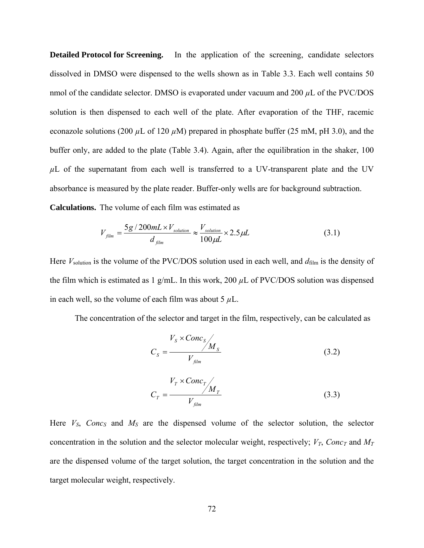**Detailed Protocol for Screening.** In the application of the screening, candidate selectors dissolved in DMSO were dispensed to the wells shown as in Table 3.3. Each well contains 50 nmol of the candidate selector. DMSO is evaporated under vacuum and 200  $\mu$ L of the PVC/DOS solution is then dispensed to each well of the plate. After evaporation of the THF, racemic econazole solutions (200 *µ*L of 120 *µ*M) prepared in phosphate buffer (25 mM, pH 3.0), and the buffer only, are added to the plate (Table 3.4). Again, after the equilibration in the shaker, 100  $\mu$ L of the supernatant from each well is transferred to a UV-transparent plate and the UV absorbance is measured by the plate reader. Buffer-only wells are for background subtraction. **Calculations.** The volume of each film was estimated as

$$
V_{film} = \frac{5g/200mL \times V_{solution}}{d_{film}} \approx \frac{V_{solution}}{100\mu L} \times 2.5\mu L
$$
 (3.1)

Here *V*<sub>solution</sub> is the volume of the PVC/DOS solution used in each well, and  $d_{\text{film}}$  is the density of the film which is estimated as 1 g/mL. In this work, 200  $\mu$ L of PVC/DOS solution was dispensed in each well, so the volume of each film was about 5 *µ*L.

The concentration of the selector and target in the film, respectively, can be calculated as

$$
C_{s} = \frac{V_{s} \times \text{Conc}_{s}}{V_{\text{film}}}
$$
\n(3.2)

$$
C_T = \frac{V_T \times Conc_T}{V_{film}}
$$
\n(3.3)

Here  $V_s$ , *Conc<sub>S</sub>* and  $M_s$  are the dispensed volume of the selector solution, the selector concentration in the solution and the selector molecular weight, respectively;  $V_T$ , *Conc*<sub>T</sub> and  $M_T$ are the dispensed volume of the target solution, the target concentration in the solution and the target molecular weight, respectively.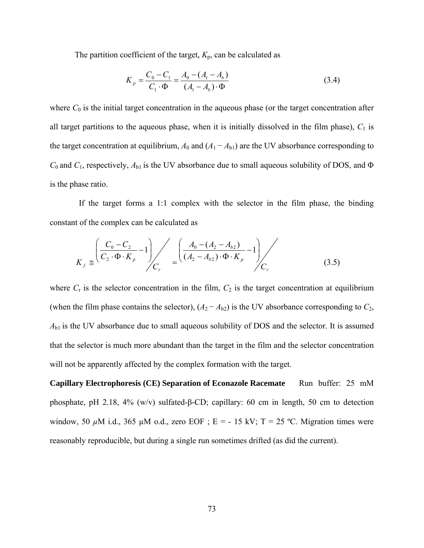The partition coefficient of the target,  $K_p$ , can be calculated as

$$
K_p = \frac{C_0 - C_1}{C_1 \cdot \Phi} = \frac{A_0 - (A_1 - A_b)}{(A_1 - A_b) \cdot \Phi}
$$
(3.4)

where  $C_0$  is the initial target concentration in the aqueous phase (or the target concentration after all target partitions to the aqueous phase, when it is initially dissolved in the film phase),  $C_1$  is the target concentration at equilibrium,  $A_0$  and  $(A_1 - A_{b1})$  are the UV absorbance corresponding to *C*0 and *C*1, respectively, *A*b1 is the UV absorbance due to small aqueous solubility of DOS, and Φ is the phase ratio.

 If the target forms a 1:1 complex with the selector in the film phase, the binding constant of the complex can be calculated as

$$
K_f \cong \left(\frac{C_0 - C_2}{C_2 \cdot \Phi \cdot K_p} - 1\right) / C_r \cong \left(\frac{A_0 - (A_2 - A_{b2})}{(A_2 - A_{b2}) \cdot \Phi \cdot K_p} - 1\right) / C_r
$$
\n(3.5)

where  $C_r$  is the selector concentration in the film,  $C_2$  is the target concentration at equilibrium (when the film phase contains the selector),  $(A_2 - A_{b2})$  is the UV absorbance corresponding to  $C_2$ ,  $A_{b1}$  is the UV absorbance due to small aqueous solubility of DOS and the selector. It is assumed that the selector is much more abundant than the target in the film and the selector concentration will not be apparently affected by the complex formation with the target.

**Capillary Electrophoresis (CE) Separation of Econazole Racemate** Run buffer: 25 mM phosphate, pH 2.18, 4% (w/v) sulfated-β-CD; capillary: 60 cm in length, 50 cm to detection window, 50 μM i.d., 365 μM o.d., zero EOF ; E = - 15 kV; T = 25 °C. Migration times were reasonably reproducible, but during a single run sometimes drifted (as did the current).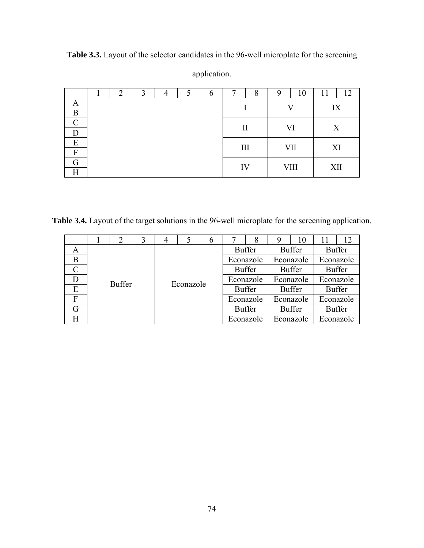|                           | 2 | 3 |  | $\mathfrak b$ |              | 8 | ч  | 10   | 11  | 12 |
|---------------------------|---|---|--|---------------|--------------|---|----|------|-----|----|
| A                         |   |   |  |               |              |   |    | W    |     | IX |
| B                         |   |   |  |               |              |   |    |      |     |    |
| $\curvearrowright$        |   |   |  |               |              |   |    |      |     | X  |
|                           |   |   |  |               | $\mathbf{I}$ |   | VI |      |     |    |
| E                         |   |   |  |               | III          |   |    | VII  | XI  |    |
| F                         |   |   |  |               |              |   |    |      |     |    |
| G                         |   |   |  |               | IV           |   |    | VIII | XII |    |
| $\boldsymbol{\mathrm{H}}$ |   |   |  |               |              |   |    |      |     |    |

**Table 3.3.** Layout of the selector candidates in the 96-well microplate for the screening application.

**Table 3.4.** Layout of the target solutions in the 96-well microplate for the screening application.

|   |               | 2 |           | 4 |               | 6             |               | 8             | 9             | 10            | 11            | 12 |
|---|---------------|---|-----------|---|---------------|---------------|---------------|---------------|---------------|---------------|---------------|----|
| A |               |   |           |   |               |               | <b>Buffer</b> |               | <b>Buffer</b> |               | <b>Buffer</b> |    |
| B | <b>Buffer</b> |   | Econazole |   | Econazole     |               | Econazole     |               | Econazole     |               |               |    |
|   |               |   |           |   | <b>Buffer</b> |               | <b>Buffer</b> |               | <b>Buffer</b> |               |               |    |
|   |               |   |           |   | Econazole     |               | Econazole     |               | Econazole     |               |               |    |
| E |               |   |           |   |               | <b>Buffer</b> |               | <b>Buffer</b> |               | <b>Buffer</b> |               |    |
| F |               |   |           |   | Econazole     |               | Econazole     |               | Econazole     |               |               |    |
| G |               |   |           |   |               | <b>Buffer</b> |               |               | <b>Buffer</b> |               | <b>Buffer</b> |    |
|   |               |   |           |   | Econazole     |               | Econazole     |               | Econazole     |               |               |    |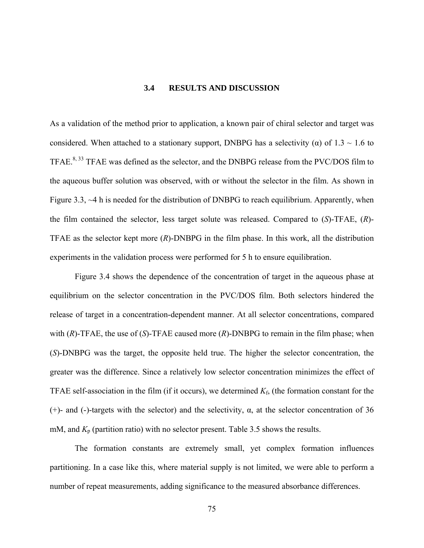# **3.4 RESULTS AND DISCUSSION**

As a validation of the method prior to application, a known pair of chiral selector and target was considered. When attached to a stationary support, DNBPG has a selectivity ( $\alpha$ ) of 1.3 ~ 1.6 to TFAE.<sup>8, 33</sup> TFAE was defined as the selector, and the DNBPG release from the PVC/DOS film to the aqueous buffer solution was observed, with or without the selector in the film. As shown in Figure 3.3, ~4 h is needed for the distribution of DNBPG to reach equilibrium. Apparently, when the film contained the selector, less target solute was released. Compared to (*S*)-TFAE, (*R*)- TFAE as the selector kept more (*R*)-DNBPG in the film phase. In this work, all the distribution experiments in the validation process were performed for 5 h to ensure equilibration.

Figure 3.4 shows the dependence of the concentration of target in the aqueous phase at equilibrium on the selector concentration in the PVC/DOS film. Both selectors hindered the release of target in a concentration-dependent manner. At all selector concentrations, compared with (*R*)-TFAE, the use of (*S*)-TFAE caused more (*R*)-DNBPG to remain in the film phase; when (*S*)-DNBPG was the target, the opposite held true. The higher the selector concentration, the greater was the difference. Since a relatively low selector concentration minimizes the effect of TFAE self-association in the film (if it occurs), we determined  $K_f$ , (the formation constant for the (+)- and (-)-targets with the selector) and the selectivity,  $\alpha$ , at the selector concentration of 36 mM, and *K*p (partition ratio) with no selector present. Table 3.5 shows the results.

The formation constants are extremely small, yet complex formation influences partitioning. In a case like this, where material supply is not limited, we were able to perform a number of repeat measurements, adding significance to the measured absorbance differences.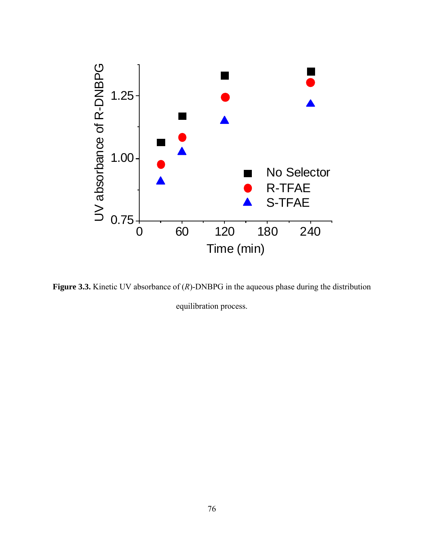

**Figure 3.3.** Kinetic UV absorbance of (*R*)-DNBPG in the aqueous phase during the distribution equilibration process.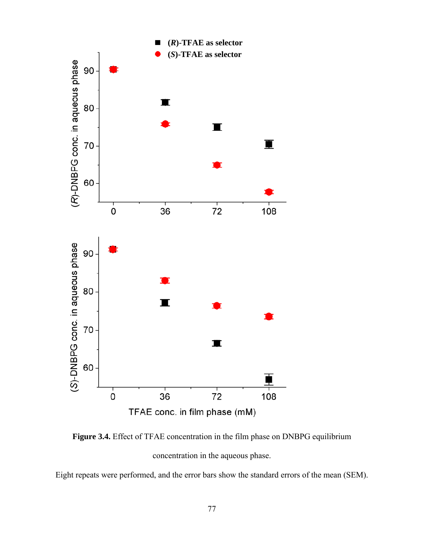

**Figure 3.4.** Effect of TFAE concentration in the film phase on DNBPG equilibrium concentration in the aqueous phase.

Eight repeats were performed, and the error bars show the standard errors of the mean (SEM).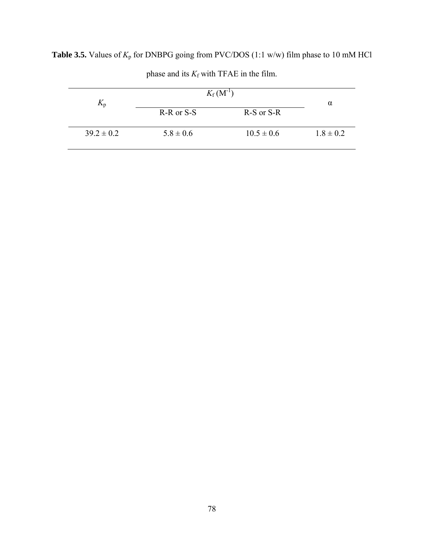| $K_{p}$        | $K_{\rm f}$ (M <sup>-1</sup> ) |                | $\alpha$      |
|----------------|--------------------------------|----------------|---------------|
|                | R-R or S-S                     | R-S or S-R     |               |
| $39.2 \pm 0.2$ | $5.8 \pm 0.6$                  | $10.5 \pm 0.6$ | $1.8 \pm 0.2$ |

**Table 3.5.** Values of  $K_p$  for DNBPG going from PVC/DOS (1:1 w/w) film phase to 10 mM HCl

phase and its  $K_f$  with TFAE in the film.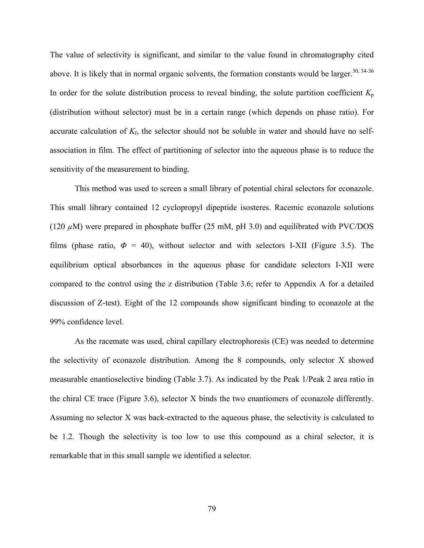The value of selectivity is significant, and similar to the value found in chromatography cited above. It is likely that in normal organic solvents, the formation constants would be larger.<sup>30, 34-36</sup> In order for the solute distribution process to reveal binding, the solute partition coefficient  $K_p$ (distribution without selector) must be in a certain range (which depends on phase ratio). For accurate calculation of  $K_f$ , the selector should not be soluble in water and should have no selfassociation in film. The effect of partitioning of selector into the aqueous phase is to reduce the sensitivity of the measurement to binding.

This method was used to screen a small library of potential chiral selectors for econazole. This small library contained 12 cyclopropyl dipeptide isosteres. Racemic econazole solutions (120 *µ*M) were prepared in phosphate buffer (25 mM, pH 3.0) and equilibrated with PVC/DOS films (phase ratio,  $\Phi = 40$ ), without selector and with selectors I-XII (Figure 3.5). The equilibrium optical absorbances in the aqueous phase for candidate selectors I-XII were compared to the control using the z distribution (Table 3.6; refer to Appendix A for a detailed discussion of Z-test). Eight of the 12 compounds show significant binding to econazole at the 99% confidence level.

As the racemate was used, chiral capillary electrophoresis (CE) was needed to determine the selectivity of econazole distribution. Among the 8 compounds, only selector X showed measurable enantioselective binding (Table 3.7). As indicated by the Peak 1/Peak 2 area ratio in the chiral CE trace (Figure 3.6), selector X binds the two enantiomers of econazole differently. Assuming no selector X was back-extracted to the aqueous phase, the selectivity is calculated to be 1.2. Though the selectivity is too low to use this compound as a chiral selector, it is remarkable that in this small sample we identified a selector.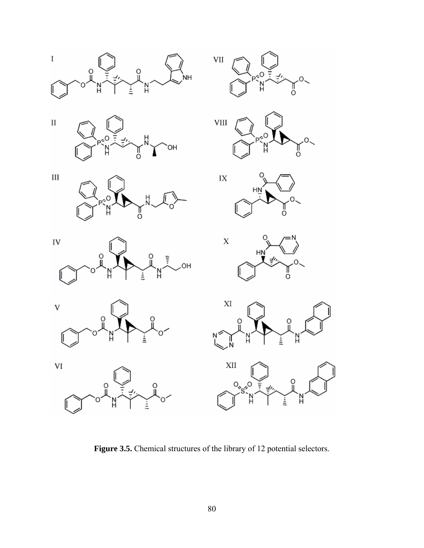

**Figure 3.5.** Chemical structures of the library of 12 potential selectors.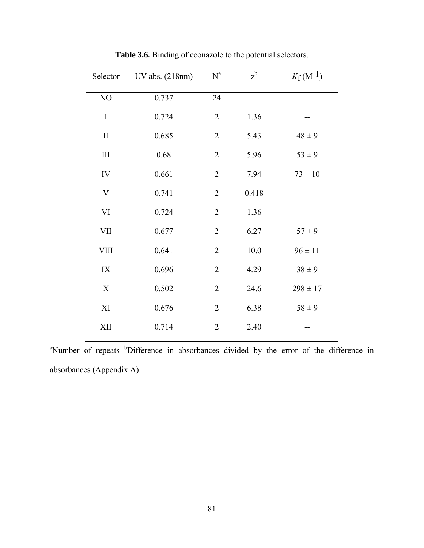| Selector     | UV abs. (218nm) | $\mathbf{N}^{\text{a}}$ | $z^{b}$ | $K_f(M^{-1})$ |
|--------------|-----------------|-------------------------|---------|---------------|
| NO           | 0.737           | 24                      |         |               |
| $\bf I$      | 0.724           | $\overline{2}$          | 1.36    |               |
| $\mathbf{I}$ | 0.685           | $\overline{2}$          | 5.43    | $48 \pm 9$    |
| $\rm III$    | 0.68            | $\overline{2}$          | 5.96    | $53 \pm 9$    |
| IV           | 0.661           | $\overline{2}$          | 7.94    | $73\pm10$     |
| V            | 0.741           | $\overline{2}$          | 0.418   |               |
| $\mbox{VI}$  | 0.724           | $\overline{2}$          | 1.36    |               |
| VII          | 0.677           | $\overline{2}$          | 6.27    | $57 \pm 9$    |
| <b>VIII</b>  | 0.641           | $\overline{2}$          | 10.0    | $96 \pm 11$   |
| IX           | 0.696           | $\overline{2}$          | 4.29    | $38 \pm 9$    |
| X            | 0.502           | $\overline{2}$          | 24.6    | $298 \pm 17$  |
| XI           | 0.676           | $\overline{2}$          | 6.38    | $58 \pm 9$    |
| XII          | 0.714           | $\overline{2}$          | 2.40    |               |
|              |                 |                         |         |               |

**Table 3.6.** Binding of econazole to the potential selectors.

<sup>a</sup>Number of repeats <sup>b</sup>Difference in absorbances divided by the error of the difference in absorbances (Appendix A).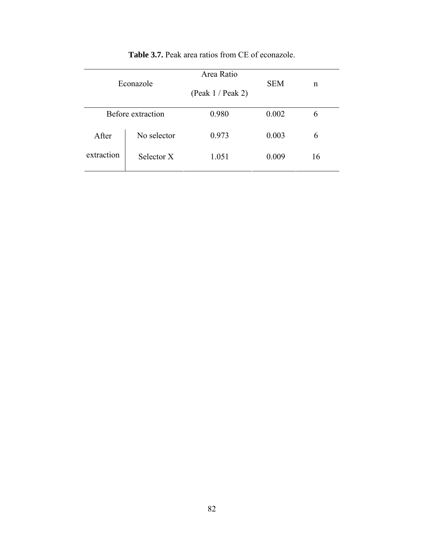|            | Econazole         | Area Ratio<br>(Peak 1 / Peak 2) | <b>SEM</b> | n  |
|------------|-------------------|---------------------------------|------------|----|
|            | Before extraction | 0.980                           | 0.002      | 6  |
| After      | No selector       | 0.973                           | 0.003      | 6  |
| extraction | Selector X        | 1.051                           | 0.009      | 16 |

# **Table 3.7.** Peak area ratios from CE of econazole.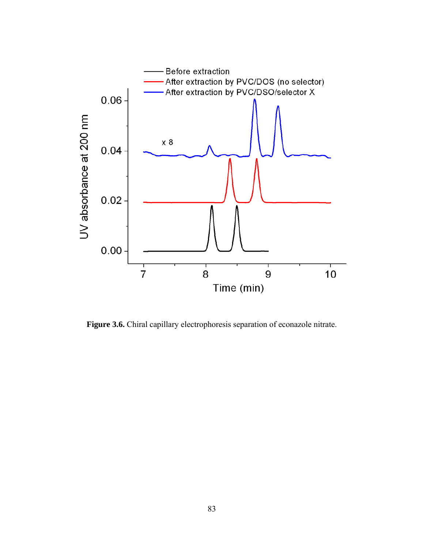

**Figure 3.6.** Chiral capillary electrophoresis separation of econazole nitrate.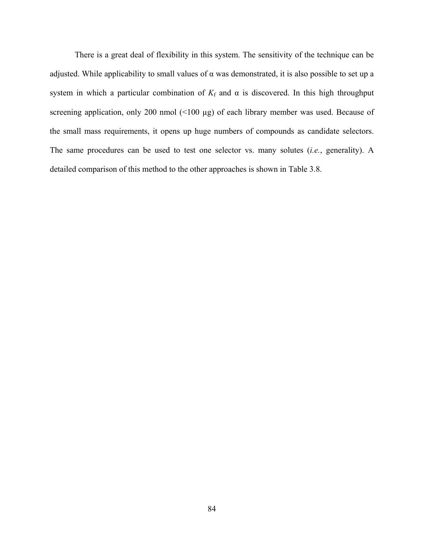There is a great deal of flexibility in this system. The sensitivity of the technique can be adjusted. While applicability to small values of  $\alpha$  was demonstrated, it is also possible to set up a system in which a particular combination of  $K_f$  and  $\alpha$  is discovered. In this high throughput screening application, only 200 nmol (<100 µg) of each library member was used. Because of the small mass requirements, it opens up huge numbers of compounds as candidate selectors. The same procedures can be used to test one selector vs. many solutes (*i.e.*, generality). A detailed comparison of this method to the other approaches is shown in Table 3.8.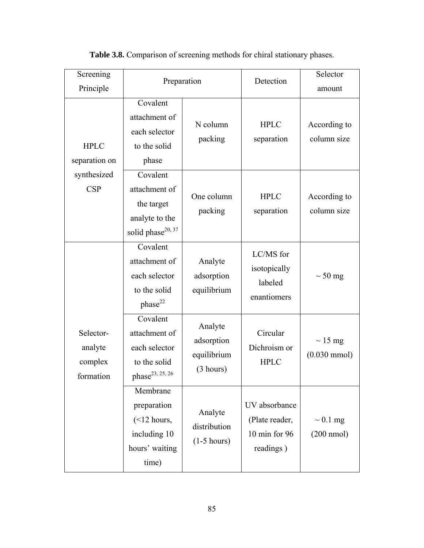| Screening<br>Principle                       |                                                                                            | Preparation                                       | Detection                                                     | Selector<br>amount                     |
|----------------------------------------------|--------------------------------------------------------------------------------------------|---------------------------------------------------|---------------------------------------------------------------|----------------------------------------|
| <b>HPLC</b><br>separation on                 | Covalent<br>attachment of<br>each selector<br>to the solid<br>phase                        | N column<br>packing                               | <b>HPLC</b><br>separation                                     | According to<br>column size            |
| synthesized<br><b>CSP</b>                    | Covalent<br>attachment of<br>the target<br>analyte to the<br>solid phase <sup>20, 37</sup> | One column<br>packing                             | <b>HPLC</b><br>separation                                     | According to<br>column size            |
|                                              | Covalent<br>attachment of<br>each selector<br>to the solid<br>phase <sup>22</sup>          | Analyte<br>adsorption<br>equilibrium              | LC/MS for<br>isotopically<br>labeled<br>enantiomers           | $\sim$ 50 mg                           |
| Selector-<br>analyte<br>complex<br>formation | Covalent<br>attachment of<br>each selector<br>to the solid<br>phase <sup>23, 25, 26</sup>  | Analyte<br>adsorption<br>equilibrium<br>(3 hours) | Circular<br>Dichroism or<br><b>HPLC</b>                       | $\sim$ 15 mg<br>$(0.030 \text{ mmol})$ |
|                                              | Membrane<br>preparation<br>$(<12$ hours,<br>including 10<br>hours' waiting<br>time)        | Analyte<br>distribution<br>$(1-5 hours)$          | UV absorbance<br>(Plate reader,<br>10 min for 96<br>readings) | $\sim 0.1$ mg<br>$(200 \text{ nmol})$  |

**Table 3.8.** Comparison of screening methods for chiral stationary phases.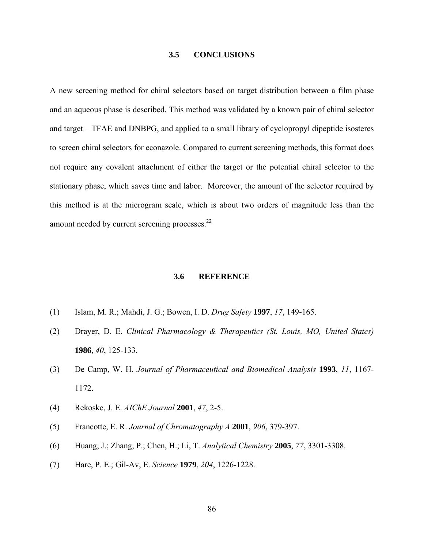#### **3.5 CONCLUSIONS**

A new screening method for chiral selectors based on target distribution between a film phase and an aqueous phase is described. This method was validated by a known pair of chiral selector and target – TFAE and DNBPG, and applied to a small library of cyclopropyl dipeptide isosteres to screen chiral selectors for econazole. Compared to current screening methods, this format does not require any covalent attachment of either the target or the potential chiral selector to the stationary phase, which saves time and labor. Moreover, the amount of the selector required by this method is at the microgram scale, which is about two orders of magnitude less than the amount needed by current screening processes.<sup>22</sup>

#### **3.6 REFERENCE**

- (1) Islam, M. R.; Mahdi, J. G.; Bowen, I. D. *Drug Safety* **1997**, *17*, 149-165.
- (2) Drayer, D. E. *Clinical Pharmacology & Therapeutics (St. Louis, MO, United States)* **1986**, *40*, 125-133.
- (3) De Camp, W. H. *Journal of Pharmaceutical and Biomedical Analysis* **1993**, *11*, 1167- 1172.
- (4) Rekoske, J. E. *AIChE Journal* **2001**, *47*, 2-5.
- (5) Francotte, E. R. *Journal of Chromatography A* **2001**, *906*, 379-397.
- (6) Huang, J.; Zhang, P.; Chen, H.; Li, T. *Analytical Chemistry* **2005**, *77*, 3301-3308.
- (7) Hare, P. E.; Gil-Av, E. *Science* **1979**, *204*, 1226-1228.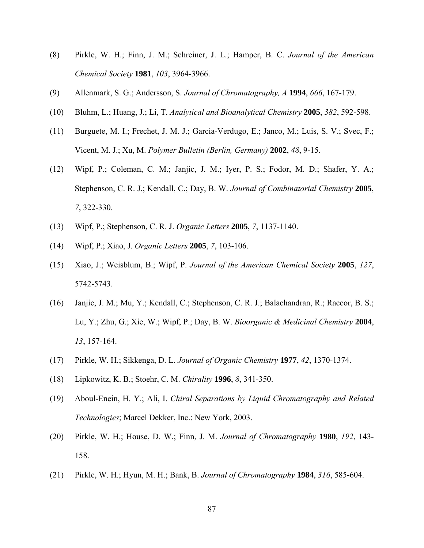- (8) Pirkle, W. H.; Finn, J. M.; Schreiner, J. L.; Hamper, B. C. *Journal of the American Chemical Society* **1981**, *103*, 3964-3966.
- (9) Allenmark, S. G.; Andersson, S. *Journal of Chromatography, A* **1994**, *666*, 167-179.
- (10) Bluhm, L.; Huang, J.; Li, T. *Analytical and Bioanalytical Chemistry* **2005**, *382*, 592-598.
- (11) Burguete, M. I.; Frechet, J. M. J.; Garcia-Verdugo, E.; Janco, M.; Luis, S. V.; Svec, F.; Vicent, M. J.; Xu, M. *Polymer Bulletin (Berlin, Germany)* **2002**, *48*, 9-15.
- (12) Wipf, P.; Coleman, C. M.; Janjic, J. M.; Iyer, P. S.; Fodor, M. D.; Shafer, Y. A.; Stephenson, C. R. J.; Kendall, C.; Day, B. W. *Journal of Combinatorial Chemistry* **2005**, *7*, 322-330.
- (13) Wipf, P.; Stephenson, C. R. J. *Organic Letters* **2005**, *7*, 1137-1140.
- (14) Wipf, P.; Xiao, J. *Organic Letters* **2005**, *7*, 103-106.
- (15) Xiao, J.; Weisblum, B.; Wipf, P. *Journal of the American Chemical Society* **2005**, *127*, 5742-5743.
- (16) Janjic, J. M.; Mu, Y.; Kendall, C.; Stephenson, C. R. J.; Balachandran, R.; Raccor, B. S.; Lu, Y.; Zhu, G.; Xie, W.; Wipf, P.; Day, B. W. *Bioorganic & Medicinal Chemistry* **2004**, *13*, 157-164.
- (17) Pirkle, W. H.; Sikkenga, D. L. *Journal of Organic Chemistry* **1977**, *42*, 1370-1374.
- (18) Lipkowitz, K. B.; Stoehr, C. M. *Chirality* **1996**, *8*, 341-350.
- (19) Aboul-Enein, H. Y.; Ali, I. *Chiral Separations by Liquid Chromatography and Related Technologies*; Marcel Dekker, Inc.: New York, 2003.
- (20) Pirkle, W. H.; House, D. W.; Finn, J. M. *Journal of Chromatography* **1980**, *192*, 143- 158.
- (21) Pirkle, W. H.; Hyun, M. H.; Bank, B. *Journal of Chromatography* **1984**, *316*, 585-604.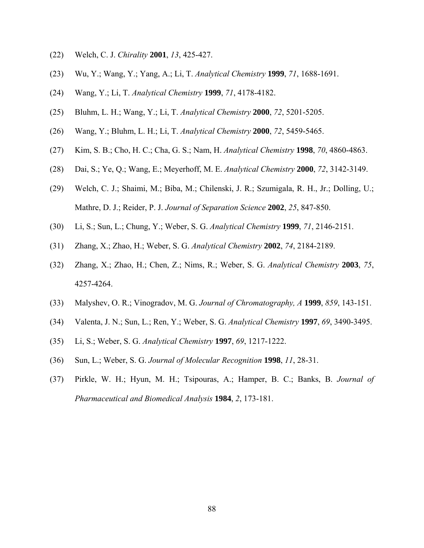- (22) Welch, C. J. *Chirality* **2001**, *13*, 425-427.
- (23) Wu, Y.; Wang, Y.; Yang, A.; Li, T. *Analytical Chemistry* **1999**, *71*, 1688-1691.
- (24) Wang, Y.; Li, T. *Analytical Chemistry* **1999**, *71*, 4178-4182.
- (25) Bluhm, L. H.; Wang, Y.; Li, T. *Analytical Chemistry* **2000**, *72*, 5201-5205.
- (26) Wang, Y.; Bluhm, L. H.; Li, T. *Analytical Chemistry* **2000**, *72*, 5459-5465.
- (27) Kim, S. B.; Cho, H. C.; Cha, G. S.; Nam, H. *Analytical Chemistry* **1998**, *70*, 4860-4863.
- (28) Dai, S.; Ye, Q.; Wang, E.; Meyerhoff, M. E. *Analytical Chemistry* **2000**, *72*, 3142-3149.
- (29) Welch, C. J.; Shaimi, M.; Biba, M.; Chilenski, J. R.; Szumigala, R. H., Jr.; Dolling, U.; Mathre, D. J.; Reider, P. J. *Journal of Separation Science* **2002**, *25*, 847-850.
- (30) Li, S.; Sun, L.; Chung, Y.; Weber, S. G. *Analytical Chemistry* **1999**, *71*, 2146-2151.
- (31) Zhang, X.; Zhao, H.; Weber, S. G. *Analytical Chemistry* **2002**, *74*, 2184-2189.
- (32) Zhang, X.; Zhao, H.; Chen, Z.; Nims, R.; Weber, S. G. *Analytical Chemistry* **2003**, *75*, 4257-4264.
- (33) Malyshev, O. R.; Vinogradov, M. G. *Journal of Chromatography, A* **1999**, *859*, 143-151.
- (34) Valenta, J. N.; Sun, L.; Ren, Y.; Weber, S. G. *Analytical Chemistry* **1997**, *69*, 3490-3495.
- (35) Li, S.; Weber, S. G. *Analytical Chemistry* **1997**, *69*, 1217-1222.
- (36) Sun, L.; Weber, S. G. *Journal of Molecular Recognition* **1998**, *11*, 28-31.
- (37) Pirkle, W. H.; Hyun, M. H.; Tsipouras, A.; Hamper, B. C.; Banks, B. *Journal of Pharmaceutical and Biomedical Analysis* **1984**, *2*, 173-181.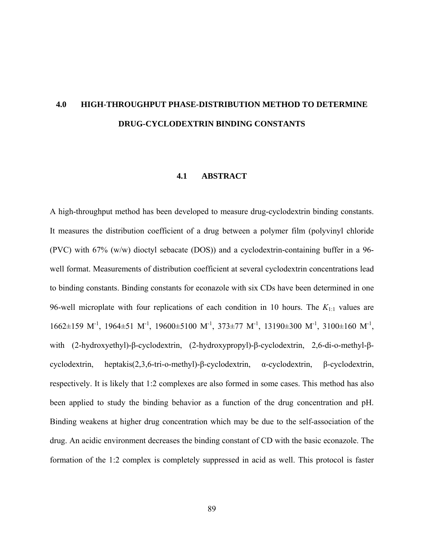# **4.0 HIGH-THROUGHPUT PHASE-DISTRIBUTION METHOD TO DETERMINE DRUG-CYCLODEXTRIN BINDING CONSTANTS**

#### **4.1 ABSTRACT**

A high-throughput method has been developed to measure drug-cyclodextrin binding constants. It measures the distribution coefficient of a drug between a polymer film (polyvinyl chloride (PVC) with 67% (w/w) dioctyl sebacate (DOS)) and a cyclodextrin-containing buffer in a 96 well format. Measurements of distribution coefficient at several cyclodextrin concentrations lead to binding constants. Binding constants for econazole with six CDs have been determined in one 96-well microplate with four replications of each condition in 10 hours. The *K*1:1 values are  $1662\pm159$  M<sup>-1</sup>, 1964 $\pm$ 51 M<sup>-1</sup>, 19600 $\pm$ 5100 M<sup>-1</sup>, 373 $\pm$ 77 M<sup>-1</sup>, 13190 $\pm$ 300 M<sup>-1</sup>, 3100 $\pm$ 160 M<sup>-1</sup>, with (2-hydroxyethyl)-β-cyclodextrin, (2-hydroxypropyl)-β-cyclodextrin, 2,6-di-o-methyl-βcyclodextrin, heptakis(2,3,6-tri-o-methyl)-β-cyclodextrin, α-cyclodextrin, β-cyclodextrin, respectively. It is likely that 1:2 complexes are also formed in some cases. This method has also been applied to study the binding behavior as a function of the drug concentration and pH. Binding weakens at higher drug concentration which may be due to the self-association of the drug. An acidic environment decreases the binding constant of CD with the basic econazole. The formation of the 1:2 complex is completely suppressed in acid as well. This protocol is faster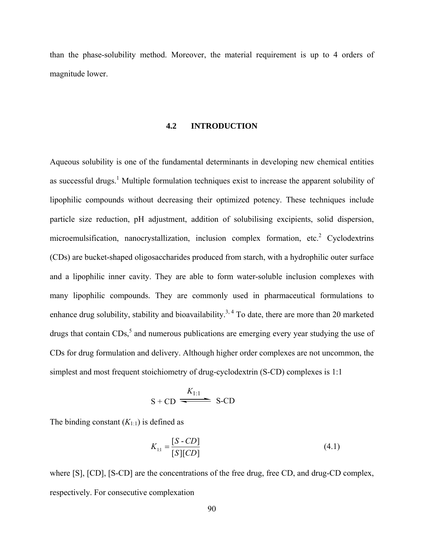than the phase-solubility method. Moreover, the material requirement is up to 4 orders of magnitude lower.

### **4.2 INTRODUCTION**

Aqueous solubility is one of the fundamental determinants in developing new chemical entities as successful drugs.<sup>1</sup> Multiple formulation techniques exist to increase the apparent solubility of lipophilic compounds without decreasing their optimized potency. These techniques include particle size reduction, pH adjustment, addition of solubilising excipients, solid dispersion, microemulsification, nanocrystallization, inclusion complex formation, etc.<sup>2</sup> Cyclodextrins (CDs) are bucket-shaped oligosaccharides produced from starch, with a hydrophilic outer surface and a lipophilic inner cavity. They are able to form water-soluble inclusion complexes with many lipophilic compounds. They are commonly used in pharmaceutical formulations to enhance drug solubility, stability and bioavailability.<sup>3, 4</sup> To date, there are more than 20 marketed drugs that contain  $CDs<sub>1</sub><sup>5</sup>$  and numerous publications are emerging every year studying the use of CDs for drug formulation and delivery. Although higher order complexes are not uncommon, the simplest and most frequent stoichiometry of drug-cyclodextrin (S-CD) complexes is 1:1

$$
S + CD \xrightarrow{K_{1:1}} S-CD
$$

The binding constant  $(K_{1:1})$  is defined as

$$
K_{1:1} = \frac{[S - CD]}{[S][CD]}
$$
 (4.1)

where [S], [CD], [S-CD] are the concentrations of the free drug, free CD, and drug-CD complex, respectively. For consecutive complexation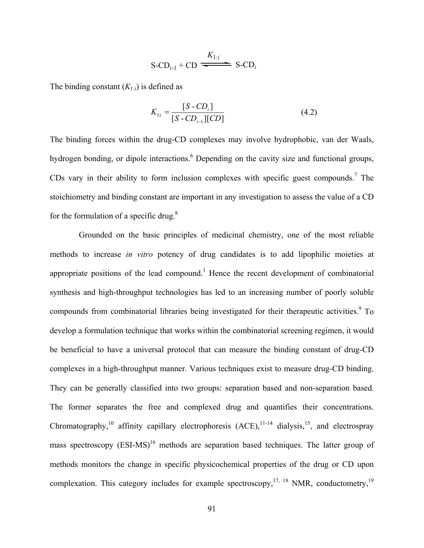$$
S\text{-}\mathrm{CD}_{i-1} + \mathrm{CD} \xrightarrow{\text{$K_{1:i}$}} S\text{-}\mathrm{CD}_i
$$

The binding constant  $(K_{1:i})$  is defined as

$$
K_{1:i} = \frac{[S - CD_i]}{[S - CD_{i-1}][CD]}
$$
(4.2)

The binding forces within the drug-CD complexes may involve hydrophobic, van der Waals, hydrogen bonding, or dipole interactions.<sup>6</sup> Depending on the cavity size and functional groups, CDs vary in their ability to form inclusion complexes with specific guest compounds.<sup>7</sup> The stoichiometry and binding constant are important in any investigation to assess the value of a CD for the formulation of a specific drug. $8$ 

 Grounded on the basic principles of medicinal chemistry, one of the most reliable methods to increase *in vitro* potency of drug candidates is to add lipophilic moieties at appropriate positions of the lead compound.<sup>1</sup> Hence the recent development of combinatorial synthesis and high-throughput technologies has led to an increasing number of poorly soluble compounds from combinatorial libraries being investigated for their therapeutic activities.<sup>9</sup> To develop a formulation technique that works within the combinatorial screening regimen, it would be beneficial to have a universal protocol that can measure the binding constant of drug-CD complexes in a high-throughput manner. Various techniques exist to measure drug-CD binding. They can be generally classified into two groups: separation based and non-separation based. The former separates the free and complexed drug and quantifies their concentrations. Chromatography,<sup>10</sup> affinity capillary electrophoresis  $(ACE)$ , <sup>11-14</sup> dialysis,<sup>15</sup>, and electrospray mass spectroscopy  $(ESI-MS)^{16}$  methods are separation based techniques. The latter group of methods monitors the change in specific physicochemical properties of the drug or CD upon complexation. This category includes for example spectroscopy,  $17, 18$  NMR, conductometry,  $19$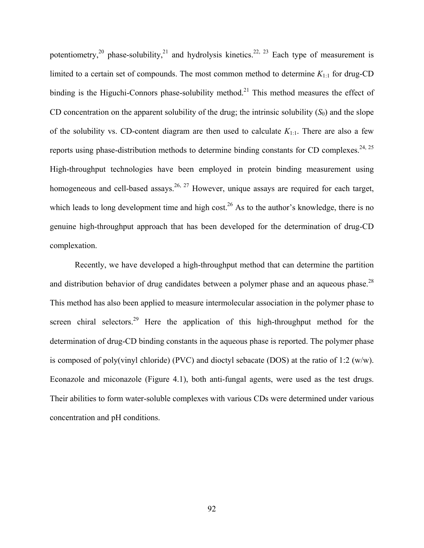potentiometry,<sup>20</sup> phase-solubility,<sup>21</sup> and hydrolysis kinetics.<sup>22, 23</sup> Each type of measurement is limited to a certain set of compounds. The most common method to determine *K*1:1 for drug-CD binding is the Higuchi-Connors phase-solubility method.<sup>21</sup> This method measures the effect of CD concentration on the apparent solubility of the drug; the intrinsic solubility  $(S_0)$  and the slope of the solubility vs. CD-content diagram are then used to calculate  $K_{1:1}$ . There are also a few reports using phase-distribution methods to determine binding constants for CD complexes.<sup>24, 25</sup> High-throughput technologies have been employed in protein binding measurement using homogeneous and cell-based assays.<sup>26, 27</sup> However, unique assays are required for each target, which leads to long development time and high cost.<sup>26</sup> As to the author's knowledge, there is no genuine high-throughput approach that has been developed for the determination of drug-CD complexation.

Recently, we have developed a high-throughput method that can determine the partition and distribution behavior of drug candidates between a polymer phase and an aqueous phase.<sup>28</sup> This method has also been applied to measure intermolecular association in the polymer phase to screen chiral selectors.<sup>29</sup> Here the application of this high-throughput method for the determination of drug-CD binding constants in the aqueous phase is reported. The polymer phase is composed of poly(vinyl chloride) (PVC) and dioctyl sebacate (DOS) at the ratio of 1:2 (w/w). Econazole and miconazole (Figure 4.1), both anti-fungal agents, were used as the test drugs. Their abilities to form water-soluble complexes with various CDs were determined under various concentration and pH conditions.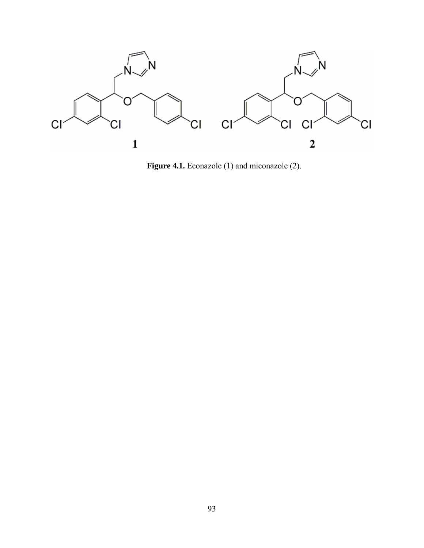

Figure 4.1. Econazole (1) and miconazole (2).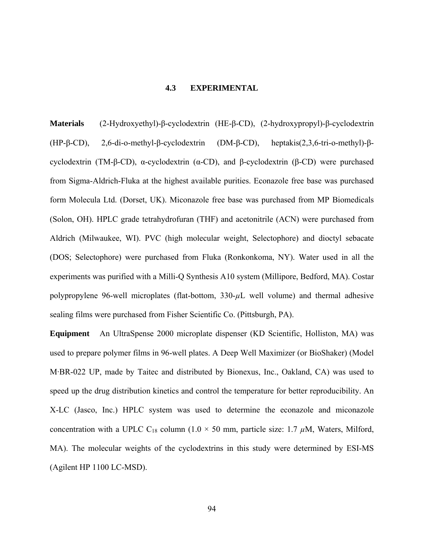# **4.3 EXPERIMENTAL**

**Materials** (2-Hydroxyethyl)-β-cyclodextrin (HE-β-CD), (2-hydroxypropyl)-β-cyclodextrin (HP-β-CD), 2,6-di-o-methyl-β-cyclodextrin (DM-β-CD), heptakis(2,3,6-tri-o-methyl)-βcyclodextrin (TM-β-CD), α-cyclodextrin ( $α$ -CD), and β-cyclodextrin (β-CD) were purchased from Sigma-Aldrich-Fluka at the highest available purities. Econazole free base was purchased form Molecula Ltd. (Dorset, UK). Miconazole free base was purchased from MP Biomedicals (Solon, OH). HPLC grade tetrahydrofuran (THF) and acetonitrile (ACN) were purchased from Aldrich (Milwaukee, WI). PVC (high molecular weight, Selectophore) and dioctyl sebacate (DOS; Selectophore) were purchased from Fluka (Ronkonkoma, NY). Water used in all the experiments was purified with a Milli-Q Synthesis A10 system (Millipore, Bedford, MA). Costar polypropylene 96-well microplates (flat-bottom, 330- $\mu$ L well volume) and thermal adhesive sealing films were purchased from Fisher Scientific Co. (Pittsburgh, PA).

**Equipment** An UltraSpense 2000 microplate dispenser (KD Scientific, Holliston, MA) was used to prepare polymer films in 96-well plates. A Deep Well Maximizer (or BioShaker) (Model M·BR-022 UP, made by Taitec and distributed by Bionexus, Inc., Oakland, CA) was used to speed up the drug distribution kinetics and control the temperature for better reproducibility. An X-LC (Jasco, Inc.) HPLC system was used to determine the econazole and miconazole concentration with a UPLC C<sub>18</sub> column (1.0  $\times$  50 mm, particle size: 1.7  $\mu$ M, Waters, Milford, MA). The molecular weights of the cyclodextrins in this study were determined by ESI-MS (Agilent HP 1100 LC-MSD).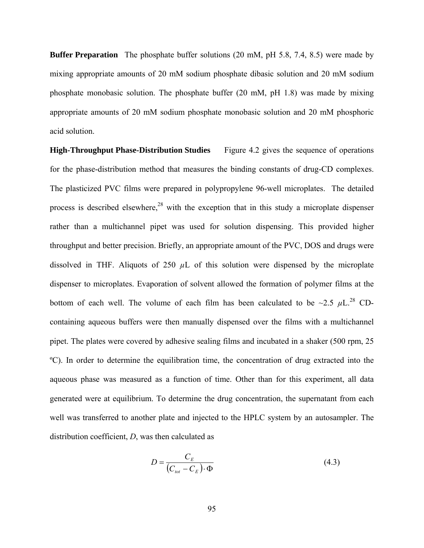**Buffer Preparation** The phosphate buffer solutions (20 mM, pH 5.8, 7.4, 8.5) were made by mixing appropriate amounts of 20 mM sodium phosphate dibasic solution and 20 mM sodium phosphate monobasic solution. The phosphate buffer (20 mM, pH 1.8) was made by mixing appropriate amounts of 20 mM sodium phosphate monobasic solution and 20 mM phosphoric acid solution.

**High-Throughput Phase-Distribution Studies** Figure 4.2 gives the sequence of operations for the phase-distribution method that measures the binding constants of drug-CD complexes. The plasticized PVC films were prepared in polypropylene 96-well microplates. The detailed process is described elsewhere,<sup>28</sup> with the exception that in this study a microplate dispenser rather than a multichannel pipet was used for solution dispensing. This provided higher throughput and better precision. Briefly, an appropriate amount of the PVC, DOS and drugs were dissolved in THF. Aliquots of 250  $\mu$ L of this solution were dispensed by the microplate dispenser to microplates. Evaporation of solvent allowed the formation of polymer films at the bottom of each well. The volume of each film has been calculated to be  $\sim$ 2.5  $\mu$ L.<sup>28</sup> CDcontaining aqueous buffers were then manually dispensed over the films with a multichannel pipet. The plates were covered by adhesive sealing films and incubated in a shaker (500 rpm, 25 ºC). In order to determine the equilibration time, the concentration of drug extracted into the aqueous phase was measured as a function of time. Other than for this experiment, all data generated were at equilibrium. To determine the drug concentration, the supernatant from each well was transferred to another plate and injected to the HPLC system by an autosampler. The distribution coefficient, *D*, was then calculated as

$$
D = \frac{C_E}{\left(C_{tot} - C_E\right) \cdot \Phi} \tag{4.3}
$$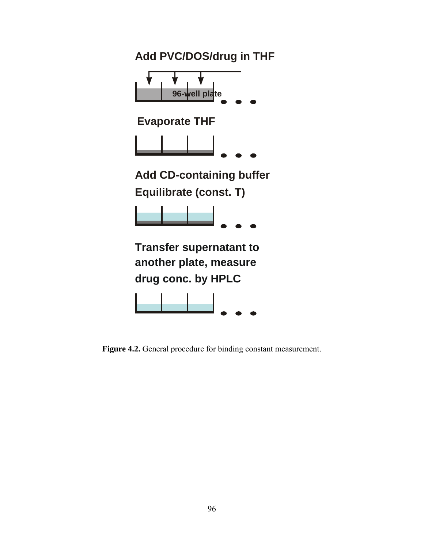

**Figure 4.2.** General procedure for binding constant measurement.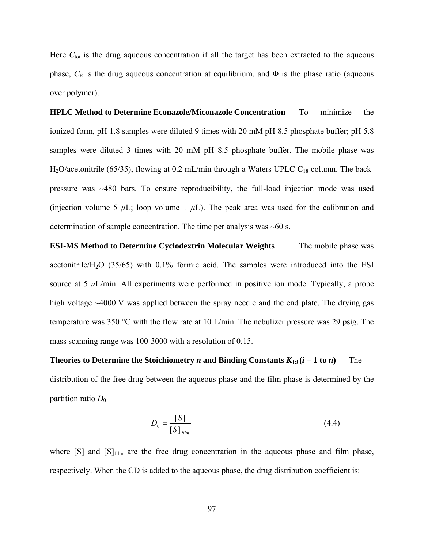Here C<sub>tot</sub> is the drug aqueous concentration if all the target has been extracted to the aqueous phase,  $C_E$  is the drug aqueous concentration at equilibrium, and  $\Phi$  is the phase ratio (aqueous over polymer).

**HPLC Method to Determine Econazole/Miconazole Concentration** To minimize the ionized form, pH 1.8 samples were diluted 9 times with 20 mM pH 8.5 phosphate buffer; pH 5.8 samples were diluted 3 times with 20 mM pH 8.5 phosphate buffer. The mobile phase was H<sub>2</sub>O/acetonitrile (65/35), flowing at 0.2 mL/min through a Waters UPLC C<sub>18</sub> column. The backpressure was ~480 bars. To ensure reproducibility, the full-load injection mode was used (injection volume 5  $\mu$ L; loop volume 1  $\mu$ L). The peak area was used for the calibration and determination of sample concentration. The time per analysis was  $~60$  s.

**ESI-MS Method to Determine Cyclodextrin Molecular Weights** The mobile phase was acetonitrile/H<sub>2</sub>O (35/65) with 0.1% formic acid. The samples were introduced into the ESI source at 5  $\mu$ L/min. All experiments were performed in positive ion mode. Typically, a probe high voltage ~4000 V was applied between the spray needle and the end plate. The drying gas temperature was 350 °C with the flow rate at 10 L/min. The nebulizer pressure was 29 psig. The mass scanning range was 100-3000 with a resolution of 0.15.

**Theories to Determine the Stoichiometry** *n* **and Binding Constants**  $K_{1:i}$  **(** $i = 1$  **to** *n***) The** distribution of the free drug between the aqueous phase and the film phase is determined by the partition ratio  $D_0$ 

$$
D_0 = \frac{[S]}{[S]_{film}} \tag{4.4}
$$

where  $[S]$  and  $[S]_{film}$  are the free drug concentration in the aqueous phase and film phase, respectively. When the CD is added to the aqueous phase, the drug distribution coefficient is: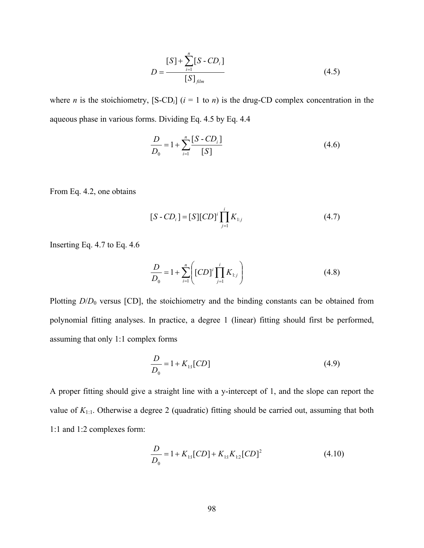$$
D = \frac{[S] + \sum_{i=1}^{n} [S - CD_i]}{[S]_{film}}
$$
(4.5)

where *n* is the stoichiometry,  $[S-CD_i]$  ( $i = 1$  to *n*) is the drug-CD complex concentration in the aqueous phase in various forms. Dividing Eq. 4.5 by Eq. 4.4

$$
\frac{D}{D_0} = 1 + \sum_{i=1}^{n} \frac{[S - CD_i]}{[S]}
$$
(4.6)

From Eq. 4.2, one obtains

$$
[S - CDi] = [S][CD]i \prod_{j=1}^{i} K_{1:j}
$$
 (4.7)

Inserting Eq. 4.7 to Eq. 4.6

$$
\frac{D}{D_0} = 1 + \sum_{i=1}^{n} \left[ [CD]^i \prod_{j=1}^{i} K_{1:j} \right]
$$
(4.8)

Plotting *D*/*D*<sub>0</sub> versus [CD], the stoichiometry and the binding constants can be obtained from polynomial fitting analyses. In practice, a degree 1 (linear) fitting should first be performed, assuming that only 1:1 complex forms

$$
\frac{D}{D_0} = 1 + K_{1:1}[CD]
$$
\n(4.9)

A proper fitting should give a straight line with a y-intercept of 1, and the slope can report the value of *K*1:1. Otherwise a degree 2 (quadratic) fitting should be carried out, assuming that both 1:1 and 1:2 complexes form:

$$
\frac{D}{D_0} = 1 + K_{11} [CD] + K_{11} K_{12} [CD]^2
$$
\n(4.10)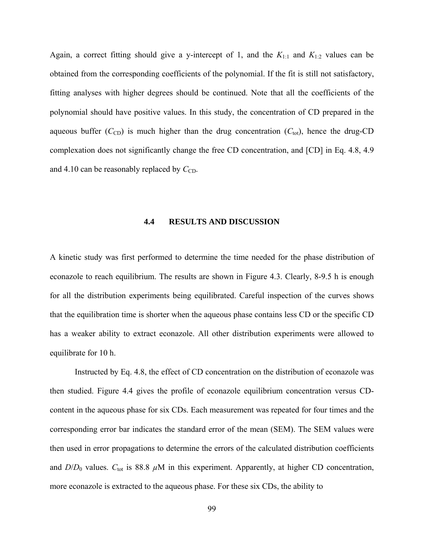Again, a correct fitting should give a y-intercept of 1, and the  $K_{1:1}$  and  $K_{1:2}$  values can be obtained from the corresponding coefficients of the polynomial. If the fit is still not satisfactory, fitting analyses with higher degrees should be continued. Note that all the coefficients of the polynomial should have positive values. In this study, the concentration of CD prepared in the aqueous buffer  $(C_{CD})$  is much higher than the drug concentration  $(C_{tot})$ , hence the drug-CD complexation does not significantly change the free CD concentration, and [CD] in Eq. 4.8, 4.9 and 4.10 can be reasonably replaced by  $C_{CD}$ .

#### **4.4 RESULTS AND DISCUSSION**

A kinetic study was first performed to determine the time needed for the phase distribution of econazole to reach equilibrium. The results are shown in Figure 4.3. Clearly, 8-9.5 h is enough for all the distribution experiments being equilibrated. Careful inspection of the curves shows that the equilibration time is shorter when the aqueous phase contains less CD or the specific CD has a weaker ability to extract econazole. All other distribution experiments were allowed to equilibrate for 10 h.

 Instructed by Eq. 4.8, the effect of CD concentration on the distribution of econazole was then studied. Figure 4.4 gives the profile of econazole equilibrium concentration versus CDcontent in the aqueous phase for six CDs. Each measurement was repeated for four times and the corresponding error bar indicates the standard error of the mean (SEM). The SEM values were then used in error propagations to determine the errors of the calculated distribution coefficients and  $D/D_0$  values.  $C_{\text{tot}}$  is 88.8  $\mu$ M in this experiment. Apparently, at higher CD concentration, more econazole is extracted to the aqueous phase. For these six CDs, the ability to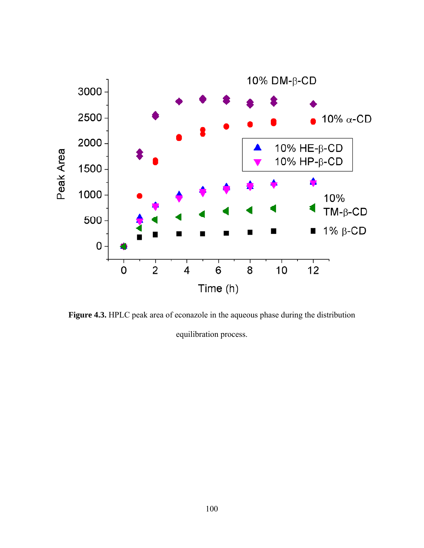

**Figure 4.3.** HPLC peak area of econazole in the aqueous phase during the distribution equilibration process.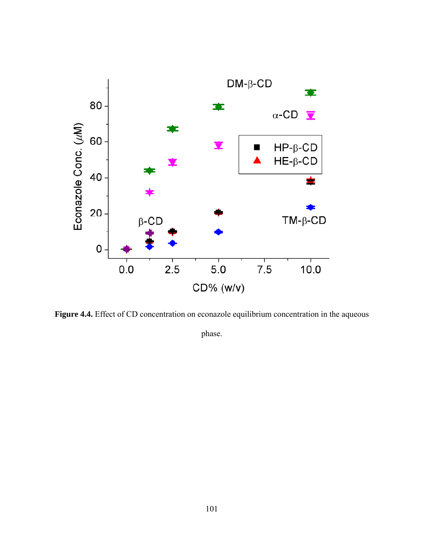

Figure 4.4. Effect of CD concentration on econazole equilibrium concentration in the aqueous

phase.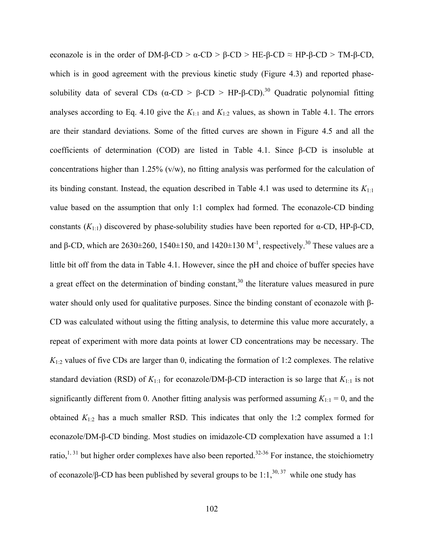econazole is in the order of DM-β-CD >  $\alpha$ -CD > β-CD > HE-β-CD  $\approx$  HP-β-CD > TM-β-CD, which is in good agreement with the previous kinetic study (Figure 4.3) and reported phasesolubility data of several CDs ( $\alpha$ -CD >  $\beta$ -CD > HP-β-CD).<sup>30</sup> Quadratic polynomial fitting analyses according to Eq. 4.10 give the  $K_{1:1}$  and  $K_{1:2}$  values, as shown in Table 4.1. The errors are their standard deviations. Some of the fitted curves are shown in Figure 4.5 and all the coefficients of determination (COD) are listed in Table 4.1. Since β-CD is insoluble at concentrations higher than 1.25% (v/w), no fitting analysis was performed for the calculation of its binding constant. Instead, the equation described in Table 4.1 was used to determine its  $K_{1:1}$ value based on the assumption that only 1:1 complex had formed. The econazole-CD binding constants  $(K_{1:1})$  discovered by phase-solubility studies have been reported for α-CD, HP-β-CD, and β-CD, which are 2630 $\pm$ 260, 1540 $\pm$ 150, and 1420 $\pm$ 130 M<sup>-1</sup>, respectively.<sup>30</sup> These values are a little bit off from the data in Table 4.1. However, since the pH and choice of buffer species have a great effect on the determination of binding constant,<sup>30</sup> the literature values measured in pure water should only used for qualitative purposes. Since the binding constant of econazole with β-CD was calculated without using the fitting analysis, to determine this value more accurately, a repeat of experiment with more data points at lower CD concentrations may be necessary. The  $K_{1:2}$  values of five CDs are larger than 0, indicating the formation of 1:2 complexes. The relative standard deviation (RSD) of *K*1:1 for econazole/DM-β-CD interaction is so large that *K*1:1 is not significantly different from 0. Another fitting analysis was performed assuming  $K_{1:1} = 0$ , and the obtained  $K_{1:2}$  has a much smaller RSD. This indicates that only the 1:2 complex formed for econazole/DM-β-CD binding. Most studies on imidazole-CD complexation have assumed a 1:1 ratio,<sup>1, 31</sup> but higher order complexes have also been reported.<sup>32-36</sup> For instance, the stoichiometry of econazole/β-CD has been published by several groups to be 1:1,<sup>30, 37</sup> while one study has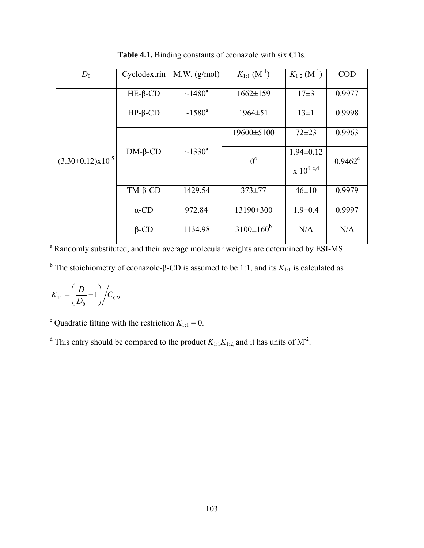| $D_0$                   | Cyclodextrin          | M.W. (g/mol)             | $K_{1:1}$ $(M^{-1})$ | $K_{1:2}$ (M <sup>-1</sup> )        | <b>COD</b>       |
|-------------------------|-----------------------|--------------------------|----------------------|-------------------------------------|------------------|
| $(3.30\pm0.12)x10^{-5}$ | $HE$ - $\beta$ - $CD$ | $~1480$ <sup>a</sup>     | $1662 \pm 159$       | $17\pm3$                            | 0.9977           |
|                         | $HP$ - $\beta$ -CD    | $~1580^a$                | $1964 \pm 51$        | $13\pm1$                            | 0.9998           |
|                         | $DM-6-CD$             | $\sim$ 1330 <sup>a</sup> | 19600±5100           | $72 + 23$                           | 0.9963           |
|                         |                       |                          | $0^{\circ}$          | $1.94 \pm 0.12$<br>$\ge 10^{6}$ c,d | $0.9462^{\circ}$ |
|                         | $TM-\beta$ -CD        | 1429.54                  | $373 \pm 77$         | $46 \pm 10$                         | 0.9979           |
|                         | $\alpha$ -CD          | 972.84                   | 13190±300            | $1.9 \pm 0.4$                       | 0.9997           |
|                         | $\beta$ -CD           | 1134.98                  | $3100 \pm 160^b$     | N/A                                 | N/A              |

**Table 4.1.** Binding constants of econazole with six CDs.

<sup>a</sup> Randomly substituted, and their average molecular weights are determined by ESI-MS.

<sup>b</sup> The stoichiometry of econazole-β-CD is assumed to be 1:1, and its  $K_{1:1}$  is calculated as

$$
K_{11} = \left(\frac{D}{D_0} - 1\right) \bigg/ C_{CD}
$$

<sup>c</sup> Quadratic fitting with the restriction  $K_{1:1} = 0$ .

<sup>d</sup> This entry should be compared to the product  $K_{1:1}K_{1:2}$ , and it has units of M<sup>-2</sup>.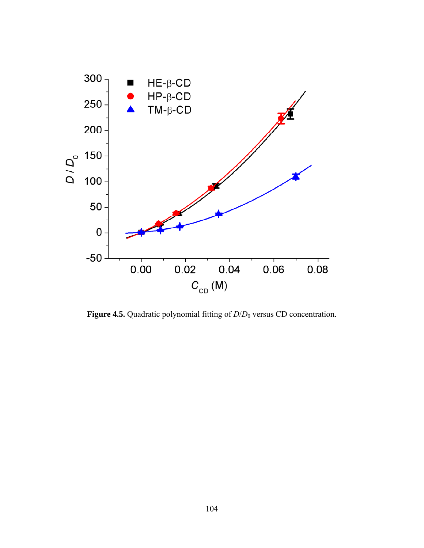

**Figure 4.5.** Quadratic polynomial fitting of *D*/*D*0 versus CD concentration.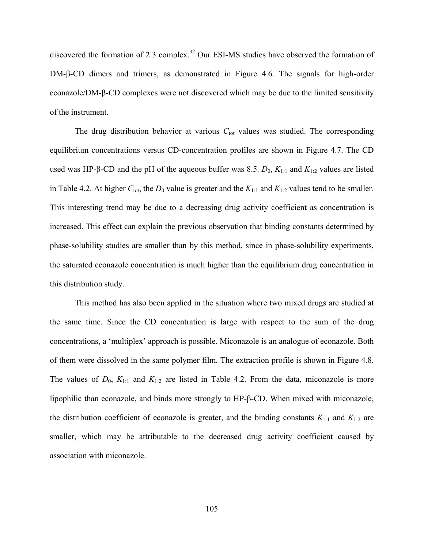discovered the formation of 2:3 complex.<sup>32</sup> Our ESI-MS studies have observed the formation of DM-β-CD dimers and trimers, as demonstrated in Figure 4.6. The signals for high-order econazole/DM-β-CD complexes were not discovered which may be due to the limited sensitivity of the instrument.

The drug distribution behavior at various  $C_{\text{tot}}$  values was studied. The corresponding equilibrium concentrations versus CD-concentration profiles are shown in Figure 4.7. The CD used was HP-β-CD and the pH of the aqueous buffer was 8.5.  $D_0$ ,  $K_{1:1}$  and  $K_{1:2}$  values are listed in Table 4.2. At higher  $C_{\text{tot}}$ , the  $D_0$  value is greater and the  $K_{1:1}$  and  $K_{1:2}$  values tend to be smaller. This interesting trend may be due to a decreasing drug activity coefficient as concentration is increased. This effect can explain the previous observation that binding constants determined by phase-solubility studies are smaller than by this method, since in phase-solubility experiments, the saturated econazole concentration is much higher than the equilibrium drug concentration in this distribution study.

 This method has also been applied in the situation where two mixed drugs are studied at the same time. Since the CD concentration is large with respect to the sum of the drug concentrations, a 'multiplex' approach is possible. Miconazole is an analogue of econazole. Both of them were dissolved in the same polymer film. The extraction profile is shown in Figure 4.8. The values of  $D_0$ ,  $K_{1:1}$  and  $K_{1:2}$  are listed in Table 4.2. From the data, miconazole is more lipophilic than econazole, and binds more strongly to HP-β-CD. When mixed with miconazole, the distribution coefficient of econazole is greater, and the binding constants  $K_{1:1}$  and  $K_{1:2}$  are smaller, which may be attributable to the decreased drug activity coefficient caused by association with miconazole.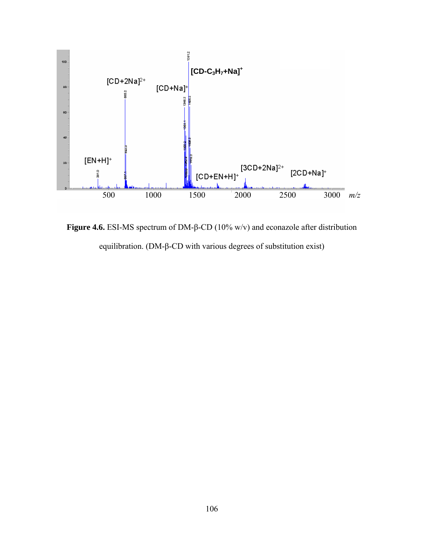

**Figure 4.6.** ESI-MS spectrum of DM-β-CD (10% w/v) and econazole after distribution equilibration. (DM-β-CD with various degrees of substitution exist)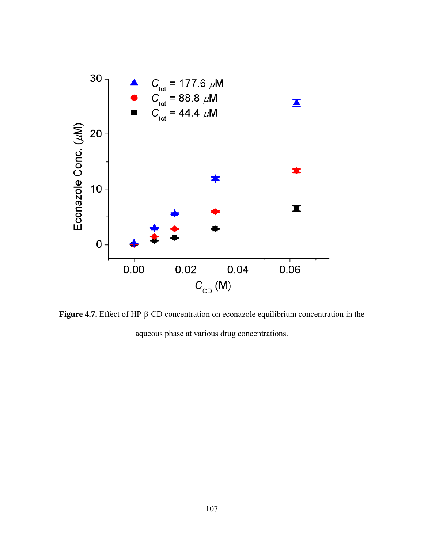

**Figure 4.7.** Effect of HP-β-CD concentration on econazole equilibrium concentration in the aqueous phase at various drug concentrations.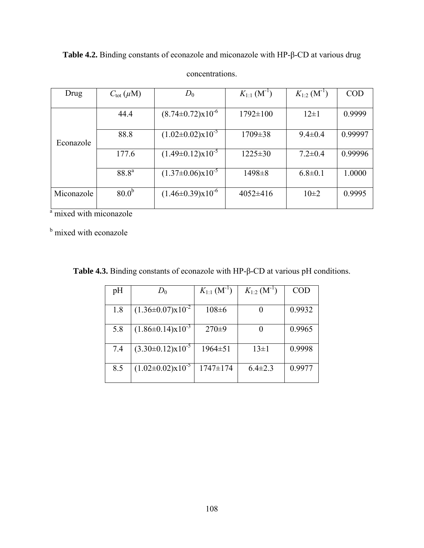$Drug \t C_{tot} (\mu M) \t D_0 \t K_{1:1} (M^{-1})$  $K_{1:2}$   $(M^{-1})$   $\bigcup$  COD  $\overline{44.4}$   $(8.74\pm0.72)x10^{-6}$   $1792\pm100$   $12\pm1$  0.9999 88.8  $(1.02\pm0.02)x10^{-5}$  1709 $\pm38$  9.4 $\pm0.4$  0.99997 Econazole  $\frac{177.6}{177.6}$   $\frac{(1.49\pm0.12)x10^{-5}}{1225\pm30}$  7.2 $\pm$ 0.4 0.99996 88.8<sup>a</sup>  $(1.37\pm0.06)x10^{-5}$  1498 $\pm8$  6.8 $\pm0.1$  1.0000 Miconazole  $80.0^b$   $(1.46\pm0.39)x10^{-6}$   $4052\pm416$   $10\pm2$  0.9995

**Table 4.2.** Binding constants of econazole and miconazole with HP-β-CD at various drug concentrations.

<sup>a</sup> mixed with miconazole

**b** mixed with econazole

| pH  | $D_0$                            | $K_{1:1}$ (M <sup>-1</sup> ) | $K_{1:2}$ (M <sup>-1</sup> ) | <b>COD</b> |
|-----|----------------------------------|------------------------------|------------------------------|------------|
|     |                                  |                              |                              |            |
| 1.8 | $(1.36 \pm 0.07) \times 10^{-2}$ | $108 \pm 6$                  |                              | 0.9932     |
|     |                                  |                              |                              |            |
| 5.8 | $(1.86\pm0.14)x10^{-3}$          | $270 \pm 9$                  |                              | 0.9965     |
|     |                                  |                              |                              |            |
| 7.4 | $(3.30 \pm 0.12) \times 10^{-5}$ | $1964 \pm 51$                | $13\pm1$                     | 0.9998     |
|     |                                  |                              |                              |            |
| 8.5 | $(1.02 \pm 0.02) \times 10^{-5}$ | 1747±174                     | $6.4 \pm 2.3$                | 0.9977     |
|     |                                  |                              |                              |            |

**Table 4.3.** Binding constants of econazole with HP-β-CD at various pH conditions.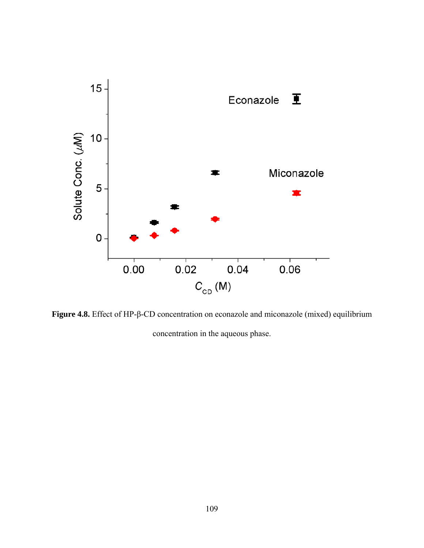

**Figure 4.8.** Effect of HP-β-CD concentration on econazole and miconazole (mixed) equilibrium concentration in the aqueous phase.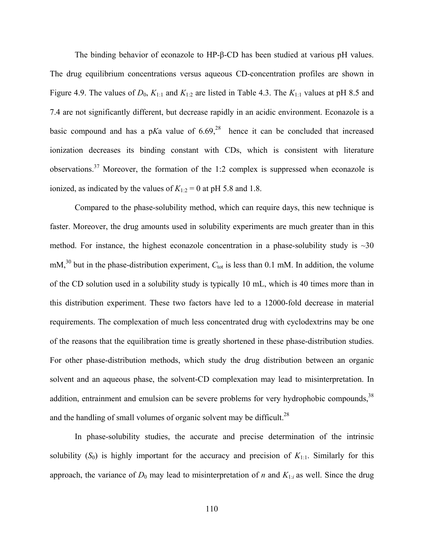The binding behavior of econazole to HP-β-CD has been studied at various pH values. The drug equilibrium concentrations versus aqueous CD-concentration profiles are shown in Figure 4.9. The values of  $D_0$ ,  $K_{1:1}$  and  $K_{1:2}$  are listed in Table 4.3. The  $K_{1:1}$  values at pH 8.5 and 7.4 are not significantly different, but decrease rapidly in an acidic environment. Econazole is a basic compound and has a pKa value of  $6.69<sup>28</sup>$  hence it can be concluded that increased ionization decreases its binding constant with CDs, which is consistent with literature observations.37 Moreover, the formation of the 1:2 complex is suppressed when econazole is ionized, as indicated by the values of  $K_{1:2} = 0$  at pH 5.8 and 1.8.

 Compared to the phase-solubility method, which can require days, this new technique is faster. Moreover, the drug amounts used in solubility experiments are much greater than in this method. For instance, the highest econazole concentration in a phase-solubility study is  $\sim 30$ mM,<sup>30</sup> but in the phase-distribution experiment,  $C_{\text{tot}}$  is less than 0.1 mM. In addition, the volume of the CD solution used in a solubility study is typically 10 mL, which is 40 times more than in this distribution experiment. These two factors have led to a 12000-fold decrease in material requirements. The complexation of much less concentrated drug with cyclodextrins may be one of the reasons that the equilibration time is greatly shortened in these phase-distribution studies. For other phase-distribution methods, which study the drug distribution between an organic solvent and an aqueous phase, the solvent-CD complexation may lead to misinterpretation. In addition, entrainment and emulsion can be severe problems for very hydrophobic compounds,  $38$ and the handling of small volumes of organic solvent may be difficult.<sup>28</sup>

 In phase-solubility studies, the accurate and precise determination of the intrinsic solubility  $(S_0)$  is highly important for the accuracy and precision of  $K_{1:1}$ . Similarly for this approach, the variance of  $D_0$  may lead to misinterpretation of *n* and  $K_{1:i}$  as well. Since the drug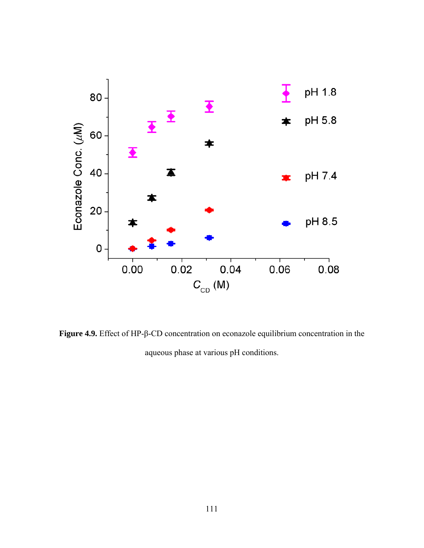

**Figure 4.9.** Effect of HP-β-CD concentration on econazole equilibrium concentration in the aqueous phase at various pH conditions.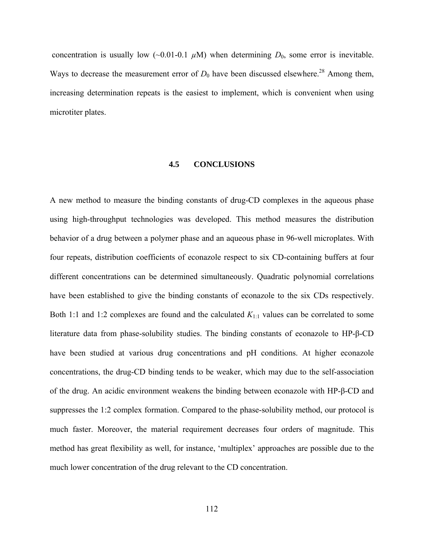concentration is usually low  $(\sim 0.01-0.1 \mu M)$  when determining  $D_0$ , some error is inevitable. Ways to decrease the measurement error of  $D_0$  have been discussed elsewhere.<sup>28</sup> Among them, increasing determination repeats is the easiest to implement, which is convenient when using microtiter plates.

## **4.5 CONCLUSIONS**

A new method to measure the binding constants of drug-CD complexes in the aqueous phase using high-throughput technologies was developed. This method measures the distribution behavior of a drug between a polymer phase and an aqueous phase in 96-well microplates. With four repeats, distribution coefficients of econazole respect to six CD-containing buffers at four different concentrations can be determined simultaneously. Quadratic polynomial correlations have been established to give the binding constants of econazole to the six CDs respectively. Both 1:1 and 1:2 complexes are found and the calculated *K*1:1 values can be correlated to some literature data from phase-solubility studies. The binding constants of econazole to HP-β-CD have been studied at various drug concentrations and pH conditions. At higher econazole concentrations, the drug-CD binding tends to be weaker, which may due to the self-association of the drug. An acidic environment weakens the binding between econazole with HP-β-CD and suppresses the 1:2 complex formation. Compared to the phase-solubility method, our protocol is much faster. Moreover, the material requirement decreases four orders of magnitude. This method has great flexibility as well, for instance, 'multiplex' approaches are possible due to the much lower concentration of the drug relevant to the CD concentration.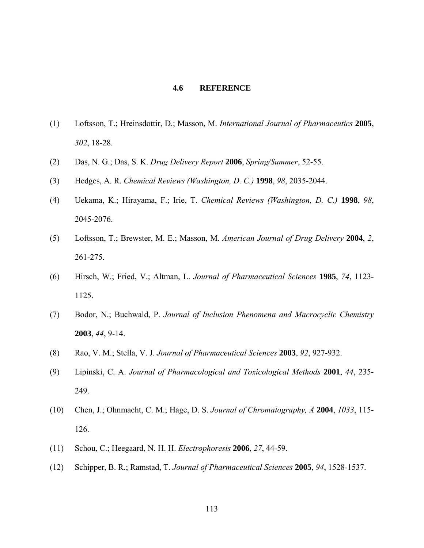## **4.6 REFERENCE**

- (1) Loftsson, T.; Hreinsdottir, D.; Masson, M. *International Journal of Pharmaceutics* **2005**, *302*, 18-28.
- (2) Das, N. G.; Das, S. K. *Drug Delivery Report* **2006**, *Spring/Summer*, 52-55.
- (3) Hedges, A. R. *Chemical Reviews (Washington, D. C.)* **1998**, *98*, 2035-2044.
- (4) Uekama, K.; Hirayama, F.; Irie, T. *Chemical Reviews (Washington, D. C.)* **1998**, *98*, 2045-2076.
- (5) Loftsson, T.; Brewster, M. E.; Masson, M. *American Journal of Drug Delivery* **2004**, *2*, 261-275.
- (6) Hirsch, W.; Fried, V.; Altman, L. *Journal of Pharmaceutical Sciences* **1985**, *74*, 1123- 1125.
- (7) Bodor, N.; Buchwald, P. *Journal of Inclusion Phenomena and Macrocyclic Chemistry* **2003**, *44*, 9-14.
- (8) Rao, V. M.; Stella, V. J. *Journal of Pharmaceutical Sciences* **2003**, *92*, 927-932.
- (9) Lipinski, C. A. *Journal of Pharmacological and Toxicological Methods* **2001**, *44*, 235- 249.
- (10) Chen, J.; Ohnmacht, C. M.; Hage, D. S. *Journal of Chromatography, A* **2004**, *1033*, 115- 126.
- (11) Schou, C.; Heegaard, N. H. H. *Electrophoresis* **2006**, *27*, 44-59.
- (12) Schipper, B. R.; Ramstad, T. *Journal of Pharmaceutical Sciences* **2005**, *94*, 1528-1537.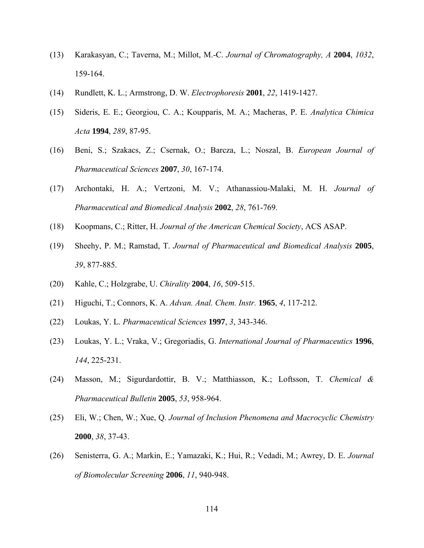- (13) Karakasyan, C.; Taverna, M.; Millot, M.-C. *Journal of Chromatography, A* **2004**, *1032*, 159-164.
- (14) Rundlett, K. L.; Armstrong, D. W. *Electrophoresis* **2001**, *22*, 1419-1427.
- (15) Sideris, E. E.; Georgiou, C. A.; Koupparis, M. A.; Macheras, P. E. *Analytica Chimica Acta* **1994**, *289*, 87-95.
- (16) Beni, S.; Szakacs, Z.; Csernak, O.; Barcza, L.; Noszal, B. *European Journal of Pharmaceutical Sciences* **2007**, *30*, 167-174.
- (17) Archontaki, H. A.; Vertzoni, M. V.; Athanassiou-Malaki, M. H. *Journal of Pharmaceutical and Biomedical Analysis* **2002**, *28*, 761-769.
- (18) Koopmans, C.; Ritter, H. *Journal of the American Chemical Society*, ACS ASAP.
- (19) Sheehy, P. M.; Ramstad, T. *Journal of Pharmaceutical and Biomedical Analysis* **2005**, *39*, 877-885.
- (20) Kahle, C.; Holzgrabe, U. *Chirality* **2004**, *16*, 509-515.
- (21) Higuchi, T.; Connors, K. A. *Advan. Anal. Chem. Instr.* **1965**, *4*, 117-212.
- (22) Loukas, Y. L. *Pharmaceutical Sciences* **1997**, *3*, 343-346.
- (23) Loukas, Y. L.; Vraka, V.; Gregoriadis, G. *International Journal of Pharmaceutics* **1996**, *144*, 225-231.
- (24) Masson, M.; Sigurdardottir, B. V.; Matthiasson, K.; Loftsson, T. *Chemical & Pharmaceutical Bulletin* **2005**, *53*, 958-964.
- (25) Eli, W.; Chen, W.; Xue, Q. *Journal of Inclusion Phenomena and Macrocyclic Chemistry* **2000**, *38*, 37-43.
- (26) Senisterra, G. A.; Markin, E.; Yamazaki, K.; Hui, R.; Vedadi, M.; Awrey, D. E. *Journal of Biomolecular Screening* **2006**, *11*, 940-948.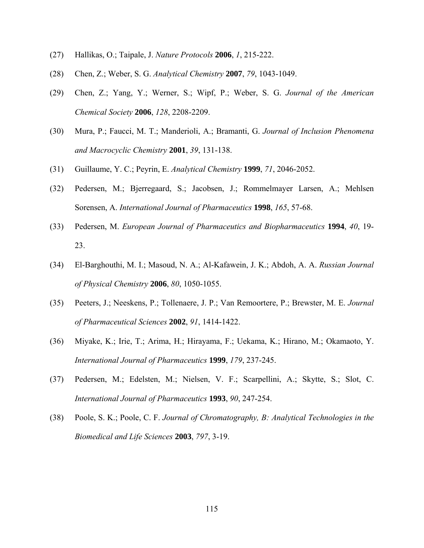- (27) Hallikas, O.; Taipale, J. *Nature Protocols* **2006**, *1*, 215-222.
- (28) Chen, Z.; Weber, S. G. *Analytical Chemistry* **2007**, *79*, 1043-1049.
- (29) Chen, Z.; Yang, Y.; Werner, S.; Wipf, P.; Weber, S. G. *Journal of the American Chemical Society* **2006**, *128*, 2208-2209.
- (30) Mura, P.; Faucci, M. T.; Manderioli, A.; Bramanti, G. *Journal of Inclusion Phenomena and Macrocyclic Chemistry* **2001**, *39*, 131-138.
- (31) Guillaume, Y. C.; Peyrin, E. *Analytical Chemistry* **1999**, *71*, 2046-2052.
- (32) Pedersen, M.; Bjerregaard, S.; Jacobsen, J.; Rommelmayer Larsen, A.; Mehlsen Sorensen, A. *International Journal of Pharmaceutics* **1998**, *165*, 57-68.
- (33) Pedersen, M. *European Journal of Pharmaceutics and Biopharmaceutics* **1994**, *40*, 19- 23.
- (34) El-Barghouthi, M. I.; Masoud, N. A.; Al-Kafawein, J. K.; Abdoh, A. A. *Russian Journal of Physical Chemistry* **2006**, *80*, 1050-1055.
- (35) Peeters, J.; Neeskens, P.; Tollenaere, J. P.; Van Remoortere, P.; Brewster, M. E. *Journal of Pharmaceutical Sciences* **2002**, *91*, 1414-1422.
- (36) Miyake, K.; Irie, T.; Arima, H.; Hirayama, F.; Uekama, K.; Hirano, M.; Okamaoto, Y. *International Journal of Pharmaceutics* **1999**, *179*, 237-245.
- (37) Pedersen, M.; Edelsten, M.; Nielsen, V. F.; Scarpellini, A.; Skytte, S.; Slot, C. *International Journal of Pharmaceutics* **1993**, *90*, 247-254.
- (38) Poole, S. K.; Poole, C. F. *Journal of Chromatography, B: Analytical Technologies in the Biomedical and Life Sciences* **2003**, *797*, 3-19.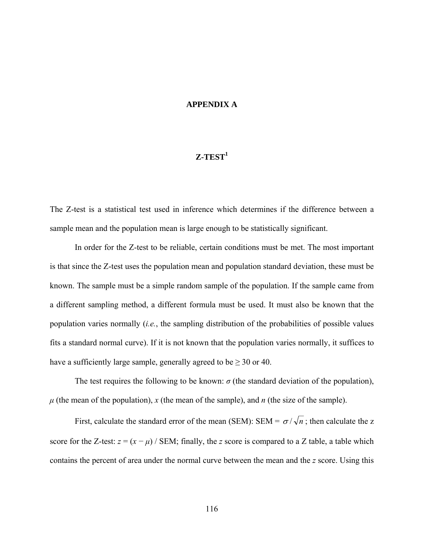## **APPENDIX A**

# $Z-TEST<sup>1</sup>$

The Z-test is a statistical test used in inference which determines if the difference between a sample mean and the population mean is large enough to be statistically significant.

In order for the Z-test to be reliable, certain conditions must be met. The most important is that since the Z-test uses the population mean and population standard deviation, these must be known. The sample must be a simple random sample of the population. If the sample came from a different sampling method, a different formula must be used. It must also be known that the population varies normally (*i.e.*, the sampling distribution of the probabilities of possible values fits a standard normal curve). If it is not known that the population varies normally, it suffices to have a sufficiently large sample, generally agreed to be  $\geq 30$  or 40.

The test requires the following to be known:  $\sigma$  (the standard deviation of the population),  $\mu$  (the mean of the population), *x* (the mean of the sample), and *n* (the size of the sample).

First, calculate the standard error of the mean (SEM): SEM =  $\sigma / \sqrt{n}$ ; then calculate the z score for the Z-test:  $z = (x - \mu)$  / SEM; finally, the *z* score is compared to a *Z* table, a table which contains the percent of area under the normal curve between the mean and the *z* score. Using this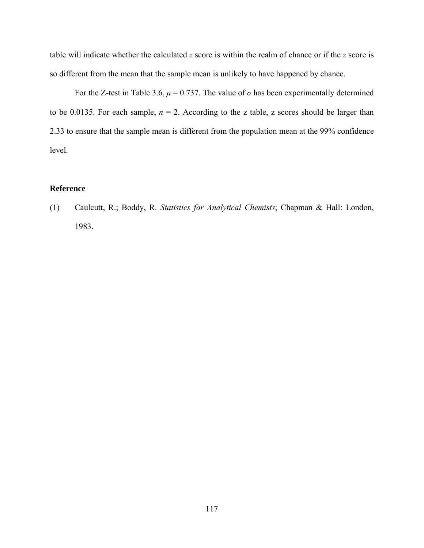table will indicate whether the calculated *z* score is within the realm of chance or if the *z* score is so different from the mean that the sample mean is unlikely to have happened by chance.

For the Z-test in Table 3.6,  $\mu$  = 0.737. The value of  $\sigma$  has been experimentally determined to be 0.0135. For each sample,  $n = 2$ . According to the z table, z scores should be larger than 2.33 to ensure that the sample mean is different from the population mean at the 99% confidence level.

# **Reference**

(1) Caulcutt, R.; Boddy, R. *Statistics for Analytical Chemists*; Chapman & Hall: London, 1983.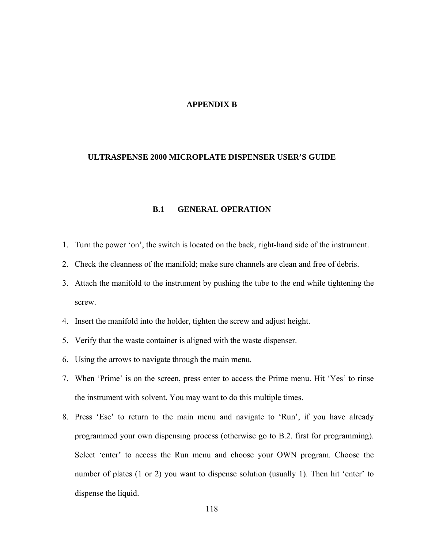## **APPENDIX B**

## **ULTRASPENSE 2000 MICROPLATE DISPENSER USER'S GUIDE**

## **B.1 GENERAL OPERATION**

- 1. Turn the power 'on', the switch is located on the back, right-hand side of the instrument.
- 2. Check the cleanness of the manifold; make sure channels are clean and free of debris.
- 3. Attach the manifold to the instrument by pushing the tube to the end while tightening the screw.
- 4. Insert the manifold into the holder, tighten the screw and adjust height.
- 5. Verify that the waste container is aligned with the waste dispenser.
- 6. Using the arrows to navigate through the main menu.
- 7. When 'Prime' is on the screen, press enter to access the Prime menu. Hit 'Yes' to rinse the instrument with solvent. You may want to do this multiple times.
- 8. Press 'Esc' to return to the main menu and navigate to 'Run', if you have already programmed your own dispensing process (otherwise go to B.2. first for programming). Select 'enter' to access the Run menu and choose your OWN program. Choose the number of plates (1 or 2) you want to dispense solution (usually 1). Then hit 'enter' to dispense the liquid.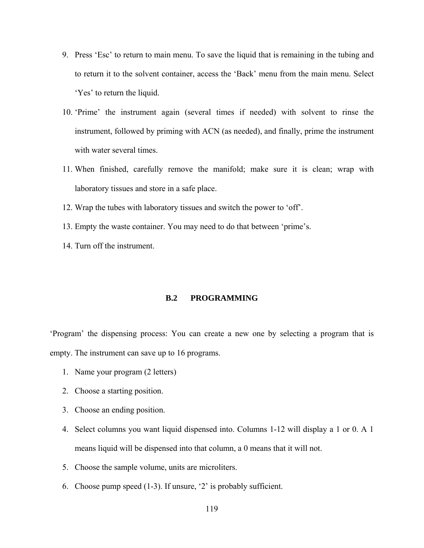- 9. Press 'Esc' to return to main menu. To save the liquid that is remaining in the tubing and to return it to the solvent container, access the 'Back' menu from the main menu. Select 'Yes' to return the liquid.
- 10. 'Prime' the instrument again (several times if needed) with solvent to rinse the instrument, followed by priming with ACN (as needed), and finally, prime the instrument with water several times.
- 11. When finished, carefully remove the manifold; make sure it is clean; wrap with laboratory tissues and store in a safe place.
- 12. Wrap the tubes with laboratory tissues and switch the power to 'off'.
- 13. Empty the waste container. You may need to do that between 'prime's.
- 14. Turn off the instrument.

# **B.2 PROGRAMMING**

'Program' the dispensing process: You can create a new one by selecting a program that is empty. The instrument can save up to 16 programs.

- 1. Name your program (2 letters)
- 2. Choose a starting position.
- 3. Choose an ending position.
- 4. Select columns you want liquid dispensed into. Columns 1-12 will display a 1 or 0. A 1 means liquid will be dispensed into that column, a 0 means that it will not.
- 5. Choose the sample volume, units are microliters.
- 6. Choose pump speed (1-3). If unsure, '2' is probably sufficient.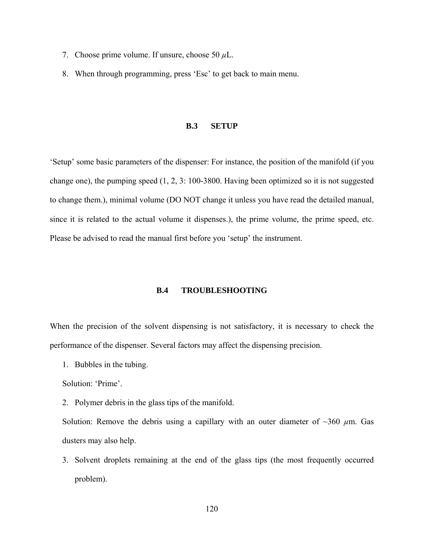- 7. Choose prime volume. If unsure, choose 50 *µ*L.
- 8. When through programming, press 'Esc' to get back to main menu.

#### **B.3 SETUP**

'Setup' some basic parameters of the dispenser: For instance, the position of the manifold (if you change one), the pumping speed (1, 2, 3: 100-3800. Having been optimized so it is not suggested to change them.), minimal volume (DO NOT change it unless you have read the detailed manual, since it is related to the actual volume it dispenses.), the prime volume, the prime speed, etc. Please be advised to read the manual first before you 'setup' the instrument.

### **B.4 TROUBLESHOOTING**

When the precision of the solvent dispensing is not satisfactory, it is necessary to check the performance of the dispenser. Several factors may affect the dispensing precision.

1. Bubbles in the tubing.

Solution: 'Prime'.

2. Polymer debris in the glass tips of the manifold.

Solution: Remove the debris using a capillary with an outer diameter of  $\sim$ 360  $\mu$ m. Gas dusters may also help.

3. Solvent droplets remaining at the end of the glass tips (the most frequently occurred problem).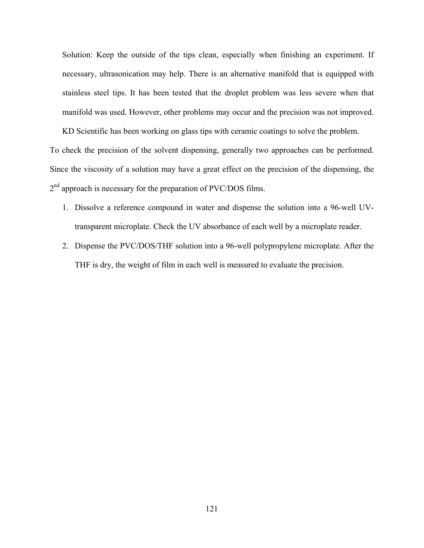Solution: Keep the outside of the tips clean, especially when finishing an experiment. If necessary, ultrasonication may help. There is an alternative manifold that is equipped with stainless steel tips. It has been tested that the droplet problem was less severe when that manifold was used. However, other problems may occur and the precision was not improved.

KD Scientific has been working on glass tips with ceramic coatings to solve the problem.

To check the precision of the solvent dispensing, generally two approaches can be performed. Since the viscosity of a solution may have a great effect on the precision of the dispensing, the  $2<sup>nd</sup>$  approach is necessary for the preparation of PVC/DOS films.

- 1. Dissolve a reference compound in water and dispense the solution into a 96-well UVtransparent microplate. Check the UV absorbance of each well by a microplate reader.
- 2. Dispense the PVC/DOS/THF solution into a 96-well polypropylene microplate. After the THF is dry, the weight of film in each well is measured to evaluate the precision.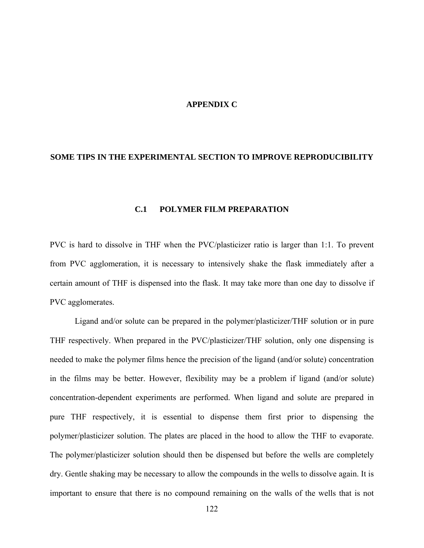### **APPENDIX C**

## **SOME TIPS IN THE EXPERIMENTAL SECTION TO IMPROVE REPRODUCIBILITY**

## **C.1 POLYMER FILM PREPARATION**

PVC is hard to dissolve in THF when the PVC/plasticizer ratio is larger than 1:1. To prevent from PVC agglomeration, it is necessary to intensively shake the flask immediately after a certain amount of THF is dispensed into the flask. It may take more than one day to dissolve if PVC agglomerates.

 Ligand and/or solute can be prepared in the polymer/plasticizer/THF solution or in pure THF respectively. When prepared in the PVC/plasticizer/THF solution, only one dispensing is needed to make the polymer films hence the precision of the ligand (and/or solute) concentration in the films may be better. However, flexibility may be a problem if ligand (and/or solute) concentration-dependent experiments are performed. When ligand and solute are prepared in pure THF respectively, it is essential to dispense them first prior to dispensing the polymer/plasticizer solution. The plates are placed in the hood to allow the THF to evaporate. The polymer/plasticizer solution should then be dispensed but before the wells are completely dry. Gentle shaking may be necessary to allow the compounds in the wells to dissolve again. It is important to ensure that there is no compound remaining on the walls of the wells that is not